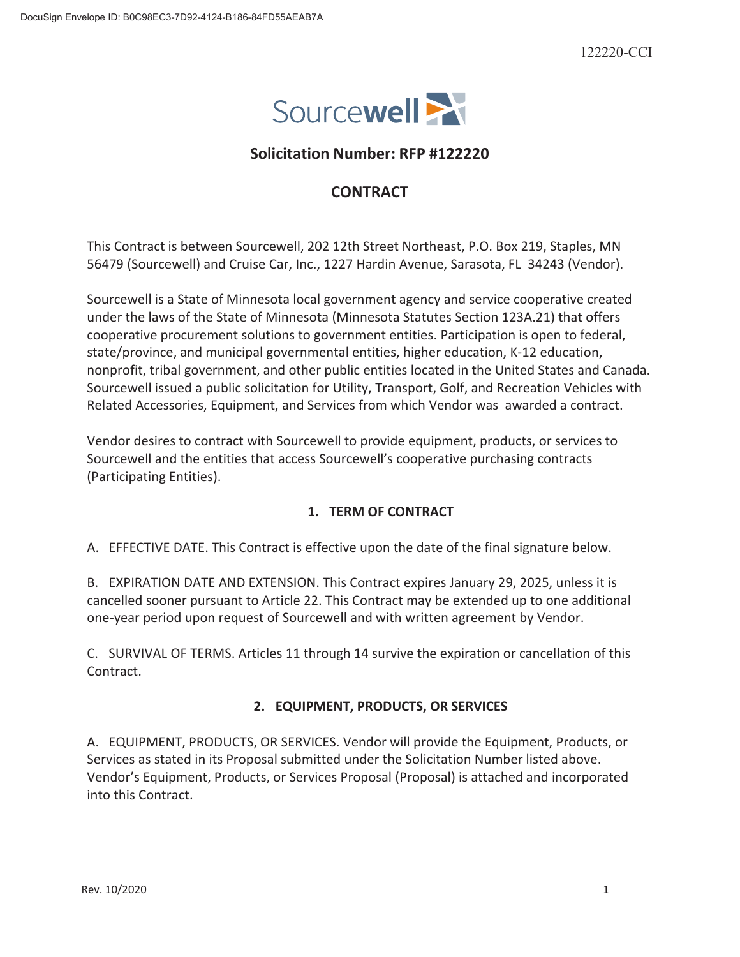

# **Solicitation Number: RFP #122220**

# **CONTRACT**

This Contract is between Sourcewell, 202 12th Street Northeast, P.O. Box 219, Staples, MN 56479 (Sourcewell) and Cruise Car, Inc., 1227 Hardin Avenue, Sarasota, FL 34243 (Vendor).

Sourcewell is a State of Minnesota local government agency and service cooperative created under the laws of the State of Minnesota (Minnesota Statutes Section 123A.21) that offers cooperative procurement solutions to government entities. Participation is open to federal, state/province, and municipal governmental entities, higher education, K-12 education, nonprofit, tribal government, and other public entities located in the United States and Canada. Sourcewell issued a public solicitation for Utility, Transport, Golf, and Recreation Vehicles with Related Accessories, Equipment, and Services from which Vendor was awarded a contract.

Vendor desires to contract with Sourcewell to provide equipment, products, or services to Sourcewell and the entities that access Sourcewell's cooperative purchasing contracts (Participating Entities).

## **1. TERM OF CONTRACT**

A. EFFECTIVE DATE. This Contract is effective upon the date of the final signature below.

B. EXPIRATION DATE AND EXTENSION. This Contract expires January 29, 2025, unless it is cancelled sooner pursuant to Article 22. This Contract may be extended up to one additional one-year period upon request of Sourcewell and with written agreement by Vendor.

C. SURVIVAL OF TERMS. Articles 11 through 14 survive the expiration or cancellation of this Contract.

## **2. EQUIPMENT, PRODUCTS, OR SERVICES**

A. EQUIPMENT, PRODUCTS, OR SERVICES. Vendor will provide the Equipment, Products, or Services as stated in its Proposal submitted under the Solicitation Number listed above. Vendor's Equipment, Products, or Services Proposal (Proposal) is attached and incorporated into this Contract.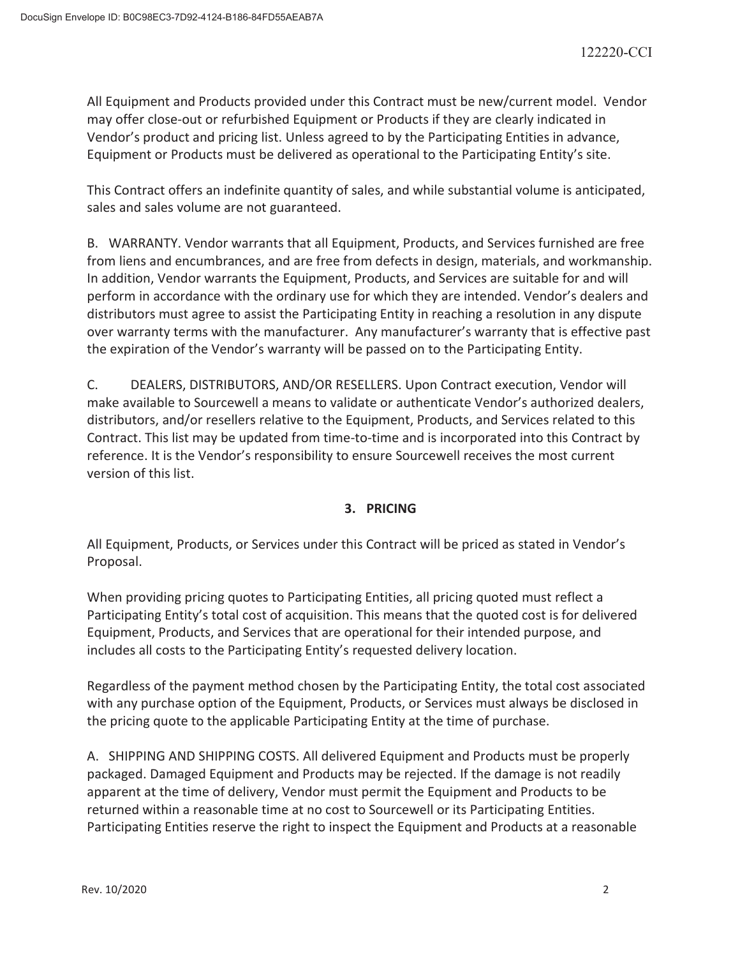All Equipment and Products provided under this Contract must be new/current model. Vendor may offer close-out or refurbished Equipment or Products if they are clearly indicated in Vendor's product and pricing list. Unless agreed to by the Participating Entities in advance, Equipment or Products must be delivered as operational to the Participating Entity's site.

This Contract offers an indefinite quantity of sales, and while substantial volume is anticipated, sales and sales volume are not guaranteed.

B. WARRANTY. Vendor warrants that all Equipment, Products, and Services furnished are free from liens and encumbrances, and are free from defects in design, materials, and workmanship. In addition, Vendor warrants the Equipment, Products, and Services are suitable for and will perform in accordance with the ordinary use for which they are intended. Vendor's dealers and distributors must agree to assist the Participating Entity in reaching a resolution in any dispute over warranty terms with the manufacturer. Any manufacturer's warranty that is effective past the expiration of the Vendor's warranty will be passed on to the Participating Entity.

C. DEALERS, DISTRIBUTORS, AND/OR RESELLERS. Upon Contract execution, Vendor will make available to Sourcewell a means to validate or authenticate Vendor's authorized dealers, distributors, and/or resellers relative to the Equipment, Products, and Services related to this Contract. This list may be updated from time-to-time and is incorporated into this Contract by reference. It is the Vendor's responsibility to ensure Sourcewell receives the most current version of this list.

## **3. PRICING**

All Equipment, Products, or Services under this Contract will be priced as stated in Vendor's Proposal.

When providing pricing quotes to Participating Entities, all pricing quoted must reflect a Participating Entity's total cost of acquisition. This means that the quoted cost is for delivered Equipment, Products, and Services that are operational for their intended purpose, and includes all costs to the Participating Entity's requested delivery location.

Regardless of the payment method chosen by the Participating Entity, the total cost associated with any purchase option of the Equipment, Products, or Services must always be disclosed in the pricing quote to the applicable Participating Entity at the time of purchase.

A. SHIPPING AND SHIPPING COSTS. All delivered Equipment and Products must be properly packaged. Damaged Equipment and Products may be rejected. If the damage is not readily apparent at the time of delivery, Vendor must permit the Equipment and Products to be returned within a reasonable time at no cost to Sourcewell or its Participating Entities. Participating Entities reserve the right to inspect the Equipment and Products at a reasonable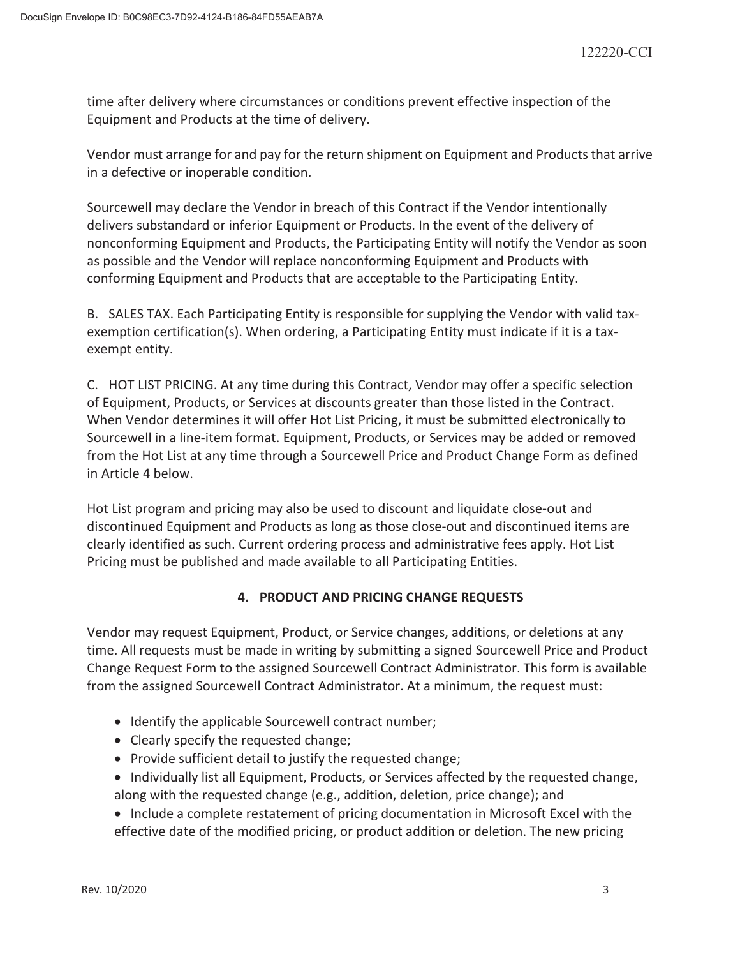time after delivery where circumstances or conditions prevent effective inspection of the Equipment and Products at the time of delivery.

Vendor must arrange for and pay for the return shipment on Equipment and Products that arrive in a defective or inoperable condition.

Sourcewell may declare the Vendor in breach of this Contract if the Vendor intentionally delivers substandard or inferior Equipment or Products. In the event of the delivery of nonconforming Equipment and Products, the Participating Entity will notify the Vendor as soon as possible and the Vendor will replace nonconforming Equipment and Products with conforming Equipment and Products that are acceptable to the Participating Entity.

B. SALES TAX. Each Participating Entity is responsible for supplying the Vendor with valid taxexemption certification(s). When ordering, a Participating Entity must indicate if it is a taxexempt entity.

C. HOT LIST PRICING. At any time during this Contract, Vendor may offer a specific selection of Equipment, Products, or Services at discounts greater than those listed in the Contract. When Vendor determines it will offer Hot List Pricing, it must be submitted electronically to Sourcewell in a line-item format. Equipment, Products, or Services may be added or removed from the Hot List at any time through a Sourcewell Price and Product Change Form as defined in Article 4 below.

Hot List program and pricing may also be used to discount and liquidate close-out and discontinued Equipment and Products as long as those close-out and discontinued items are clearly identified as such. Current ordering process and administrative fees apply. Hot List Pricing must be published and made available to all Participating Entities.

## **4. PRODUCT AND PRICING CHANGE REQUESTS**

Vendor may request Equipment, Product, or Service changes, additions, or deletions at any time. All requests must be made in writing by submitting a signed Sourcewell Price and Product Change Request Form to the assigned Sourcewell Contract Administrator. This form is available from the assigned Sourcewell Contract Administrator. At a minimum, the request must:

- Identify the applicable Sourcewell contract number;
- Clearly specify the requested change;
- Provide sufficient detail to justify the requested change;
- Individually list all Equipment, Products, or Services affected by the requested change, along with the requested change (e.g., addition, deletion, price change); and
- Include a complete restatement of pricing documentation in Microsoft Excel with the effective date of the modified pricing, or product addition or deletion. The new pricing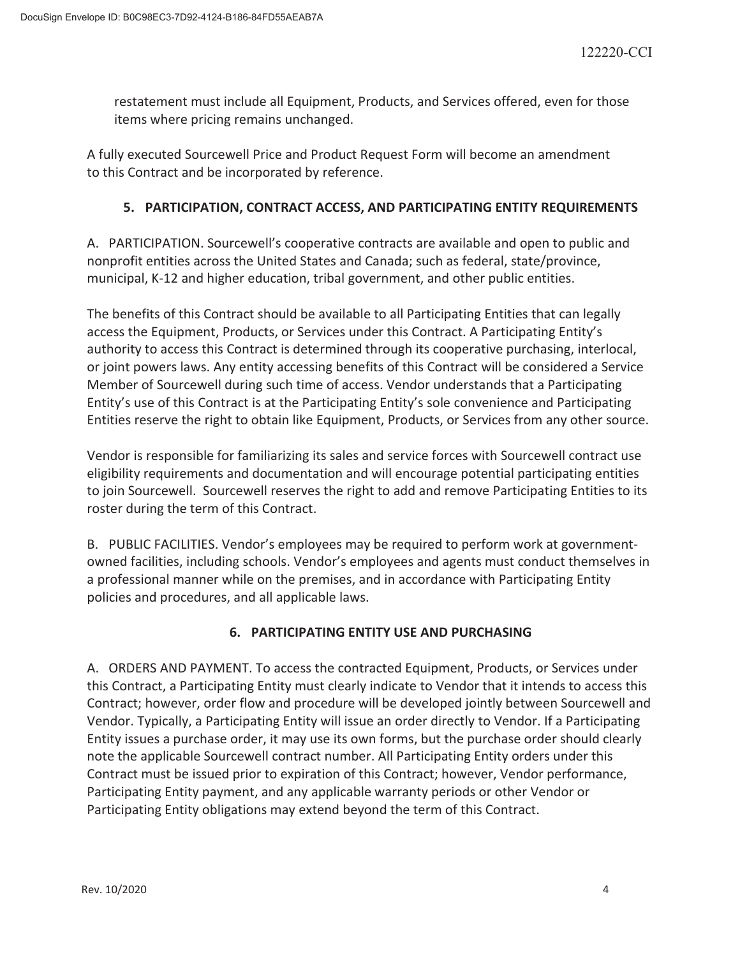restatement must include all Equipment, Products, and Services offered, even for those items where pricing remains unchanged.

A fully executed Sourcewell Price and Product Request Form will become an amendment to this Contract and be incorporated by reference.

## **5. PARTICIPATION, CONTRACT ACCESS, AND PARTICIPATING ENTITY REQUIREMENTS**

A. PARTICIPATION. Sourcewell's cooperative contracts are available and open to public and nonprofit entities across the United States and Canada; such as federal, state/province, municipal, K-12 and higher education, tribal government, and other public entities.

The benefits of this Contract should be available to all Participating Entities that can legally access the Equipment, Products, or Services under this Contract. A Participating Entity's authority to access this Contract is determined through its cooperative purchasing, interlocal, or joint powers laws. Any entity accessing benefits of this Contract will be considered a Service Member of Sourcewell during such time of access. Vendor understands that a Participating Entity's use of this Contract is at the Participating Entity's sole convenience and Participating Entities reserve the right to obtain like Equipment, Products, or Services from any other source.

Vendor is responsible for familiarizing its sales and service forces with Sourcewell contract use eligibility requirements and documentation and will encourage potential participating entities to join Sourcewell. Sourcewell reserves the right to add and remove Participating Entities to its roster during the term of this Contract.

B. PUBLIC FACILITIES. Vendor's employees may be required to perform work at governmentowned facilities, including schools. Vendor's employees and agents must conduct themselves in a professional manner while on the premises, and in accordance with Participating Entity policies and procedures, and all applicable laws.

## **6. PARTICIPATING ENTITY USE AND PURCHASING**

A. ORDERS AND PAYMENT. To access the contracted Equipment, Products, or Services under this Contract, a Participating Entity must clearly indicate to Vendor that it intends to access this Contract; however, order flow and procedure will be developed jointly between Sourcewell and Vendor. Typically, a Participating Entity will issue an order directly to Vendor. If a Participating Entity issues a purchase order, it may use its own forms, but the purchase order should clearly note the applicable Sourcewell contract number. All Participating Entity orders under this Contract must be issued prior to expiration of this Contract; however, Vendor performance, Participating Entity payment, and any applicable warranty periods or other Vendor or Participating Entity obligations may extend beyond the term of this Contract.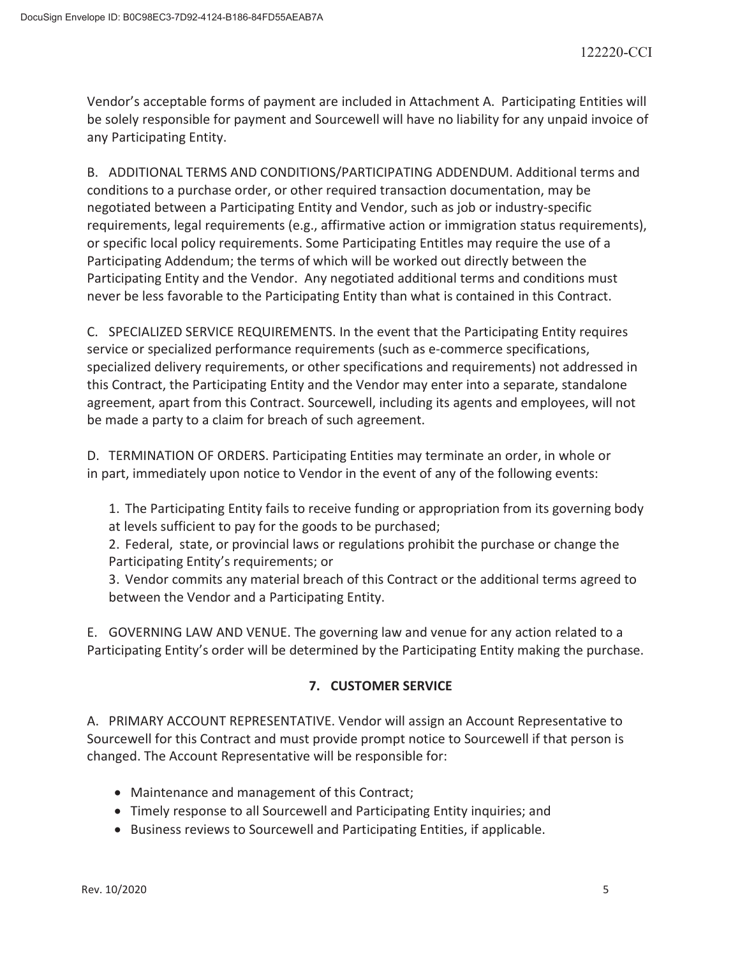Vendor's acceptable forms of payment are included in Attachment A. Participating Entities will be solely responsible for payment and Sourcewell will have no liability for any unpaid invoice of any Participating Entity.

B. ADDITIONAL TERMS AND CONDITIONS/PARTICIPATING ADDENDUM. Additional terms and conditions to a purchase order, or other required transaction documentation, may be negotiated between a Participating Entity and Vendor, such as job or industry-specific requirements, legal requirements (e.g., affirmative action or immigration status requirements), or specific local policy requirements. Some Participating Entitles may require the use of a Participating Addendum; the terms of which will be worked out directly between the Participating Entity and the Vendor. Any negotiated additional terms and conditions must never be less favorable to the Participating Entity than what is contained in this Contract.

C. SPECIALIZED SERVICE REQUIREMENTS. In the event that the Participating Entity requires service or specialized performance requirements (such as e-commerce specifications, specialized delivery requirements, or other specifications and requirements) not addressed in this Contract, the Participating Entity and the Vendor may enter into a separate, standalone agreement, apart from this Contract. Sourcewell, including its agents and employees, will not be made a party to a claim for breach of such agreement.

D. TERMINATION OF ORDERS. Participating Entities may terminate an order, in whole or in part, immediately upon notice to Vendor in the event of any of the following events:

1. The Participating Entity fails to receive funding or appropriation from its governing body at levels sufficient to pay for the goods to be purchased;

2. Federal, state, or provincial laws or regulations prohibit the purchase or change the Participating Entity's requirements; or

3. Vendor commits any material breach of this Contract or the additional terms agreed to between the Vendor and a Participating Entity.

E. GOVERNING LAW AND VENUE. The governing law and venue for any action related to a Participating Entity's order will be determined by the Participating Entity making the purchase.

## **7. CUSTOMER SERVICE**

A. PRIMARY ACCOUNT REPRESENTATIVE. Vendor will assign an Account Representative to Sourcewell for this Contract and must provide prompt notice to Sourcewell if that person is changed. The Account Representative will be responsible for:

- Maintenance and management of this Contract;
- Timely response to all Sourcewell and Participating Entity inquiries; and
- Business reviews to Sourcewell and Participating Entities, if applicable.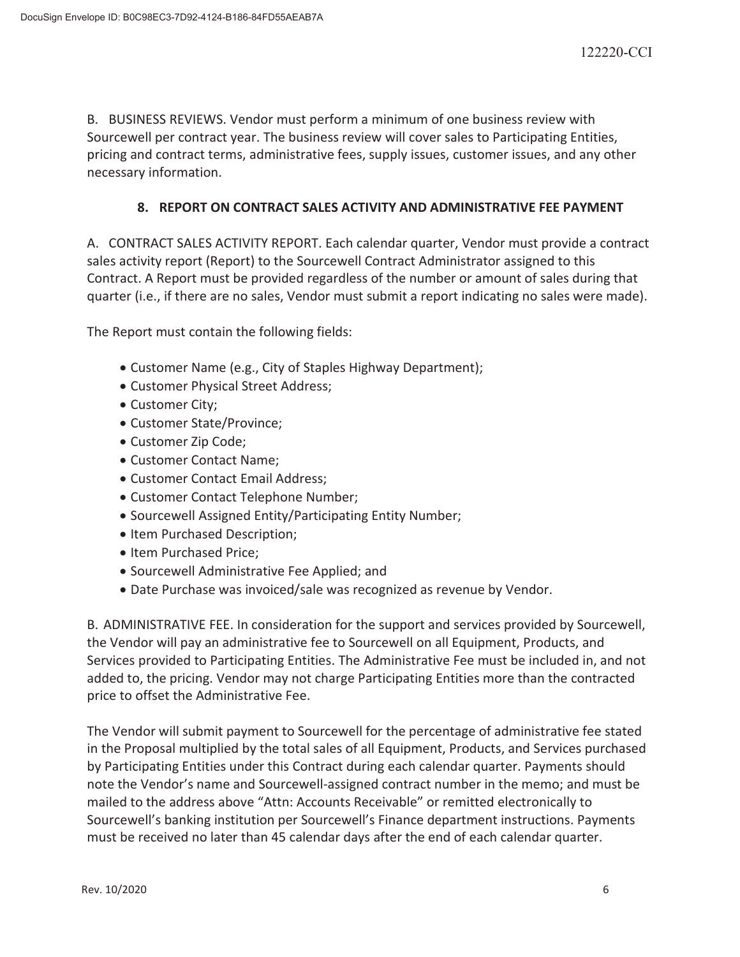B. BUSINESS REVIEWS. Vendor must perform a minimum of one business review with Sourcewell per contract year. The business review will cover sales to Participating Entities, pricing and contract terms, administrative fees, supply issues, customer issues, and any other necessary information.

## **8. REPORT ON CONTRACT SALES ACTIVITY AND ADMINISTRATIVE FEE PAYMENT**

A. CONTRACT SALES ACTIVITY REPORT. Each calendar quarter, Vendor must provide a contract sales activity report (Report) to the Sourcewell Contract Administrator assigned to this Contract. A Report must be provided regardless of the number or amount of sales during that quarter (i.e., if there are no sales, Vendor must submit a report indicating no sales were made).

The Report must contain the following fields:

- Customer Name (e.g., City of Staples Highway Department);
- Customer Physical Street Address;
- Customer City;
- Customer State/Province;
- Customer Zip Code;
- Customer Contact Name:
- Customer Contact Email Address;
- Customer Contact Telephone Number;
- Sourcewell Assigned Entity/Participating Entity Number;
- Item Purchased Description;
- Item Purchased Price;
- x Sourcewell Administrative Fee Applied; and
- Date Purchase was invoiced/sale was recognized as revenue by Vendor.

B. ADMINISTRATIVE FEE. In consideration for the support and services provided by Sourcewell, the Vendor will pay an administrative fee to Sourcewell on all Equipment, Products, and Services provided to Participating Entities. The Administrative Fee must be included in, and not added to, the pricing. Vendor may not charge Participating Entities more than the contracted price to offset the Administrative Fee.

The Vendor will submit payment to Sourcewell for the percentage of administrative fee stated in the Proposal multiplied by the total sales of all Equipment, Products, and Services purchased by Participating Entities under this Contract during each calendar quarter. Payments should note the Vendor's name and Sourcewell-assigned contract number in the memo; and must be mailed to the address above "Attn: Accounts Receivable" or remitted electronically to Sourcewell's banking institution per Sourcewell's Finance department instructions. Payments must be received no later than 45 calendar days after the end of each calendar quarter.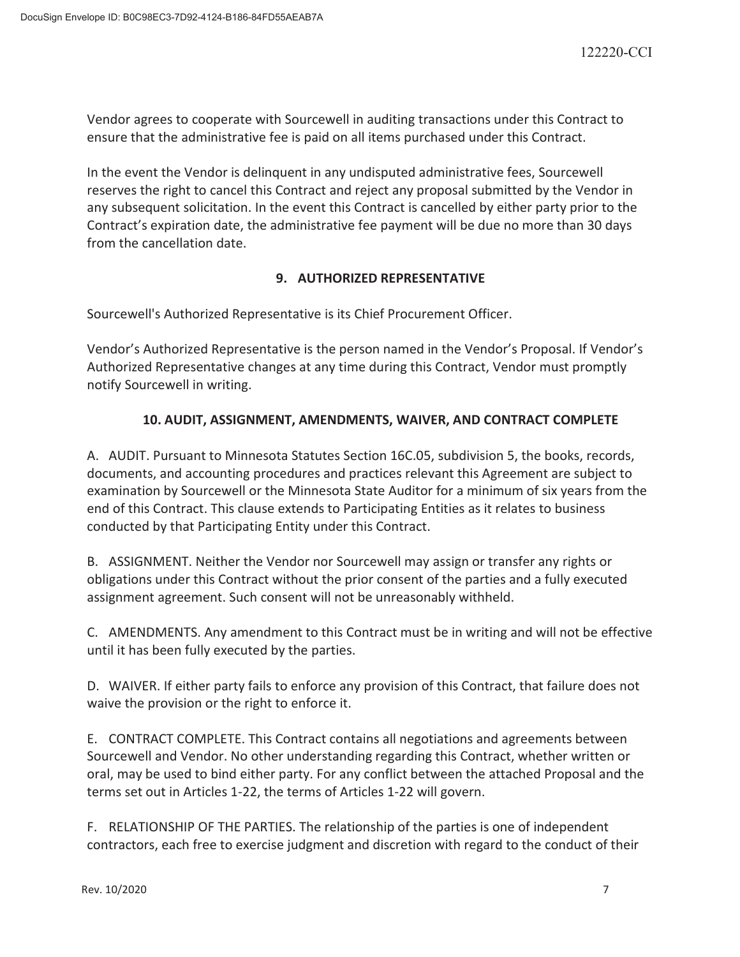Vendor agrees to cooperate with Sourcewell in auditing transactions under this Contract to ensure that the administrative fee is paid on all items purchased under this Contract.

In the event the Vendor is delinquent in any undisputed administrative fees, Sourcewell reserves the right to cancel this Contract and reject any proposal submitted by the Vendor in any subsequent solicitation. In the event this Contract is cancelled by either party prior to the Contract's expiration date, the administrative fee payment will be due no more than 30 days from the cancellation date.

# **9. AUTHORIZED REPRESENTATIVE**

Sourcewell's Authorized Representative is its Chief Procurement Officer.

Vendor's Authorized Representative is the person named in the Vendor's Proposal. If Vendor's Authorized Representative changes at any time during this Contract, Vendor must promptly notify Sourcewell in writing.

## **10. AUDIT, ASSIGNMENT, AMENDMENTS, WAIVER, AND CONTRACT COMPLETE**

A. AUDIT. Pursuant to Minnesota Statutes Section 16C.05, subdivision 5, the books, records, documents, and accounting procedures and practices relevant this Agreement are subject to examination by Sourcewell or the Minnesota State Auditor for a minimum of six years from the end of this Contract. This clause extends to Participating Entities as it relates to business conducted by that Participating Entity under this Contract.

B. ASSIGNMENT. Neither the Vendor nor Sourcewell may assign or transfer any rights or obligations under this Contract without the prior consent of the parties and a fully executed assignment agreement. Such consent will not be unreasonably withheld.

C. AMENDMENTS. Any amendment to this Contract must be in writing and will not be effective until it has been fully executed by the parties.

D. WAIVER. If either party fails to enforce any provision of this Contract, that failure does not waive the provision or the right to enforce it.

E. CONTRACT COMPLETE. This Contract contains all negotiations and agreements between Sourcewell and Vendor. No other understanding regarding this Contract, whether written or oral, may be used to bind either party. For any conflict between the attached Proposal and the terms set out in Articles 1-22, the terms of Articles 1-22 will govern.

F. RELATIONSHIP OF THE PARTIES. The relationship of the parties is one of independent contractors, each free to exercise judgment and discretion with regard to the conduct of their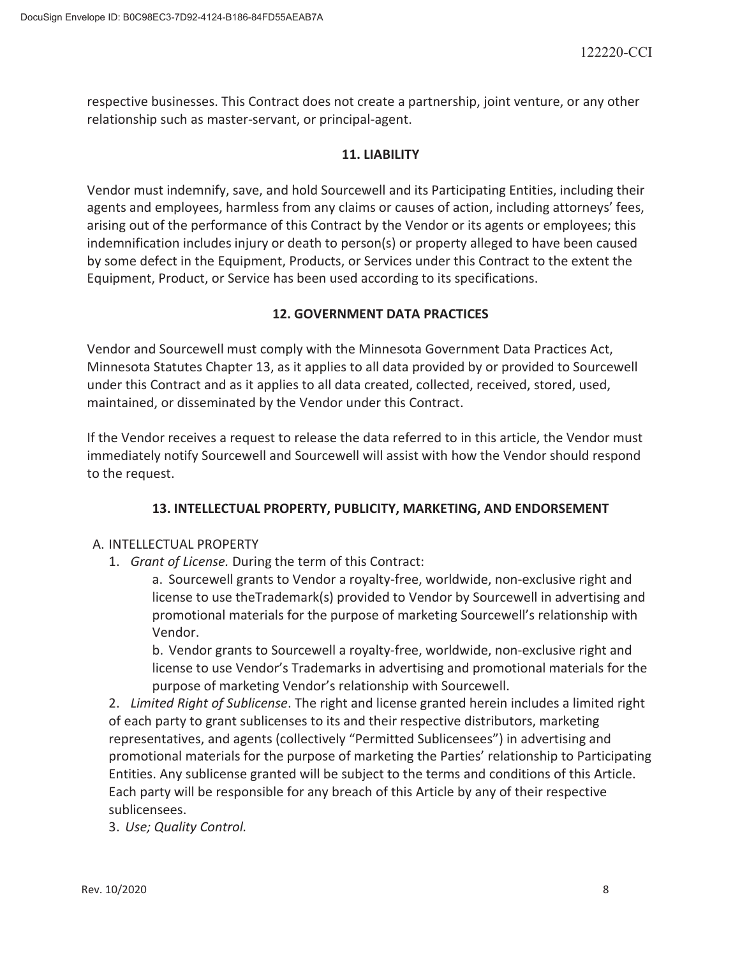respective businesses. This Contract does not create a partnership, joint venture, or any other relationship such as master-servant, or principal-agent.

## **11. LIABILITY**

Vendor must indemnify, save, and hold Sourcewell and its Participating Entities, including their agents and employees, harmless from any claims or causes of action, including attorneys' fees, arising out of the performance of this Contract by the Vendor or its agents or employees; this indemnification includes injury or death to person(s) or property alleged to have been caused by some defect in the Equipment, Products, or Services under this Contract to the extent the Equipment, Product, or Service has been used according to its specifications.

## **12. GOVERNMENT DATA PRACTICES**

Vendor and Sourcewell must comply with the Minnesota Government Data Practices Act, Minnesota Statutes Chapter 13, as it applies to all data provided by or provided to Sourcewell under this Contract and as it applies to all data created, collected, received, stored, used, maintained, or disseminated by the Vendor under this Contract.

If the Vendor receives a request to release the data referred to in this article, the Vendor must immediately notify Sourcewell and Sourcewell will assist with how the Vendor should respond to the request.

## **13. INTELLECTUAL PROPERTY, PUBLICITY, MARKETING, AND ENDORSEMENT**

## A. INTELLECTUAL PROPERTY

1. *Grant of License.* During the term of this Contract:

a. Sourcewell grants to Vendor a royalty-free, worldwide, non-exclusive right and license to use theTrademark(s) provided to Vendor by Sourcewell in advertising and promotional materials for the purpose of marketing Sourcewell's relationship with Vendor.

b. Vendor grants to Sourcewell a royalty-free, worldwide, non-exclusive right and license to use Vendor's Trademarks in advertising and promotional materials for the purpose of marketing Vendor's relationship with Sourcewell.

2. *Limited Right of Sublicense*. The right and license granted herein includes a limited right of each party to grant sublicenses to its and their respective distributors, marketing representatives, and agents (collectively "Permitted Sublicensees") in advertising and promotional materials for the purpose of marketing the Parties' relationship to Participating Entities. Any sublicense granted will be subject to the terms and conditions of this Article. Each party will be responsible for any breach of this Article by any of their respective sublicensees.

3. *Use; Quality Control.*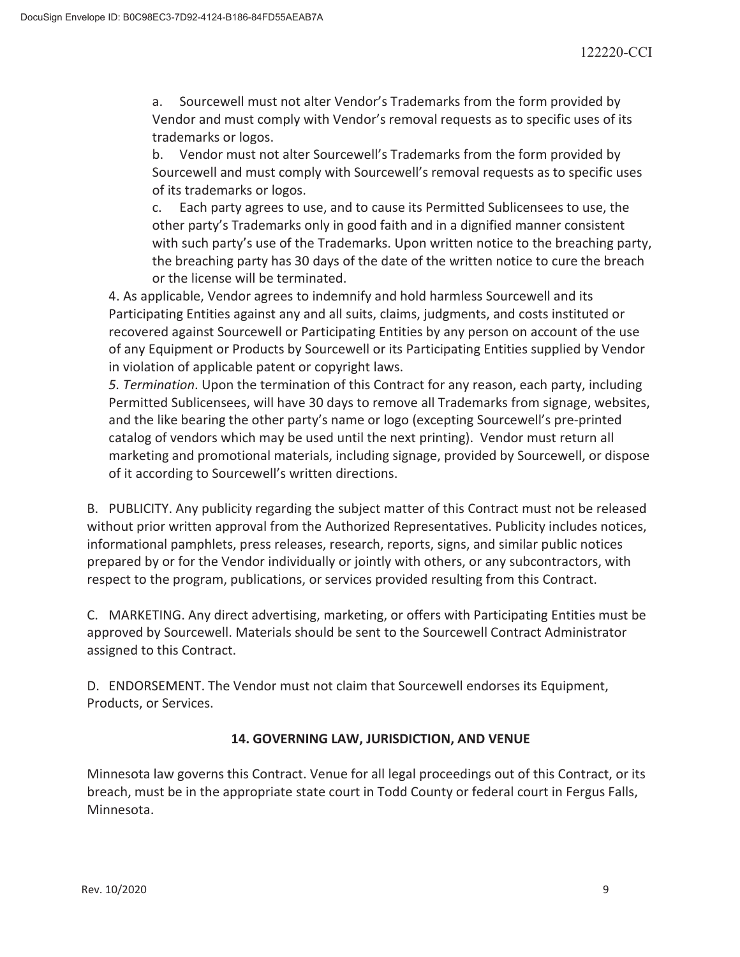a. Sourcewell must not alter Vendor's Trademarks from the form provided by Vendor and must comply with Vendor's removal requests as to specific uses of its trademarks or logos.

b. Vendor must not alter Sourcewell's Trademarks from the form provided by Sourcewell and must comply with Sourcewell's removal requests as to specific uses of its trademarks or logos.

c. Each party agrees to use, and to cause its Permitted Sublicensees to use, the other party's Trademarks only in good faith and in a dignified manner consistent with such party's use of the Trademarks. Upon written notice to the breaching party, the breaching party has 30 days of the date of the written notice to cure the breach or the license will be terminated.

4. As applicable, Vendor agrees to indemnify and hold harmless Sourcewell and its Participating Entities against any and all suits, claims, judgments, and costs instituted or recovered against Sourcewell or Participating Entities by any person on account of the use of any Equipment or Products by Sourcewell or its Participating Entities supplied by Vendor in violation of applicable patent or copyright laws.

*5. Termination*. Upon the termination of this Contract for any reason, each party, including Permitted Sublicensees, will have 30 days to remove all Trademarks from signage, websites, and the like bearing the other party's name or logo (excepting Sourcewell's pre-printed catalog of vendors which may be used until the next printing). Vendor must return all marketing and promotional materials, including signage, provided by Sourcewell, or dispose of it according to Sourcewell's written directions.

B. PUBLICITY. Any publicity regarding the subject matter of this Contract must not be released without prior written approval from the Authorized Representatives. Publicity includes notices, informational pamphlets, press releases, research, reports, signs, and similar public notices prepared by or for the Vendor individually or jointly with others, or any subcontractors, with respect to the program, publications, or services provided resulting from this Contract.

C. MARKETING. Any direct advertising, marketing, or offers with Participating Entities must be approved by Sourcewell. Materials should be sent to the Sourcewell Contract Administrator assigned to this Contract.

D. ENDORSEMENT. The Vendor must not claim that Sourcewell endorses its Equipment, Products, or Services.

## **14. GOVERNING LAW, JURISDICTION, AND VENUE**

Minnesota law governs this Contract. Venue for all legal proceedings out of this Contract, or its breach, must be in the appropriate state court in Todd County or federal court in Fergus Falls, Minnesota.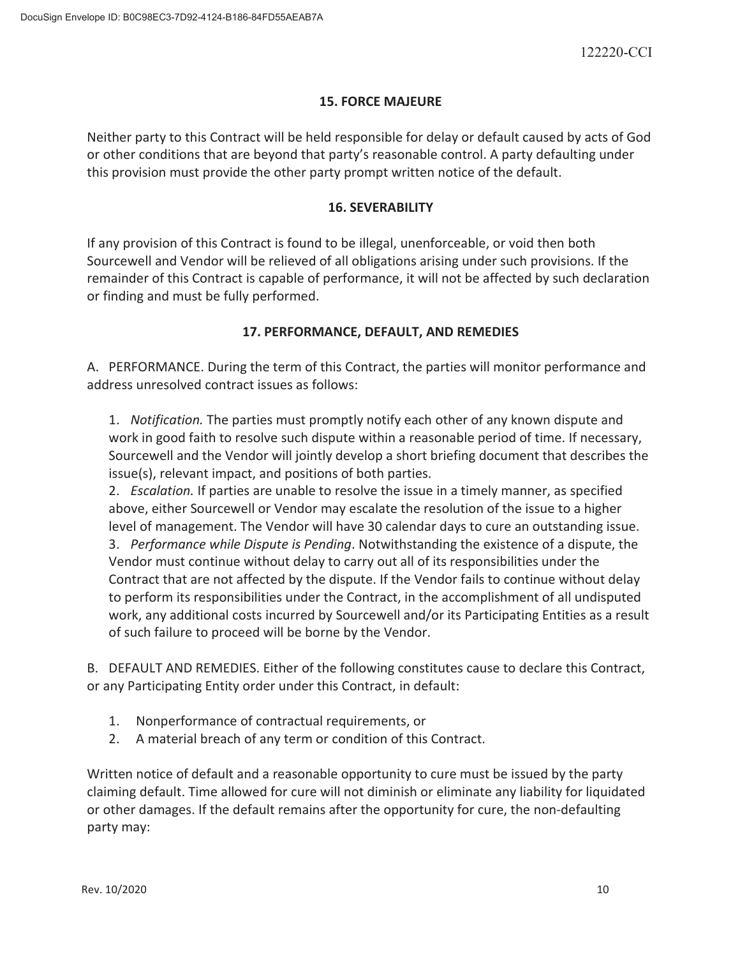## **15. FORCE MAJEURE**

Neither party to this Contract will be held responsible for delay or default caused by acts of God or other conditions that are beyond that party's reasonable control. A party defaulting under this provision must provide the other party prompt written notice of the default.

## **16. SEVERABILITY**

If any provision of this Contract is found to be illegal, unenforceable, or void then both Sourcewell and Vendor will be relieved of all obligations arising under such provisions. If the remainder of this Contract is capable of performance, it will not be affected by such declaration or finding and must be fully performed.

## **17. PERFORMANCE, DEFAULT, AND REMEDIES**

A. PERFORMANCE. During the term of this Contract, the parties will monitor performance and address unresolved contract issues as follows:

1. *Notification.* The parties must promptly notify each other of any known dispute and work in good faith to resolve such dispute within a reasonable period of time. If necessary, Sourcewell and the Vendor will jointly develop a short briefing document that describes the issue(s), relevant impact, and positions of both parties.

2. *Escalation.* If parties are unable to resolve the issue in a timely manner, as specified above, either Sourcewell or Vendor may escalate the resolution of the issue to a higher level of management. The Vendor will have 30 calendar days to cure an outstanding issue. 3. *Performance while Dispute is Pending*. Notwithstanding the existence of a dispute, the Vendor must continue without delay to carry out all of its responsibilities under the Contract that are not affected by the dispute. If the Vendor fails to continue without delay to perform its responsibilities under the Contract, in the accomplishment of all undisputed work, any additional costs incurred by Sourcewell and/or its Participating Entities as a result of such failure to proceed will be borne by the Vendor.

B. DEFAULT AND REMEDIES. Either of the following constitutes cause to declare this Contract, or any Participating Entity order under this Contract, in default:

- 1. Nonperformance of contractual requirements, or
- 2. A material breach of any term or condition of this Contract.

Written notice of default and a reasonable opportunity to cure must be issued by the party claiming default. Time allowed for cure will not diminish or eliminate any liability for liquidated or other damages. If the default remains after the opportunity for cure, the non-defaulting party may: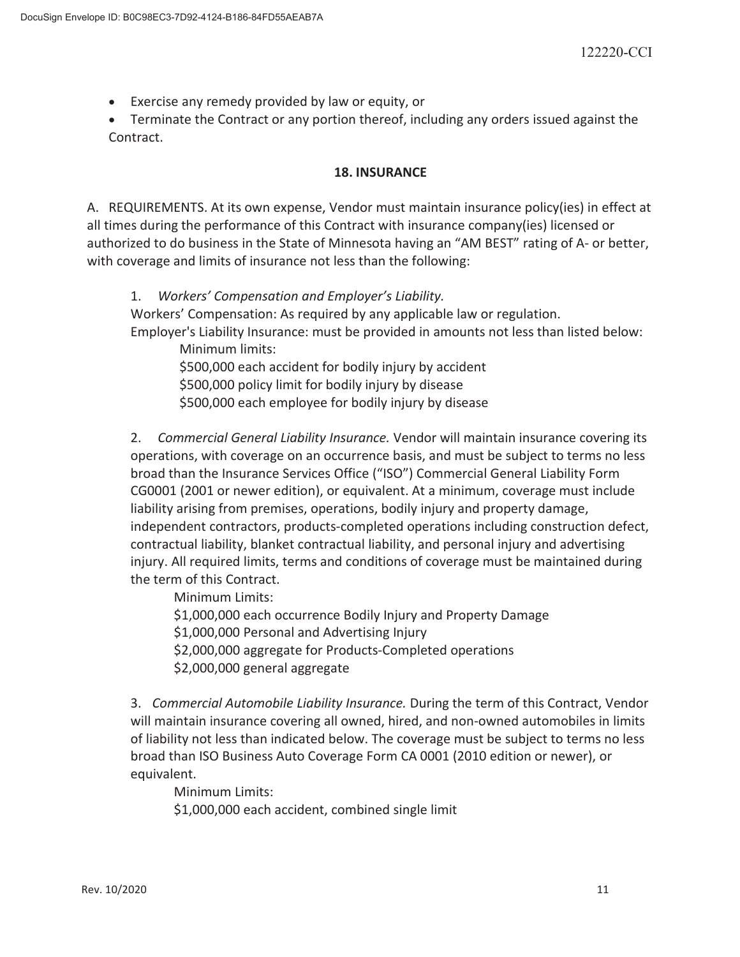**Exercise any remedy provided by law or equity, or** 

• Terminate the Contract or any portion thereof, including any orders issued against the Contract.

## **18. INSURANCE**

A. REQUIREMENTS. At its own expense, Vendor must maintain insurance policy(ies) in effect at all times during the performance of this Contract with insurance company(ies) licensed or authorized to do business in the State of Minnesota having an "AM BEST" rating of A- or better, with coverage and limits of insurance not less than the following:

1. *Workers' Compensation and Employer's Liability.* Workers' Compensation: As required by any applicable law or regulation. Employer's Liability Insurance: must be provided in amounts not less than listed below: Minimum limits:

\$500,000 each accident for bodily injury by accident \$500,000 policy limit for bodily injury by disease \$500,000 each employee for bodily injury by disease

2. *Commercial General Liability Insurance.* Vendor will maintain insurance covering its operations, with coverage on an occurrence basis, and must be subject to terms no less broad than the Insurance Services Office ("ISO") Commercial General Liability Form CG0001 (2001 or newer edition), or equivalent. At a minimum, coverage must include liability arising from premises, operations, bodily injury and property damage, independent contractors, products-completed operations including construction defect, contractual liability, blanket contractual liability, and personal injury and advertising injury. All required limits, terms and conditions of coverage must be maintained during the term of this Contract.

Minimum Limits:

\$1,000,000 each occurrence Bodily Injury and Property Damage \$1,000,000 Personal and Advertising Injury \$2,000,000 aggregate for Products-Completed operations \$2,000,000 general aggregate

3. *Commercial Automobile Liability Insurance.* During the term of this Contract, Vendor will maintain insurance covering all owned, hired, and non-owned automobiles in limits of liability not less than indicated below. The coverage must be subject to terms no less broad than ISO Business Auto Coverage Form CA 0001 (2010 edition or newer), or equivalent.

Minimum Limits:

\$1,000,000 each accident, combined single limit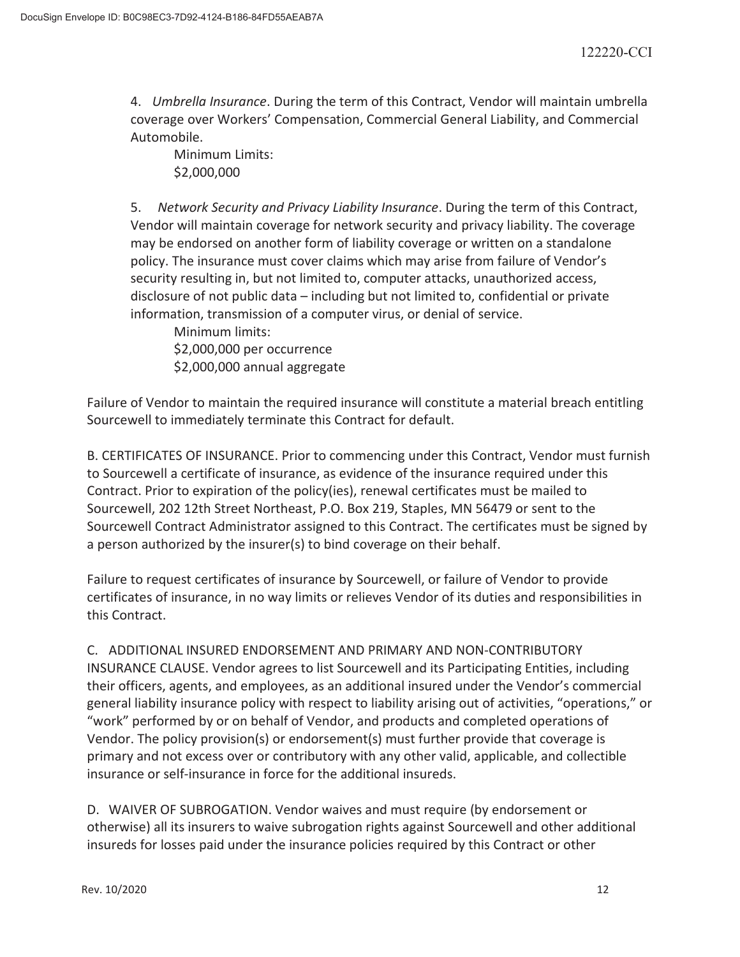4. *Umbrella Insurance*. During the term of this Contract, Vendor will maintain umbrella coverage over Workers' Compensation, Commercial General Liability, and Commercial Automobile.

 Minimum Limits: \$2,000,000

5. *Network Security and Privacy Liability Insurance*. During the term of this Contract, Vendor will maintain coverage for network security and privacy liability. The coverage may be endorsed on another form of liability coverage or written on a standalone policy. The insurance must cover claims which may arise from failure of Vendor's security resulting in, but not limited to, computer attacks, unauthorized access, disclosure of not public data – including but not limited to, confidential or private information, transmission of a computer virus, or denial of service.

 Minimum limits: \$2,000,000 per occurrence \$2,000,000 annual aggregate

Failure of Vendor to maintain the required insurance will constitute a material breach entitling Sourcewell to immediately terminate this Contract for default.

B. CERTIFICATES OF INSURANCE. Prior to commencing under this Contract, Vendor must furnish to Sourcewell a certificate of insurance, as evidence of the insurance required under this Contract. Prior to expiration of the policy(ies), renewal certificates must be mailed to Sourcewell, 202 12th Street Northeast, P.O. Box 219, Staples, MN 56479 or sent to the Sourcewell Contract Administrator assigned to this Contract. The certificates must be signed by a person authorized by the insurer(s) to bind coverage on their behalf.

Failure to request certificates of insurance by Sourcewell, or failure of Vendor to provide certificates of insurance, in no way limits or relieves Vendor of its duties and responsibilities in this Contract.

C. ADDITIONAL INSURED ENDORSEMENT AND PRIMARY AND NON-CONTRIBUTORY INSURANCE CLAUSE. Vendor agrees to list Sourcewell and its Participating Entities, including their officers, agents, and employees, as an additional insured under the Vendor's commercial general liability insurance policy with respect to liability arising out of activities, "operations," or "work" performed by or on behalf of Vendor, and products and completed operations of Vendor. The policy provision(s) or endorsement(s) must further provide that coverage is primary and not excess over or contributory with any other valid, applicable, and collectible insurance or self-insurance in force for the additional insureds.

D. WAIVER OF SUBROGATION. Vendor waives and must require (by endorsement or otherwise) all its insurers to waive subrogation rights against Sourcewell and other additional insureds for losses paid under the insurance policies required by this Contract or other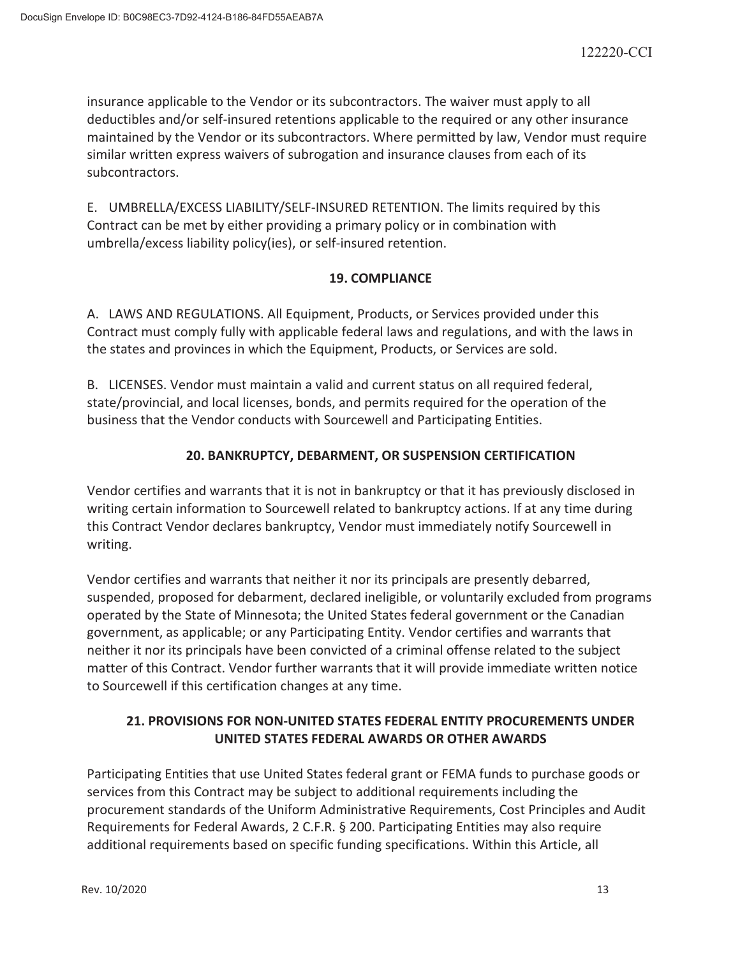insurance applicable to the Vendor or its subcontractors. The waiver must apply to all deductibles and/or self-insured retentions applicable to the required or any other insurance maintained by the Vendor or its subcontractors. Where permitted by law, Vendor must require similar written express waivers of subrogation and insurance clauses from each of its subcontractors.

E. UMBRELLA/EXCESS LIABILITY/SELF-INSURED RETENTION. The limits required by this Contract can be met by either providing a primary policy or in combination with umbrella/excess liability policy(ies), or self-insured retention.

## **19. COMPLIANCE**

A. LAWS AND REGULATIONS. All Equipment, Products, or Services provided under this Contract must comply fully with applicable federal laws and regulations, and with the laws in the states and provinces in which the Equipment, Products, or Services are sold.

B. LICENSES. Vendor must maintain a valid and current status on all required federal, state/provincial, and local licenses, bonds, and permits required for the operation of the business that the Vendor conducts with Sourcewell and Participating Entities.

## **20. BANKRUPTCY, DEBARMENT, OR SUSPENSION CERTIFICATION**

Vendor certifies and warrants that it is not in bankruptcy or that it has previously disclosed in writing certain information to Sourcewell related to bankruptcy actions. If at any time during this Contract Vendor declares bankruptcy, Vendor must immediately notify Sourcewell in writing.

Vendor certifies and warrants that neither it nor its principals are presently debarred, suspended, proposed for debarment, declared ineligible, or voluntarily excluded from programs operated by the State of Minnesota; the United States federal government or the Canadian government, as applicable; or any Participating Entity. Vendor certifies and warrants that neither it nor its principals have been convicted of a criminal offense related to the subject matter of this Contract. Vendor further warrants that it will provide immediate written notice to Sourcewell if this certification changes at any time.

# **21. PROVISIONS FOR NON-UNITED STATES FEDERAL ENTITY PROCUREMENTS UNDER UNITED STATES FEDERAL AWARDS OR OTHER AWARDS**

Participating Entities that use United States federal grant or FEMA funds to purchase goods or services from this Contract may be subject to additional requirements including the procurement standards of the Uniform Administrative Requirements, Cost Principles and Audit Requirements for Federal Awards, 2 C.F.R. § 200. Participating Entities may also require additional requirements based on specific funding specifications. Within this Article, all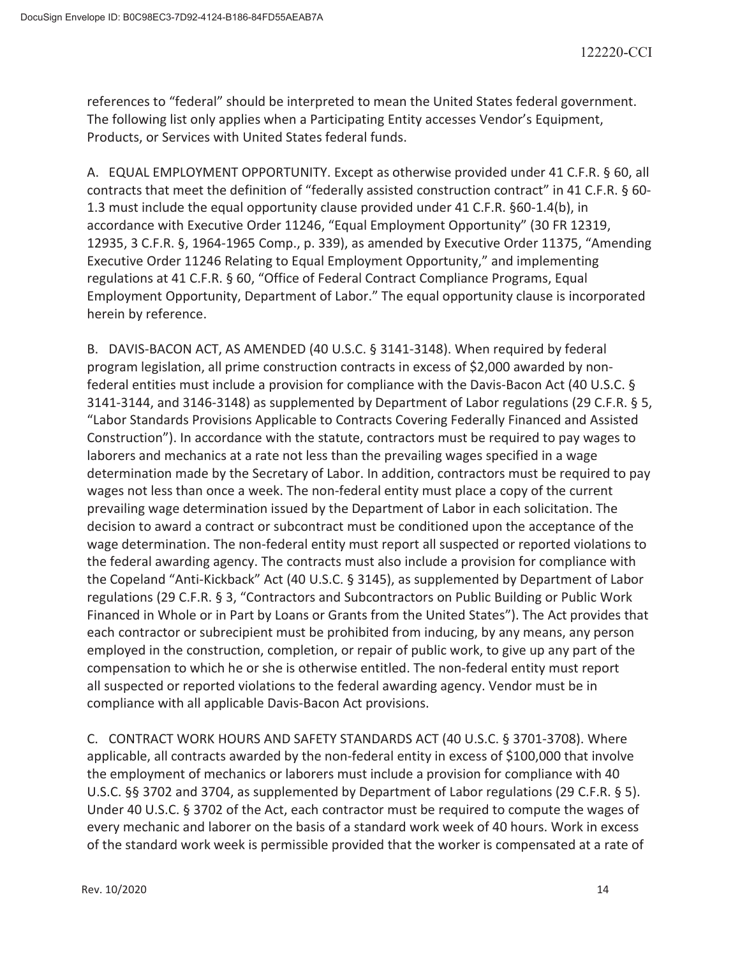references to "federal" should be interpreted to mean the United States federal government. The following list only applies when a Participating Entity accesses Vendor's Equipment, Products, or Services with United States federal funds.

A. EQUAL EMPLOYMENT OPPORTUNITY. Except as otherwise provided under 41 C.F.R. § 60, all contracts that meet the definition of "federally assisted construction contract" in 41 C.F.R. § 60- 1.3 must include the equal opportunity clause provided under 41 C.F.R. §60-1.4(b), in accordance with Executive Order 11246, "Equal Employment Opportunity" (30 FR 12319, 12935, 3 C.F.R. §, 1964-1965 Comp., p. 339), as amended by Executive Order 11375, "Amending Executive Order 11246 Relating to Equal Employment Opportunity," and implementing regulations at 41 C.F.R. § 60, "Office of Federal Contract Compliance Programs, Equal Employment Opportunity, Department of Labor." The equal opportunity clause is incorporated herein by reference.

B. DAVIS-BACON ACT, AS AMENDED (40 U.S.C. § 3141-3148). When required by federal program legislation, all prime construction contracts in excess of \$2,000 awarded by nonfederal entities must include a provision for compliance with the Davis-Bacon Act (40 U.S.C. § 3141-3144, and 3146-3148) as supplemented by Department of Labor regulations (29 C.F.R. § 5, "Labor Standards Provisions Applicable to Contracts Covering Federally Financed and Assisted Construction"). In accordance with the statute, contractors must be required to pay wages to laborers and mechanics at a rate not less than the prevailing wages specified in a wage determination made by the Secretary of Labor. In addition, contractors must be required to pay wages not less than once a week. The non-federal entity must place a copy of the current prevailing wage determination issued by the Department of Labor in each solicitation. The decision to award a contract or subcontract must be conditioned upon the acceptance of the wage determination. The non-federal entity must report all suspected or reported violations to the federal awarding agency. The contracts must also include a provision for compliance with the Copeland "Anti-Kickback" Act (40 U.S.C. § 3145), as supplemented by Department of Labor regulations (29 C.F.R. § 3, "Contractors and Subcontractors on Public Building or Public Work Financed in Whole or in Part by Loans or Grants from the United States"). The Act provides that each contractor or subrecipient must be prohibited from inducing, by any means, any person employed in the construction, completion, or repair of public work, to give up any part of the compensation to which he or she is otherwise entitled. The non-federal entity must report all suspected or reported violations to the federal awarding agency. Vendor must be in compliance with all applicable Davis-Bacon Act provisions.

C. CONTRACT WORK HOURS AND SAFETY STANDARDS ACT (40 U.S.C. § 3701-3708). Where applicable, all contracts awarded by the non-federal entity in excess of \$100,000 that involve the employment of mechanics or laborers must include a provision for compliance with 40 U.S.C. §§ 3702 and 3704, as supplemented by Department of Labor regulations (29 C.F.R. § 5). Under 40 U.S.C. § 3702 of the Act, each contractor must be required to compute the wages of every mechanic and laborer on the basis of a standard work week of 40 hours. Work in excess of the standard work week is permissible provided that the worker is compensated at a rate of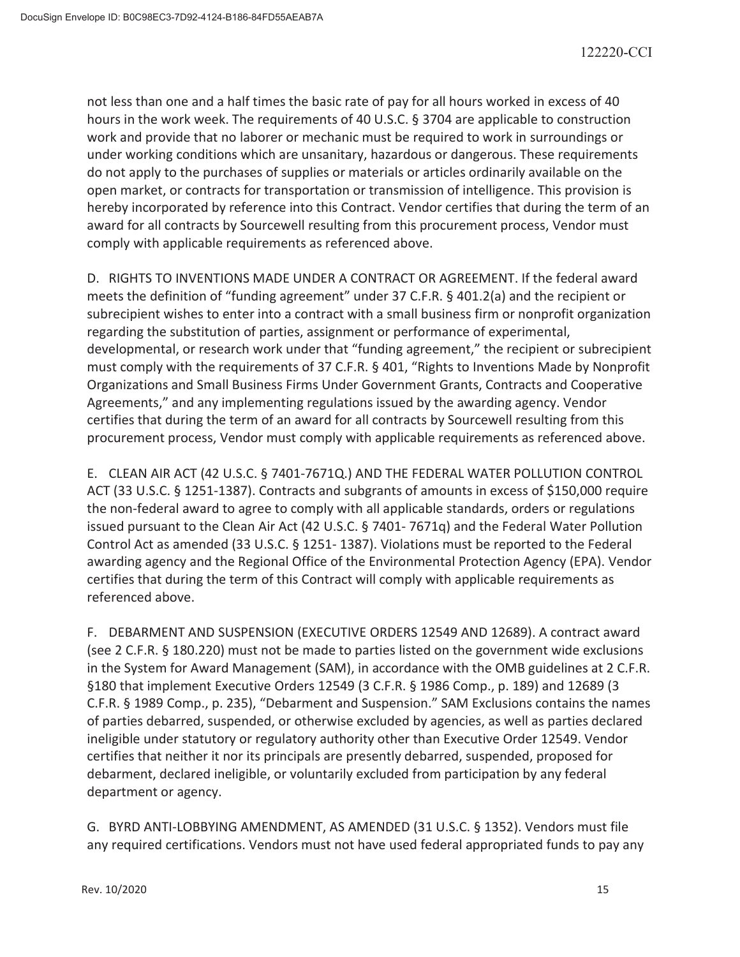not less than one and a half times the basic rate of pay for all hours worked in excess of 40 hours in the work week. The requirements of 40 U.S.C. § 3704 are applicable to construction work and provide that no laborer or mechanic must be required to work in surroundings or under working conditions which are unsanitary, hazardous or dangerous. These requirements do not apply to the purchases of supplies or materials or articles ordinarily available on the open market, or contracts for transportation or transmission of intelligence. This provision is hereby incorporated by reference into this Contract. Vendor certifies that during the term of an award for all contracts by Sourcewell resulting from this procurement process, Vendor must comply with applicable requirements as referenced above.

D. RIGHTS TO INVENTIONS MADE UNDER A CONTRACT OR AGREEMENT. If the federal award meets the definition of "funding agreement" under 37 C.F.R. § 401.2(a) and the recipient or subrecipient wishes to enter into a contract with a small business firm or nonprofit organization regarding the substitution of parties, assignment or performance of experimental, developmental, or research work under that "funding agreement," the recipient or subrecipient must comply with the requirements of 37 C.F.R. § 401, "Rights to Inventions Made by Nonprofit Organizations and Small Business Firms Under Government Grants, Contracts and Cooperative Agreements," and any implementing regulations issued by the awarding agency. Vendor certifies that during the term of an award for all contracts by Sourcewell resulting from this procurement process, Vendor must comply with applicable requirements as referenced above.

E. CLEAN AIR ACT (42 U.S.C. § 7401-7671Q.) AND THE FEDERAL WATER POLLUTION CONTROL ACT (33 U.S.C. § 1251-1387). Contracts and subgrants of amounts in excess of \$150,000 require the non-federal award to agree to comply with all applicable standards, orders or regulations issued pursuant to the Clean Air Act (42 U.S.C. § 7401- 7671q) and the Federal Water Pollution Control Act as amended (33 U.S.C. § 1251- 1387). Violations must be reported to the Federal awarding agency and the Regional Office of the Environmental Protection Agency (EPA). Vendor certifies that during the term of this Contract will comply with applicable requirements as referenced above.

F. DEBARMENT AND SUSPENSION (EXECUTIVE ORDERS 12549 AND 12689). A contract award (see 2 C.F.R. § 180.220) must not be made to parties listed on the government wide exclusions in the System for Award Management (SAM), in accordance with the OMB guidelines at 2 C.F.R. §180 that implement Executive Orders 12549 (3 C.F.R. § 1986 Comp., p. 189) and 12689 (3 C.F.R. § 1989 Comp., p. 235), "Debarment and Suspension." SAM Exclusions contains the names of parties debarred, suspended, or otherwise excluded by agencies, as well as parties declared ineligible under statutory or regulatory authority other than Executive Order 12549. Vendor certifies that neither it nor its principals are presently debarred, suspended, proposed for debarment, declared ineligible, or voluntarily excluded from participation by any federal department or agency.

G. BYRD ANTI-LOBBYING AMENDMENT, AS AMENDED (31 U.S.C. § 1352). Vendors must file any required certifications. Vendors must not have used federal appropriated funds to pay any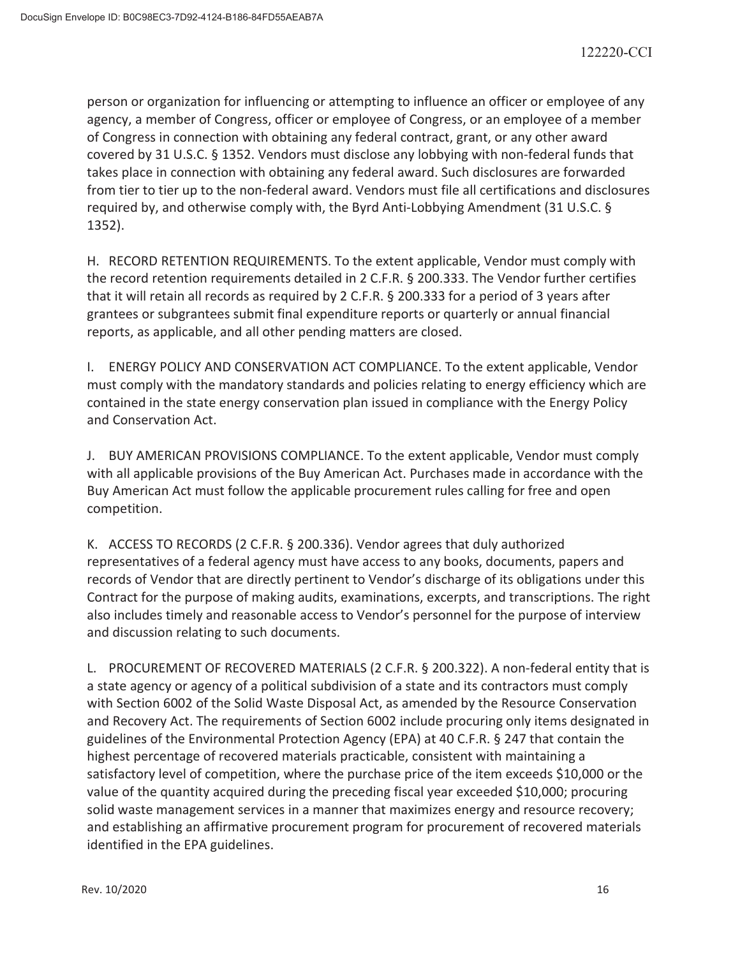person or organization for influencing or attempting to influence an officer or employee of any agency, a member of Congress, officer or employee of Congress, or an employee of a member of Congress in connection with obtaining any federal contract, grant, or any other award covered by 31 U.S.C. § 1352. Vendors must disclose any lobbying with non-federal funds that takes place in connection with obtaining any federal award. Such disclosures are forwarded from tier to tier up to the non-federal award. Vendors must file all certifications and disclosures required by, and otherwise comply with, the Byrd Anti-Lobbying Amendment (31 U.S.C. § 1352).

H. RECORD RETENTION REQUIREMENTS. To the extent applicable, Vendor must comply with the record retention requirements detailed in 2 C.F.R. § 200.333. The Vendor further certifies that it will retain all records as required by 2 C.F.R. § 200.333 for a period of 3 years after grantees or subgrantees submit final expenditure reports or quarterly or annual financial reports, as applicable, and all other pending matters are closed.

I. ENERGY POLICY AND CONSERVATION ACT COMPLIANCE. To the extent applicable, Vendor must comply with the mandatory standards and policies relating to energy efficiency which are contained in the state energy conservation plan issued in compliance with the Energy Policy and Conservation Act.

J. BUY AMERICAN PROVISIONS COMPLIANCE. To the extent applicable, Vendor must comply with all applicable provisions of the Buy American Act. Purchases made in accordance with the Buy American Act must follow the applicable procurement rules calling for free and open competition.

K. ACCESS TO RECORDS (2 C.F.R. § 200.336). Vendor agrees that duly authorized representatives of a federal agency must have access to any books, documents, papers and records of Vendor that are directly pertinent to Vendor's discharge of its obligations under this Contract for the purpose of making audits, examinations, excerpts, and transcriptions. The right also includes timely and reasonable access to Vendor's personnel for the purpose of interview and discussion relating to such documents.

L. PROCUREMENT OF RECOVERED MATERIALS (2 C.F.R. § 200.322). A non-federal entity that is a state agency or agency of a political subdivision of a state and its contractors must comply with Section 6002 of the Solid Waste Disposal Act, as amended by the Resource Conservation and Recovery Act. The requirements of Section 6002 include procuring only items designated in guidelines of the Environmental Protection Agency (EPA) at 40 C.F.R. § 247 that contain the highest percentage of recovered materials practicable, consistent with maintaining a satisfactory level of competition, where the purchase price of the item exceeds \$10,000 or the value of the quantity acquired during the preceding fiscal year exceeded \$10,000; procuring solid waste management services in a manner that maximizes energy and resource recovery; and establishing an affirmative procurement program for procurement of recovered materials identified in the EPA guidelines.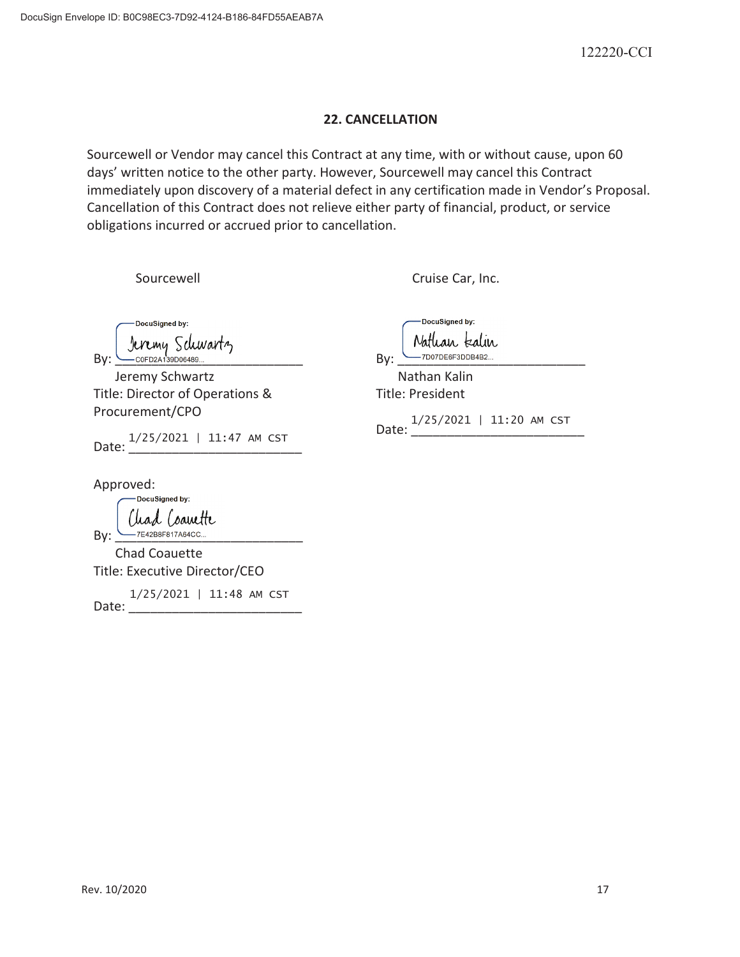#### **22. CANCELLATION**

Sourcewell or Vendor may cancel this Contract at any time, with or without cause, upon 60 days' written notice to the other party. However, Sourcewell may cancel this Contract immediately upon discovery of a material defect in any certification made in Vendor's Proposal. Cancellation of this Contract does not relieve either party of financial, product, or service obligations incurred or accrued prior to cancellation.

Sourcewell **Carry Counting Care Care Care Care Carry Cruise Car, Inc.** 

DocuSianed by: By: Christian Schwartz<br>By: COOFD2A139D06489...

Jeremy Schwartz **Nathan Kalin** Title: Director of Operations & Procurement/CPO

Date: 1/25/2021 | 11:47 AM CST

DocuSigned by: Nathan kalin

Title: President

Date: 1/25/2021 | 11:20 AM CST

Approved:<br>Docusigned by:

Clead Coavette By: \_\_\_\_\_\_\_\_\_\_\_\_\_\_\_\_\_\_\_\_\_\_\_\_\_\_

Chad Coauette Title: Executive Director/CEO

Date: \_\_\_\_\_\_\_\_\_\_\_\_\_\_\_\_\_\_\_\_\_\_\_\_ 1/25/2021 | 11:48 AM CST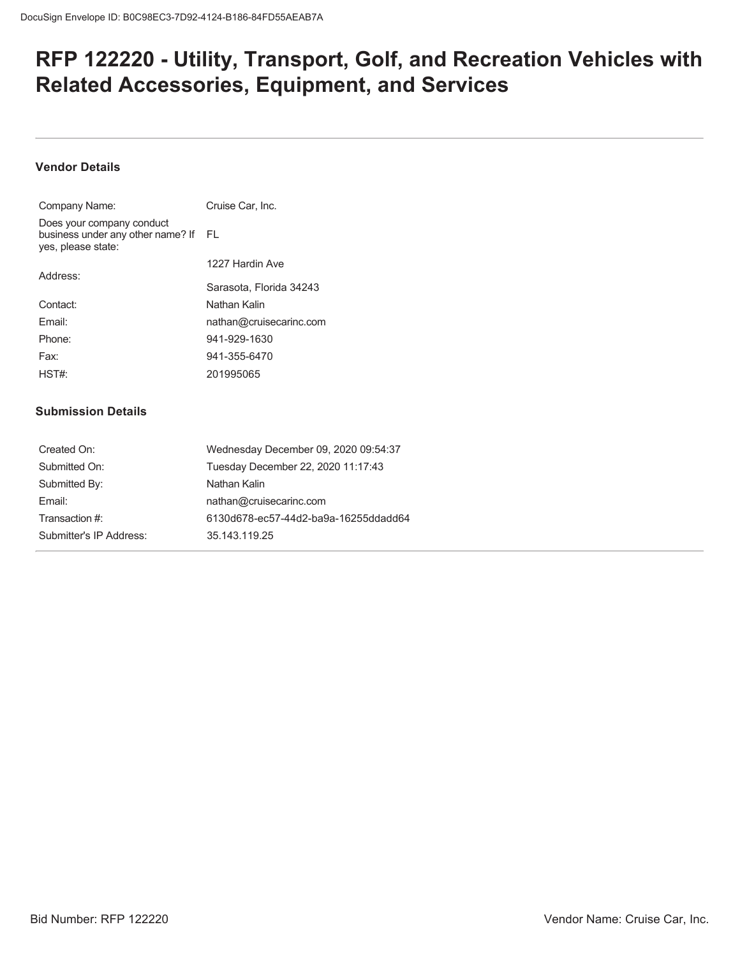# **RFP 122220 - Utility, Transport, Golf, and Recreation Vehicles with Related Accessories, Equipment, and Services**

## **Vendor Details**

| Company Name:                                                                           | Cruise Car. Inc.        |
|-----------------------------------------------------------------------------------------|-------------------------|
| Does your company conduct<br>business under any other name? If FL<br>yes, please state: |                         |
|                                                                                         | 1227 Hardin Ave         |
| Address:                                                                                | Sarasota. Florida 34243 |
| Contact:                                                                                | Nathan Kalin            |
| Fmail:                                                                                  | nathan@cruisecarinc.com |
| Phone:                                                                                  | 941-929-1630            |
| Fax:                                                                                    | 941-355-6470            |
| HST#                                                                                    | 201995065               |

#### **Submission Details**

| Created On:             | Wednesday December 09, 2020 09:54:37 |
|-------------------------|--------------------------------------|
| Submitted On:           | Tuesday December 22, 2020 11:17:43   |
| Submitted By:           | Nathan Kalin                         |
| Fmail:                  | nathan@cruisecarinc.com              |
| Transaction #:          | 6130d678-ec57-44d2-ba9a-16255ddadd64 |
| Submitter's IP Address: | 35.143.119.25                        |
|                         |                                      |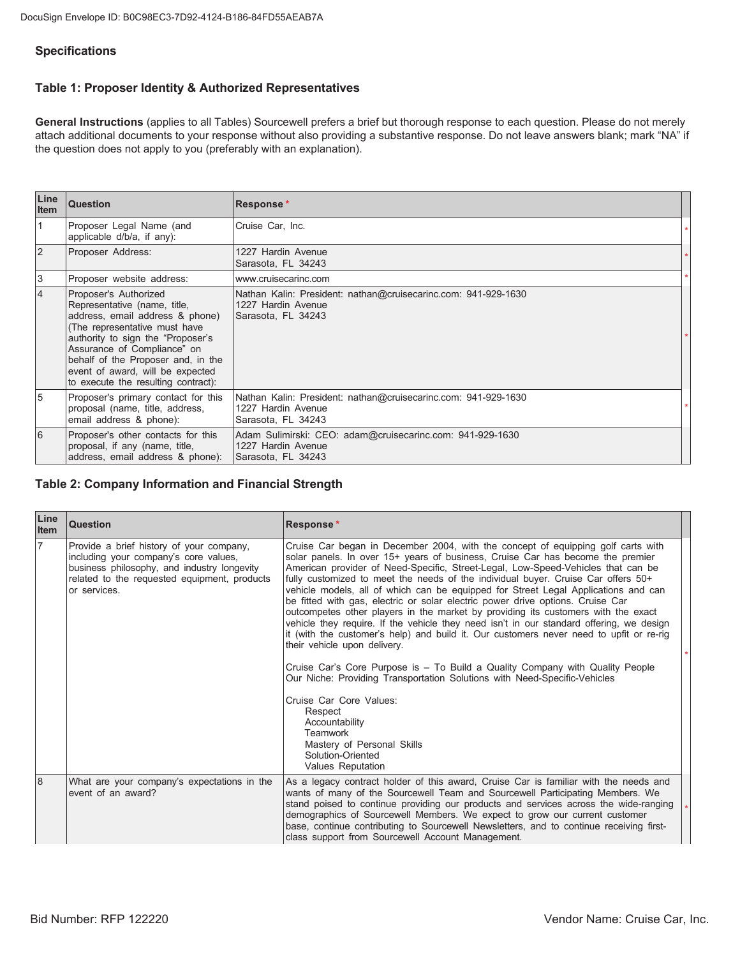## **Specifications**

## Table 1: Proposer Identity & Authorized Representatives

General Instructions (applies to all Tables) Sourcewell prefers a brief but thorough response to each question. Please do not merely attach additional documents to your response without also providing a substantive response. Do not leave answers blank; mark "NA" if the question does not apply to you (preferably with an explanation).

| Line<br><b>Item</b> | Question                                                                                                                                                                                                                                                                                                       | Response*                                                                                                  |  |
|---------------------|----------------------------------------------------------------------------------------------------------------------------------------------------------------------------------------------------------------------------------------------------------------------------------------------------------------|------------------------------------------------------------------------------------------------------------|--|
| $\overline{1}$      | Proposer Legal Name (and<br>applicable d/b/a, if any):                                                                                                                                                                                                                                                         | Cruise Car, Inc.                                                                                           |  |
| $\overline{2}$      | Proposer Address:                                                                                                                                                                                                                                                                                              | 1227 Hardin Avenue<br>Sarasota, FL 34243                                                                   |  |
| $\sqrt{3}$          | Proposer website address:                                                                                                                                                                                                                                                                                      | www.cruisecarinc.com                                                                                       |  |
| $\overline{4}$      | Proposer's Authorized<br>Representative (name, title,<br>address, email address & phone)<br>(The representative must have<br>authority to sign the "Proposer's<br>Assurance of Compliance" on<br>behalf of the Proposer and, in the<br>event of award, will be expected<br>to execute the resulting contract): | Nathan Kalin: President: nathan@cruisecarinc.com: 941-929-1630<br>1227 Hardin Avenue<br>Sarasota, FL 34243 |  |
| 5                   | Proposer's primary contact for this<br>proposal (name, title, address,<br>email address & phone):                                                                                                                                                                                                              | Nathan Kalin: President: nathan@cruisecarinc.com: 941-929-1630<br>1227 Hardin Avenue<br>Sarasota, FL 34243 |  |
| 6                   | Proposer's other contacts for this<br>proposal, if any (name, title,<br>address, email address & phone):                                                                                                                                                                                                       | Adam Sulimirski: CEO: adam@cruisecarinc.com: 941-929-1630<br>1227 Hardin Avenue<br>Sarasota, FL 34243      |  |

#### **Table 2: Company Information and Financial Strength**

| Line<br>Item | Question                                                                                                                                                                                         | Response*                                                                                                                                                                                                                                                                                                                                                                                                                                                                                                                                                                                                                                                                                                                                                                                                                                                                                                                                                                                                                                                                                                                                               |  |
|--------------|--------------------------------------------------------------------------------------------------------------------------------------------------------------------------------------------------|---------------------------------------------------------------------------------------------------------------------------------------------------------------------------------------------------------------------------------------------------------------------------------------------------------------------------------------------------------------------------------------------------------------------------------------------------------------------------------------------------------------------------------------------------------------------------------------------------------------------------------------------------------------------------------------------------------------------------------------------------------------------------------------------------------------------------------------------------------------------------------------------------------------------------------------------------------------------------------------------------------------------------------------------------------------------------------------------------------------------------------------------------------|--|
| 17           | Provide a brief history of your company,<br>including your company's core values,<br>business philosophy, and industry longevity<br>related to the requested equipment, products<br>or services. | Cruise Car began in December 2004, with the concept of equipping golf carts with<br>solar panels. In over 15+ years of business, Cruise Car has become the premier<br>American provider of Need-Specific, Street-Legal, Low-Speed-Vehicles that can be<br>fully customized to meet the needs of the individual buyer. Cruise Car offers 50+<br>vehicle models, all of which can be equipped for Street Legal Applications and can<br>be fitted with gas, electric or solar electric power drive options. Cruise Car<br>outcompetes other players in the market by providing its customers with the exact<br>vehicle they require. If the vehicle they need isn't in our standard offering, we design<br>it (with the customer's help) and build it. Our customers never need to upfit or re-rig<br>their vehicle upon delivery.<br>Cruise Car's Core Purpose is - To Build a Quality Company with Quality People<br>Our Niche: Providing Transportation Solutions with Need-Specific-Vehicles<br>Cruise Car Core Values:<br>Respect<br>Accountability<br><b>Teamwork</b><br>Mastery of Personal Skills<br>Solution-Oriented<br><b>Values Reputation</b> |  |
| l8           | What are your company's expectations in the<br>event of an award?                                                                                                                                | As a legacy contract holder of this award, Cruise Car is familiar with the needs and<br>wants of many of the Sourcewell Team and Sourcewell Participating Members. We<br>stand poised to continue providing our products and services across the wide-ranging<br>demographics of Sourcewell Members. We expect to grow our current customer<br>base, continue contributing to Sourcewell Newsletters, and to continue receiving first-<br>class support from Sourcewell Account Management.                                                                                                                                                                                                                                                                                                                                                                                                                                                                                                                                                                                                                                                             |  |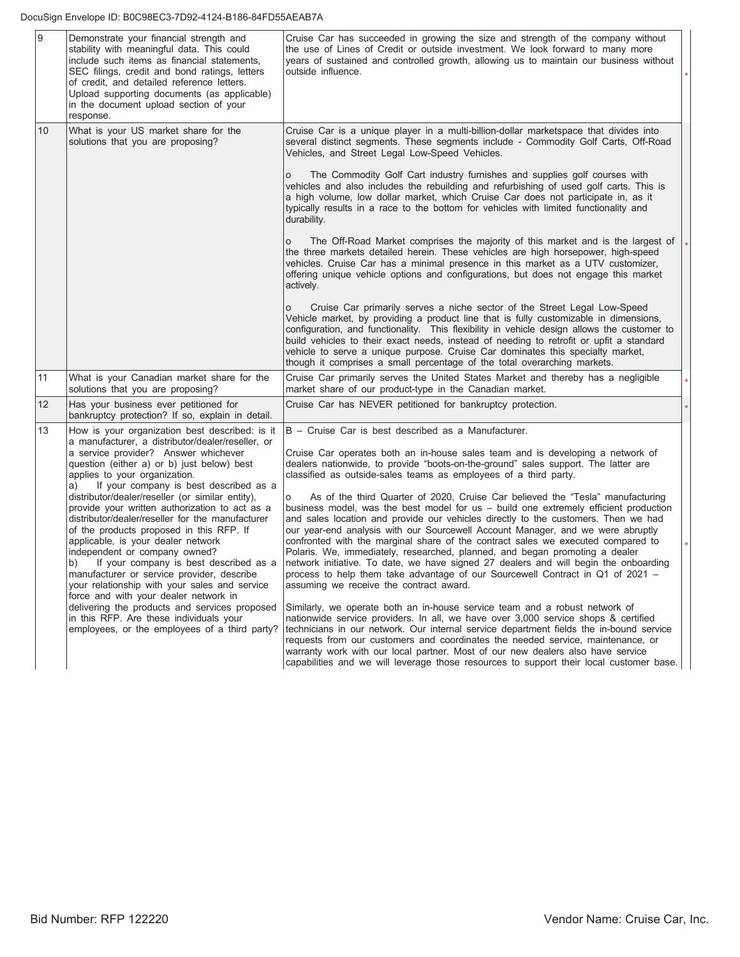| 9  | Demonstrate your financial strength and<br>stability with meaningful data. This could<br>include such items as financial statements,<br>SEC filings, credit and bond ratings, letters<br>of credit, and detailed reference letters.<br>Upload supporting documents (as applicable)<br>in the document upload section of your<br>response.                                                                                                                                                                                                                                                                                                                                                                                                                                                 | Cruise Car has succeeded in growing the size and strength of the company without<br>the use of Lines of Credit or outside investment. We look forward to many more<br>years of sustained and controlled growth, allowing us to maintain our business without<br>outside influence.                                                                                                                                                                                                                                                                                                                                                                                                                                                                                                                                                                                                                                                                                                                                                                                                                                                                                                                                                                                                                                                        |  |
|----|-------------------------------------------------------------------------------------------------------------------------------------------------------------------------------------------------------------------------------------------------------------------------------------------------------------------------------------------------------------------------------------------------------------------------------------------------------------------------------------------------------------------------------------------------------------------------------------------------------------------------------------------------------------------------------------------------------------------------------------------------------------------------------------------|-------------------------------------------------------------------------------------------------------------------------------------------------------------------------------------------------------------------------------------------------------------------------------------------------------------------------------------------------------------------------------------------------------------------------------------------------------------------------------------------------------------------------------------------------------------------------------------------------------------------------------------------------------------------------------------------------------------------------------------------------------------------------------------------------------------------------------------------------------------------------------------------------------------------------------------------------------------------------------------------------------------------------------------------------------------------------------------------------------------------------------------------------------------------------------------------------------------------------------------------------------------------------------------------------------------------------------------------|--|
| 10 | What is your US market share for the<br>solutions that you are proposing?                                                                                                                                                                                                                                                                                                                                                                                                                                                                                                                                                                                                                                                                                                                 | Cruise Car is a unique player in a multi-billion-dollar marketspace that divides into<br>several distinct segments. These segments include - Commodity Golf Carts, Off-Road<br>Vehicles, and Street Legal Low-Speed Vehicles.<br>The Commodity Golf Cart industry furnishes and supplies golf courses with<br>o<br>vehicles and also includes the rebuilding and refurbishing of used golf carts. This is<br>a high volume, low dollar market, which Cruise Car does not participate in, as it<br>typically results in a race to the bottom for vehicles with limited functionality and<br>durability.<br>The Off-Road Market comprises the majority of this market and is the largest of<br>O<br>the three markets detailed herein. These vehicles are high horsepower, high-speed<br>vehicles. Cruise Car has a minimal presence in this market as a UTV customizer,<br>offering unique vehicle options and configurations, but does not engage this market<br>actively.<br>Cruise Car primarily serves a niche sector of the Street Legal Low-Speed<br>Vehicle market, by providing a product line that is fully customizable in dimensions,<br>configuration, and functionality. This flexibility in vehicle design allows the customer to<br>build vehicles to their exact needs, instead of needing to retrofit or upfit a standard |  |
| 11 | What is your Canadian market share for the                                                                                                                                                                                                                                                                                                                                                                                                                                                                                                                                                                                                                                                                                                                                                | vehicle to serve a unique purpose. Cruise Car dominates this specialty market,<br>though it comprises a small percentage of the total overarching markets.<br>Cruise Car primarily serves the United States Market and thereby has a negligible                                                                                                                                                                                                                                                                                                                                                                                                                                                                                                                                                                                                                                                                                                                                                                                                                                                                                                                                                                                                                                                                                           |  |
| 12 | solutions that you are proposing?<br>Has your business ever petitioned for                                                                                                                                                                                                                                                                                                                                                                                                                                                                                                                                                                                                                                                                                                                | market share of our product-type in the Canadian market.<br>Cruise Car has NEVER petitioned for bankruptcy protection.                                                                                                                                                                                                                                                                                                                                                                                                                                                                                                                                                                                                                                                                                                                                                                                                                                                                                                                                                                                                                                                                                                                                                                                                                    |  |
| 13 | bankruptcy protection? If so, explain in detail.<br>How is your organization best described: is it                                                                                                                                                                                                                                                                                                                                                                                                                                                                                                                                                                                                                                                                                        | B - Cruise Car is best described as a Manufacturer.                                                                                                                                                                                                                                                                                                                                                                                                                                                                                                                                                                                                                                                                                                                                                                                                                                                                                                                                                                                                                                                                                                                                                                                                                                                                                       |  |
|    | a manufacturer, a distributor/dealer/reseller, or<br>a service provider? Answer whichever<br>question (either a) or b) just below) best<br>applies to your organization.<br>If your company is best described as a<br>a)<br>distributor/dealer/reseller (or similar entity),<br>provide your written authorization to act as a<br>distributor/dealer/reseller for the manufacturer<br>of the products proposed in this RFP. If<br>applicable, is your dealer network<br>independent or company owned?<br>If your company is best described as a<br>b)<br>manufacturer or service provider, describe<br>your relationship with your sales and service<br>force and with your dealer network in<br>delivering the products and services proposed<br>in this RFP. Are these individuals your | Cruise Car operates both an in-house sales team and is developing a network of<br>dealers nationwide, to provide "boots-on-the-ground" sales support. The latter are<br>classified as outside-sales teams as employees of a third party.<br>As of the third Quarter of 2020, Cruise Car believed the "Tesla" manufacturing<br>О<br>business model, was the best model for us - build one extremely efficient production<br>and sales location and provide our vehicles directly to the customers. Then we had<br>our year-end analysis with our Sourcewell Account Manager, and we were abruptly<br>confronted with the marginal share of the contract sales we executed compared to<br>Polaris. We, immediately, researched, planned, and began promoting a dealer<br>network initiative. To date, we have signed 27 dealers and will begin the onboarding<br>process to help them take advantage of our Sourcewell Contract in Q1 of 2021 -<br>assuming we receive the contract award.<br>Similarly, we operate both an in-house service team and a robust network of<br>nationwide service providers. In all, we have over 3,000 service shops & certified                                                                                                                                                                             |  |
|    | employees, or the employees of a third party?                                                                                                                                                                                                                                                                                                                                                                                                                                                                                                                                                                                                                                                                                                                                             | technicians in our network. Our internal service department fields the in-bound service<br>requests from our customers and coordinates the needed service, maintenance, or<br>warranty work with our local partner. Most of our new dealers also have service<br>capabilities and we will leverage those resources to support their local customer base.                                                                                                                                                                                                                                                                                                                                                                                                                                                                                                                                                                                                                                                                                                                                                                                                                                                                                                                                                                                  |  |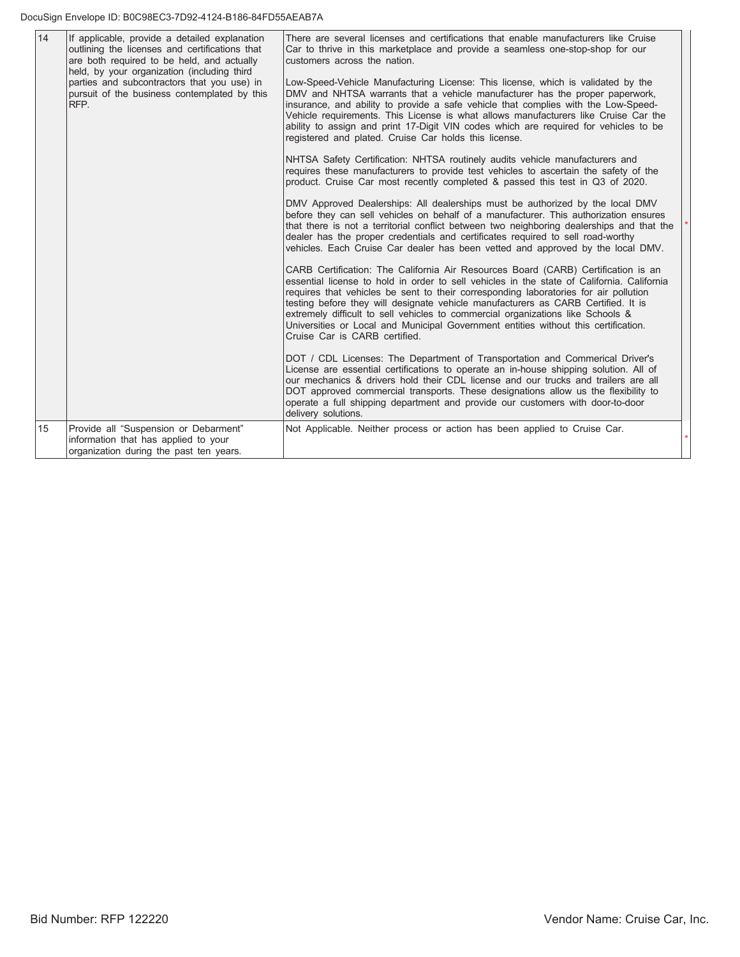| 14 | If applicable, provide a detailed explanation<br>outlining the licenses and certifications that<br>are both required to be held, and actually<br>held, by your organization (including third<br>parties and subcontractors that you use) in<br>pursuit of the business contemplated by this<br>RFP. | There are several licenses and certifications that enable manufacturers like Cruise<br>Car to thrive in this marketplace and provide a seamless one-stop-shop for our<br>customers across the nation.<br>Low-Speed-Vehicle Manufacturing License: This license, which is validated by the<br>DMV and NHTSA warrants that a vehicle manufacturer has the proper paperwork,<br>insurance, and ability to provide a safe vehicle that complies with the Low-Speed-<br>Vehicle requirements. This License is what allows manufacturers like Cruise Car the<br>ability to assign and print 17-Digit VIN codes which are required for vehicles to be<br>registered and plated. Cruise Car holds this license.<br>NHTSA Safety Certification: NHTSA routinely audits vehicle manufacturers and<br>requires these manufacturers to provide test vehicles to ascertain the safety of the                                                                                               |
|----|-----------------------------------------------------------------------------------------------------------------------------------------------------------------------------------------------------------------------------------------------------------------------------------------------------|-------------------------------------------------------------------------------------------------------------------------------------------------------------------------------------------------------------------------------------------------------------------------------------------------------------------------------------------------------------------------------------------------------------------------------------------------------------------------------------------------------------------------------------------------------------------------------------------------------------------------------------------------------------------------------------------------------------------------------------------------------------------------------------------------------------------------------------------------------------------------------------------------------------------------------------------------------------------------------|
|    |                                                                                                                                                                                                                                                                                                     | product. Cruise Car most recently completed & passed this test in Q3 of 2020.<br>DMV Approved Dealerships: All dealerships must be authorized by the local DMV<br>before they can sell vehicles on behalf of a manufacturer. This authorization ensures<br>that there is not a territorial conflict between two neighboring dealerships and that the<br>dealer has the proper credentials and certificates required to sell road-worthy<br>vehicles. Each Cruise Car dealer has been vetted and approved by the local DMV.<br>CARB Certification: The California Air Resources Board (CARB) Certification is an<br>essential license to hold in order to sell vehicles in the state of California. California<br>requires that vehicles be sent to their corresponding laboratories for air pollution<br>testing before they will designate vehicle manufacturers as CARB Certified. It is<br>extremely difficult to sell vehicles to commercial organizations like Schools & |
|    |                                                                                                                                                                                                                                                                                                     | Universities or Local and Municipal Government entities without this certification.<br>Cruise Car is CARB certified.<br>DOT / CDL Licenses: The Department of Transportation and Commerical Driver's<br>License are essential certifications to operate an in-house shipping solution. All of<br>our mechanics & drivers hold their CDL license and our trucks and trailers are all<br>DOT approved commercial transports. These designations allow us the flexibility to<br>operate a full shipping department and provide our customers with door-to-door<br>delivery solutions.                                                                                                                                                                                                                                                                                                                                                                                            |
| 15 | Provide all "Suspension or Debarment"<br>information that has applied to your<br>organization during the past ten years.                                                                                                                                                                            | Not Applicable. Neither process or action has been applied to Cruise Car.                                                                                                                                                                                                                                                                                                                                                                                                                                                                                                                                                                                                                                                                                                                                                                                                                                                                                                     |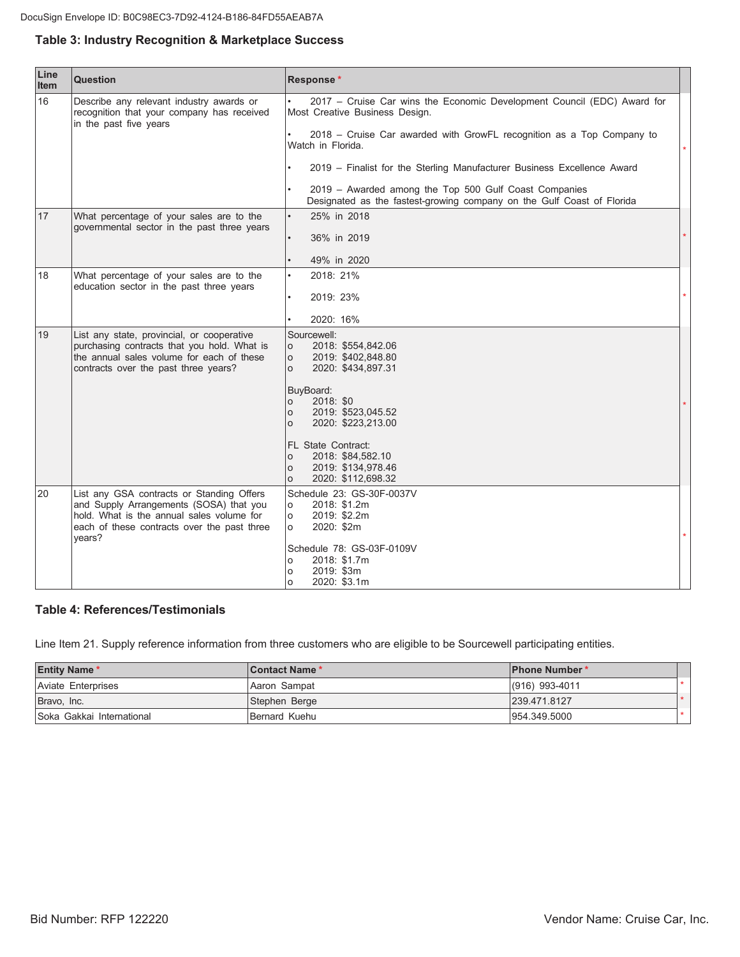#### Table 3: Industry Recognition & Marketplace Success

| Line<br>Item | <b>Question</b>                                                                                                                                                                            | Response*                                                                                                                       |         |
|--------------|--------------------------------------------------------------------------------------------------------------------------------------------------------------------------------------------|---------------------------------------------------------------------------------------------------------------------------------|---------|
| 16           | Describe any relevant industry awards or<br>recognition that your company has received<br>in the past five years                                                                           | 2017 - Cruise Car wins the Economic Development Council (EDC) Award for<br>Most Creative Business Design.                       |         |
|              |                                                                                                                                                                                            | 2018 - Cruise Car awarded with GrowFL recognition as a Top Company to<br>Watch in Florida.                                      | $\star$ |
|              |                                                                                                                                                                                            | 2019 - Finalist for the Sterling Manufacturer Business Excellence Award                                                         |         |
|              |                                                                                                                                                                                            | 2019 - Awarded among the Top 500 Gulf Coast Companies<br>Designated as the fastest-growing company on the Gulf Coast of Florida |         |
| 17           | What percentage of your sales are to the                                                                                                                                                   | 25% in 2018                                                                                                                     |         |
|              | governmental sector in the past three years                                                                                                                                                | 36% in 2019                                                                                                                     |         |
|              |                                                                                                                                                                                            | 49% in 2020                                                                                                                     |         |
| 18           | What percentage of your sales are to the                                                                                                                                                   | 2018: 21%                                                                                                                       |         |
|              | education sector in the past three years                                                                                                                                                   | 2019: 23%                                                                                                                       | $\star$ |
|              |                                                                                                                                                                                            | 2020: 16%                                                                                                                       |         |
| 19           | List any state, provincial, or cooperative<br>purchasing contracts that you hold. What is<br>the annual sales volume for each of these<br>contracts over the past three years?             | Sourcewell:<br>2018: \$554,842.06<br>$\circ$<br>$\circ$<br>2019: \$402,848.80<br>$\Omega$<br>2020: \$434,897.31                 |         |
|              |                                                                                                                                                                                            | BuyBoard:<br>2018: \$0<br>$\circ$<br>2019: \$523,045.52<br>O<br>2020: \$223,213.00<br>$\Omega$                                  |         |
|              |                                                                                                                                                                                            | <b>FL State Contract:</b><br>2018: \$84,582.10<br>$\circ$<br>2019: \$134,978.46<br>$\circ$<br>2020: \$112,698.32<br>$\circ$     |         |
| 20           | List any GSA contracts or Standing Offers<br>and Supply Arrangements (SOSA) that you<br>hold. What is the annual sales volume for<br>each of these contracts over the past three<br>years? | Schedule 23: GS-30F-0037V<br>2018: \$1.2m<br>$\circ$<br>2019: \$2.2m<br>$\circ$<br>2020: \$2m<br>$\circ$                        |         |
|              |                                                                                                                                                                                            | Schedule 78: GS-03F-0109V<br>2018: \$1.7m<br>O<br>2019: \$3m<br>$\circ$<br>2020: \$3.1m<br>$\circ$                              |         |

#### **Table 4: References/Testimonials**

Line Item 21. Supply reference information from three customers who are eligible to be Sourcewell participating entities.

| <b>Entity Name *</b>       | <b>Contact Name*</b> | <b>IPhone Number*</b> |  |
|----------------------------|----------------------|-----------------------|--|
| Aviate Enterprises         | Aaron Sampat         | $(916)$ 993-4011      |  |
| Bravo, Inc.                | Stephen Berge        | 239.471.8127          |  |
| ISoka Gakkai International | Bernard Kuehu        | 954.349.5000          |  |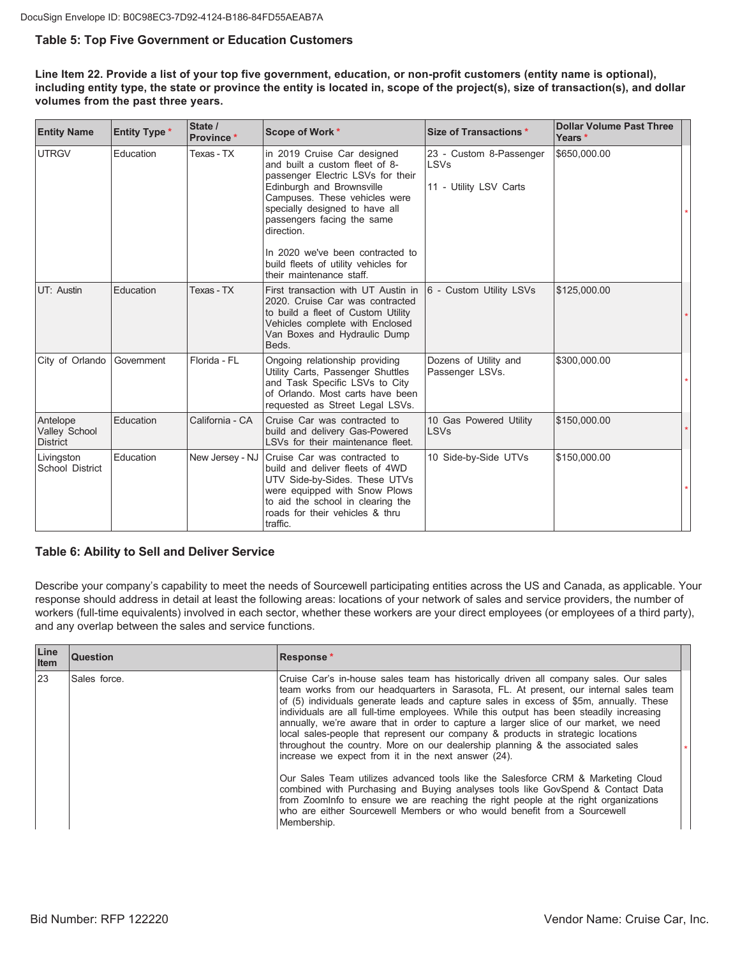#### **Table 5: Top Five Government or Education Customers**

Line Item 22. Provide a list of your top five government, education, or non-profit customers (entity name is optional), including entity type, the state or province the entity is located in, scope of the project(s), size of transaction(s), and dollar volumes from the past three years.

| <b>Entity Name</b>                           | <b>Entity Type *</b> | State /<br><b>Province</b> * | Scope of Work *                                                                                                                                                                                                                                                                    | <b>Size of Transactions*</b>                              | <b>Dollar Volume Past Three</b><br>Years * |  |
|----------------------------------------------|----------------------|------------------------------|------------------------------------------------------------------------------------------------------------------------------------------------------------------------------------------------------------------------------------------------------------------------------------|-----------------------------------------------------------|--------------------------------------------|--|
| <b>UTRGV</b>                                 | Education            | Texas - TX                   | in 2019 Cruise Car designed<br>and built a custom fleet of 8-<br>passenger Electric LSVs for their<br>Edinburgh and Brownsville<br>Campuses. These vehicles were<br>specially designed to have all<br>passengers facing the same<br>direction.<br>In 2020 we've been contracted to | 23 - Custom 8-Passenger<br>LSVs<br>11 - Utility LSV Carts | \$650,000.00                               |  |
|                                              |                      |                              | build fleets of utility vehicles for<br>their maintenance staff                                                                                                                                                                                                                    |                                                           |                                            |  |
| UT: Austin                                   | Education            | Texas - TX                   | First transaction with UT Austin in<br>2020. Cruise Car was contracted<br>to build a fleet of Custom Utility<br>Vehicles complete with Enclosed<br>Van Boxes and Hydraulic Dump<br>Beds.                                                                                           | 6 - Custom Utility LSVs                                   | \$125,000.00                               |  |
| City of Orlando                              | Government           | Florida - FL                 | Ongoing relationship providing<br>Utility Carts, Passenger Shuttles<br>and Task Specific LSVs to City<br>of Orlando. Most carts have been<br>requested as Street Legal LSVs.                                                                                                       | Dozens of Utility and<br>Passenger LSVs.                  | \$300,000.00                               |  |
| Antelope<br>Valley School<br><b>District</b> | Education            | California - CA              | Cruise Car was contracted to<br>build and delivery Gas-Powered<br>LSVs for their maintenance fleet.                                                                                                                                                                                | 10 Gas Powered Utility<br>LSVs                            | \$150,000.00                               |  |
| Livingston<br>School District                | Education            | New Jersey - NJ              | Cruise Car was contracted to<br>build and deliver fleets of 4WD<br>UTV Side-by-Sides. These UTVs<br>were equipped with Snow Plows<br>to aid the school in clearing the<br>roads for their vehicles & thru<br>traffic.                                                              | 10 Side-by-Side UTVs                                      | \$150,000.00                               |  |

#### **Table 6: Ability to Sell and Deliver Service**

Describe your company's capability to meet the needs of Sourcewell participating entities across the US and Canada, as applicable. Your response should address in detail at least the following areas: locations of your network of sales and service providers, the number of workers (full-time equivalents) involved in each sector, whether these workers are your direct employees (or employees of a third party), and any overlap between the sales and service functions.

| Line<br><b>Item</b> | <b>Question</b> | Response*                                                                                                                                                                                                                                                                                                                                                                                                                                                                                                                                                                                                                                                                               |
|---------------------|-----------------|-----------------------------------------------------------------------------------------------------------------------------------------------------------------------------------------------------------------------------------------------------------------------------------------------------------------------------------------------------------------------------------------------------------------------------------------------------------------------------------------------------------------------------------------------------------------------------------------------------------------------------------------------------------------------------------------|
| 23                  | Sales force.    | Cruise Car's in-house sales team has historically driven all company sales. Our sales<br>team works from our headquarters in Sarasota, FL. At present, our internal sales team<br>of (5) individuals generate leads and capture sales in excess of \$5m, annually. These<br>individuals are all full-time employees. While this output has been steadily increasing<br>annually, we're aware that in order to capture a larger slice of our market, we need<br>local sales-people that represent our company & products in strategic locations<br>throughout the country. More on our dealership planning & the associated sales<br>increase we expect from it in the next answer (24). |
|                     |                 | Our Sales Team utilizes advanced tools like the Salesforce CRM & Marketing Cloud<br>combined with Purchasing and Buying analyses tools like GovSpend & Contact Data<br>from Zoominfo to ensure we are reaching the right people at the right organizations<br>who are either Sourcewell Members or who would benefit from a Sourcewell<br>Membership.                                                                                                                                                                                                                                                                                                                                   |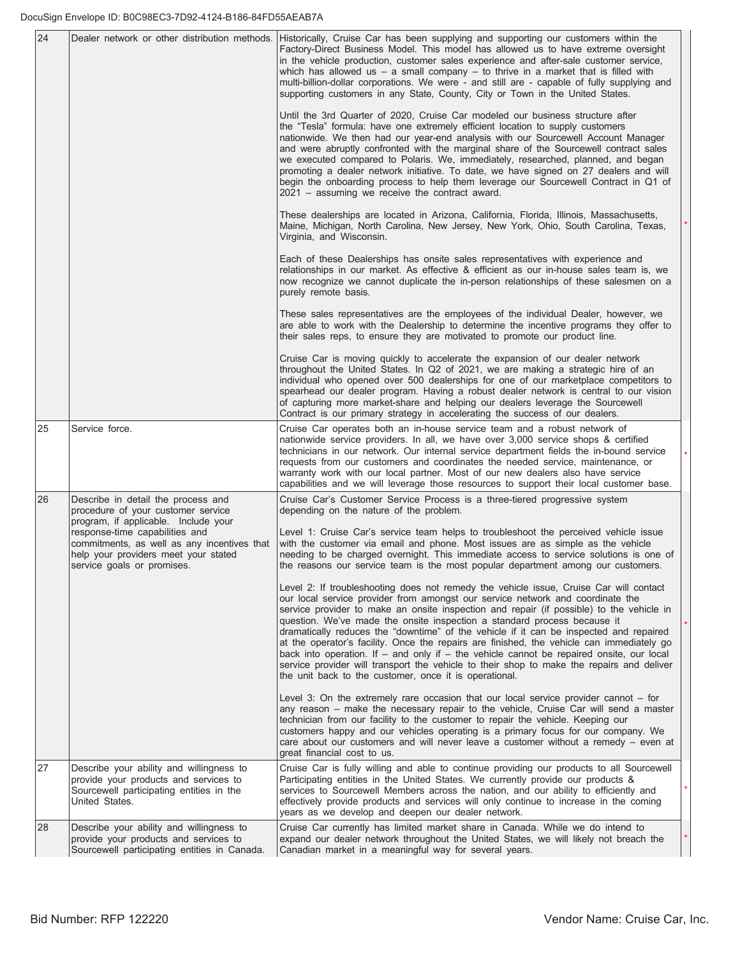| 24 |                                                                                                                                                                                                                                                                         | Dealer network or other distribution methods. Historically, Cruise Car has been supplying and supporting our customers within the<br>Factory-Direct Business Model. This model has allowed us to have extreme oversight<br>in the vehicle production, customer sales experience and after-sale customer service,<br>which has allowed us $-$ a small company $-$ to thrive in a market that is filled with<br>multi-billion-dollar corporations. We were - and still are - capable of fully supplying and<br>supporting customers in any State, County, City or Town in the United States.                                                                                                           |  |
|----|-------------------------------------------------------------------------------------------------------------------------------------------------------------------------------------------------------------------------------------------------------------------------|------------------------------------------------------------------------------------------------------------------------------------------------------------------------------------------------------------------------------------------------------------------------------------------------------------------------------------------------------------------------------------------------------------------------------------------------------------------------------------------------------------------------------------------------------------------------------------------------------------------------------------------------------------------------------------------------------|--|
|    |                                                                                                                                                                                                                                                                         | Until the 3rd Quarter of 2020, Cruise Car modeled our business structure after<br>the "Tesla" formula: have one extremely efficient location to supply customers<br>nationwide. We then had our year-end analysis with our Sourcewell Account Manager<br>and were abruptly confronted with the marginal share of the Sourcewell contract sales<br>we executed compared to Polaris. We, immediately, researched, planned, and began<br>promoting a dealer network initiative. To date, we have signed on 27 dealers and will<br>begin the onboarding process to help them leverage our Sourcewell Contract in Q1 of<br>$2021$ – assuming we receive the contract award.                               |  |
|    |                                                                                                                                                                                                                                                                         | These dealerships are located in Arizona, California, Florida, Illinois, Massachusetts,<br>Maine, Michigan, North Carolina, New Jersey, New York, Ohio, South Carolina, Texas,<br>Virginia, and Wisconsin.                                                                                                                                                                                                                                                                                                                                                                                                                                                                                           |  |
|    |                                                                                                                                                                                                                                                                         | Each of these Dealerships has onsite sales representatives with experience and<br>relationships in our market. As effective & efficient as our in-house sales team is, we<br>now recognize we cannot duplicate the in-person relationships of these salesmen on a<br>purely remote basis.                                                                                                                                                                                                                                                                                                                                                                                                            |  |
|    |                                                                                                                                                                                                                                                                         | These sales representatives are the employees of the individual Dealer, however, we<br>are able to work with the Dealership to determine the incentive programs they offer to<br>their sales reps, to ensure they are motivated to promote our product line.                                                                                                                                                                                                                                                                                                                                                                                                                                         |  |
|    |                                                                                                                                                                                                                                                                         | Cruise Car is moving quickly to accelerate the expansion of our dealer network<br>throughout the United States. In Q2 of 2021, we are making a strategic hire of an<br>individual who opened over 500 dealerships for one of our marketplace competitors to<br>spearhead our dealer program. Having a robust dealer network is central to our vision<br>of capturing more market-share and helping our dealers leverage the Sourcewell<br>Contract is our primary strategy in accelerating the success of our dealers.                                                                                                                                                                               |  |
| 25 | Service force.                                                                                                                                                                                                                                                          | Cruise Car operates both an in-house service team and a robust network of<br>nationwide service providers. In all, we have over 3,000 service shops & certified<br>technicians in our network. Our internal service department fields the in-bound service<br>requests from our customers and coordinates the needed service, maintenance, or<br>warranty work with our local partner. Most of our new dealers also have service<br>capabilities and we will leverage those resources to support their local customer base.                                                                                                                                                                          |  |
| 26 | Describe in detail the process and<br>procedure of your customer service<br>program, if applicable. Include your<br>response-time capabilities and<br>commitments, as well as any incentives that<br>help your providers meet your stated<br>service goals or promises. | Cruise Car's Customer Service Process is a three-tiered progressive system<br>depending on the nature of the problem.<br>Level 1: Cruise Car's service team helps to troubleshoot the perceived vehicle issue<br>with the customer via email and phone. Most issues are as simple as the vehicle<br>needing to be charged overnight. This immediate access to service solutions is one of<br>the reasons our service team is the most popular department among our customers.<br>Level 2: If troubleshooting does not remedy the vehicle issue, Cruise Car will contact                                                                                                                              |  |
|    |                                                                                                                                                                                                                                                                         | our local service provider from amongst our service network and coordinate the<br>service provider to make an onsite inspection and repair (if possible) to the vehicle in<br>question. We've made the onsite inspection a standard process because it<br>dramatically reduces the "downtime" of the vehicle if it can be inspected and repaired<br>at the operator's facility. Once the repairs are finished, the vehicle can immediately go<br>back into operation. If $-$ and only if $-$ the vehicle cannot be repaired onsite, our local<br>service provider will transport the vehicle to their shop to make the repairs and deliver<br>the unit back to the customer, once it is operational. |  |
|    |                                                                                                                                                                                                                                                                         | Level 3: On the extremely rare occasion that our local service provider cannot – for<br>any reason - make the necessary repair to the vehicle, Cruise Car will send a master<br>technician from our facility to the customer to repair the vehicle. Keeping our<br>customers happy and our vehicles operating is a primary focus for our company. We<br>care about our customers and will never leave a customer without a remedy $-$ even at<br>great financial cost to us.                                                                                                                                                                                                                         |  |
| 27 | Describe your ability and willingness to<br>provide your products and services to<br>Sourcewell participating entities in the<br>United States.                                                                                                                         | Cruise Car is fully willing and able to continue providing our products to all Sourcewell<br>Participating entities in the United States. We currently provide our products &<br>services to Sourcewell Members across the nation, and our ability to efficiently and<br>effectively provide products and services will only continue to increase in the coming<br>years as we develop and deepen our dealer network.                                                                                                                                                                                                                                                                                |  |
| 28 | Describe your ability and willingness to<br>provide your products and services to<br>Sourcewell participating entities in Canada.                                                                                                                                       | Cruise Car currently has limited market share in Canada. While we do intend to<br>expand our dealer network throughout the United States, we will likely not breach the<br>Canadian market in a meaningful way for several years.                                                                                                                                                                                                                                                                                                                                                                                                                                                                    |  |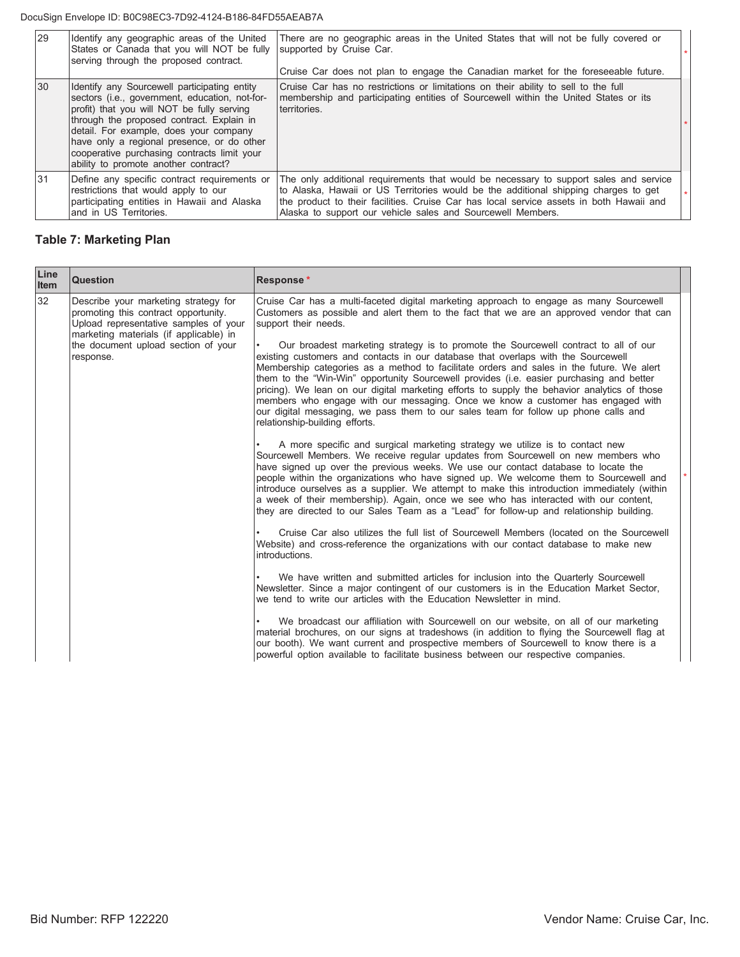#### DocuSign Envelope ID: B0C98EC3-7D92-4124-B186-84FD55AEAB7A

| 29  | Identify any geographic areas of the United<br>States or Canada that you will NOT be fully<br>serving through the proposed contract.                                                                                                                                                                                                                                     | There are no geographic areas in the United States that will not be fully covered or<br>supported by Cruise Car.<br>Cruise Car does not plan to engage the Canadian market for the foreseeable future.                                                                                                                                 |  |
|-----|--------------------------------------------------------------------------------------------------------------------------------------------------------------------------------------------------------------------------------------------------------------------------------------------------------------------------------------------------------------------------|----------------------------------------------------------------------------------------------------------------------------------------------------------------------------------------------------------------------------------------------------------------------------------------------------------------------------------------|--|
| 30  | Identify any Sourcewell participating entity<br>sectors (i.e., government, education, not-for-<br>profit) that you will NOT be fully serving<br>through the proposed contract. Explain in<br>detail. For example, does your company<br>have only a regional presence, or do other<br>cooperative purchasing contracts limit your<br>ability to promote another contract? | Cruise Car has no restrictions or limitations on their ability to sell to the full<br>membership and participating entities of Sourcewell within the United States or its<br>territories.                                                                                                                                              |  |
| 131 | Define any specific contract requirements or<br>restrictions that would apply to our<br>participating entities in Hawaii and Alaska<br>land in US Territories.                                                                                                                                                                                                           | The only additional requirements that would be necessary to support sales and service<br>to Alaska, Hawaii or US Territories would be the additional shipping charges to get<br>the product to their facilities. Cruise Car has local service assets in both Hawaii and<br>Alaska to support our vehicle sales and Sourcewell Members. |  |

## **Table 7: Marketing Plan**

| Line<br>Item | Question                                                                                                                                                                                                            | <b>Response*</b>                                                                                                                                                                                                                                                                                                                                                                                                                                                                                                                                                                                                                                                                                                                                                                                                                                                                           |
|--------------|---------------------------------------------------------------------------------------------------------------------------------------------------------------------------------------------------------------------|--------------------------------------------------------------------------------------------------------------------------------------------------------------------------------------------------------------------------------------------------------------------------------------------------------------------------------------------------------------------------------------------------------------------------------------------------------------------------------------------------------------------------------------------------------------------------------------------------------------------------------------------------------------------------------------------------------------------------------------------------------------------------------------------------------------------------------------------------------------------------------------------|
| 32           | Describe your marketing strategy for<br>promoting this contract opportunity.<br>Upload representative samples of your<br>marketing materials (if applicable) in<br>the document upload section of your<br>response. | Cruise Car has a multi-faceted digital marketing approach to engage as many Sourcewell<br>Customers as possible and alert them to the fact that we are an approved vendor that can<br>support their needs.<br>Our broadest marketing strategy is to promote the Sourcewell contract to all of our<br>existing customers and contacts in our database that overlaps with the Sourcewell<br>Membership categories as a method to facilitate orders and sales in the future. We alert<br>them to the "Win-Win" opportunity Sourcewell provides (i.e. easier purchasing and better<br>pricing). We lean on our digital marketing efforts to supply the behavior analytics of those<br>members who engage with our messaging. Once we know a customer has engaged with<br>our digital messaging, we pass them to our sales team for follow up phone calls and<br>relationship-building efforts. |
|              |                                                                                                                                                                                                                     | A more specific and surgical marketing strategy we utilize is to contact new<br>Sourcewell Members. We receive regular updates from Sourcewell on new members who<br>have signed up over the previous weeks. We use our contact database to locate the<br>people within the organizations who have signed up. We welcome them to Sourcewell and<br>introduce ourselves as a supplier. We attempt to make this introduction immediately (within<br>a week of their membership). Again, once we see who has interacted with our content,<br>they are directed to our Sales Team as a "Lead" for follow-up and relationship building.                                                                                                                                                                                                                                                         |
|              |                                                                                                                                                                                                                     | Cruise Car also utilizes the full list of Sourcewell Members (located on the Sourcewell<br>Website) and cross-reference the organizations with our contact database to make new<br>introductions.                                                                                                                                                                                                                                                                                                                                                                                                                                                                                                                                                                                                                                                                                          |
|              |                                                                                                                                                                                                                     | We have written and submitted articles for inclusion into the Quarterly Sourcewell<br>Newsletter. Since a major contingent of our customers is in the Education Market Sector.<br>we tend to write our articles with the Education Newsletter in mind.                                                                                                                                                                                                                                                                                                                                                                                                                                                                                                                                                                                                                                     |
|              |                                                                                                                                                                                                                     | We broadcast our affiliation with Sourcewell on our website, on all of our marketing<br>material brochures, on our signs at tradeshows (in addition to flying the Sourcewell flag at<br>our booth). We want current and prospective members of Sourcewell to know there is a<br>powerful option available to facilitate business between our respective companies.                                                                                                                                                                                                                                                                                                                                                                                                                                                                                                                         |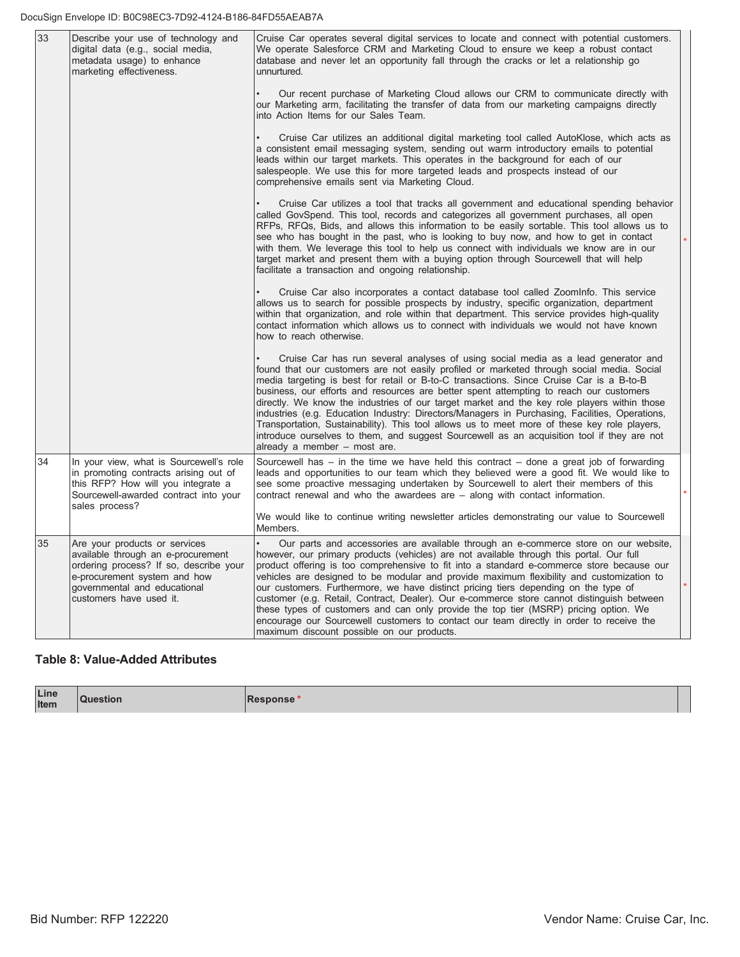| 33 | Describe your use of technology and<br>digital data (e.g., social media,<br>metadata usage) to enhance<br>marketing effectiveness.                                                                       | Cruise Car operates several digital services to locate and connect with potential customers.<br>We operate Salesforce CRM and Marketing Cloud to ensure we keep a robust contact<br>database and never let an opportunity fall through the cracks or let a relationship go<br>unnurtured.                                                                                                                                                                                                                                                                                                                                                                                                                                                                                                          |  |
|----|----------------------------------------------------------------------------------------------------------------------------------------------------------------------------------------------------------|----------------------------------------------------------------------------------------------------------------------------------------------------------------------------------------------------------------------------------------------------------------------------------------------------------------------------------------------------------------------------------------------------------------------------------------------------------------------------------------------------------------------------------------------------------------------------------------------------------------------------------------------------------------------------------------------------------------------------------------------------------------------------------------------------|--|
|    |                                                                                                                                                                                                          | Our recent purchase of Marketing Cloud allows our CRM to communicate directly with<br>our Marketing arm, facilitating the transfer of data from our marketing campaigns directly<br>into Action Items for our Sales Team.                                                                                                                                                                                                                                                                                                                                                                                                                                                                                                                                                                          |  |
|    |                                                                                                                                                                                                          | Cruise Car utilizes an additional digital marketing tool called AutoKlose, which acts as<br>a consistent email messaging system, sending out warm introductory emails to potential<br>leads within our target markets. This operates in the background for each of our<br>salespeople. We use this for more targeted leads and prospects instead of our<br>comprehensive emails sent via Marketing Cloud.                                                                                                                                                                                                                                                                                                                                                                                          |  |
|    |                                                                                                                                                                                                          | Cruise Car utilizes a tool that tracks all government and educational spending behavior<br>called GovSpend. This tool, records and categorizes all government purchases, all open<br>RFPs, RFQs, Bids, and allows this information to be easily sortable. This tool allows us to<br>see who has bought in the past, who is looking to buy now, and how to get in contact<br>with them. We leverage this tool to help us connect with individuals we know are in our<br>target market and present them with a buying option through Sourcewell that will help<br>facilitate a transaction and ongoing relationship.                                                                                                                                                                                 |  |
|    |                                                                                                                                                                                                          | Cruise Car also incorporates a contact database tool called Zoominfo. This service<br>allows us to search for possible prospects by industry, specific organization, department<br>within that organization, and role within that department. This service provides high-quality<br>contact information which allows us to connect with individuals we would not have known<br>how to reach otherwise.                                                                                                                                                                                                                                                                                                                                                                                             |  |
|    |                                                                                                                                                                                                          | Cruise Car has run several analyses of using social media as a lead generator and<br>found that our customers are not easily profiled or marketed through social media. Social<br>media targeting is best for retail or B-to-C transactions. Since Cruise Car is a B-to-B<br>business, our efforts and resources are better spent attempting to reach our customers<br>directly. We know the industries of our target market and the key role players within those<br>industries (e.g. Education Industry: Directors/Managers in Purchasing, Facilities, Operations,<br>Transportation, Sustainability). This tool allows us to meet more of these key role players,<br>introduce ourselves to them, and suggest Sourcewell as an acquisition tool if they are not<br>already a member – most are. |  |
| 34 | In your view, what is Sourcewell's role<br>in promoting contracts arising out of<br>this RFP? How will you integrate a<br>Sourcewell-awarded contract into your<br>sales process?                        | Sourcewell has $-$ in the time we have held this contract $-$ done a great job of forwarding<br>leads and opportunities to our team which they believed were a good fit. We would like to<br>see some proactive messaging undertaken by Sourcewell to alert their members of this<br>contract renewal and who the awardees are $-$ along with contact information.<br>We would like to continue writing newsletter articles demonstrating our value to Sourcewell                                                                                                                                                                                                                                                                                                                                  |  |
|    |                                                                                                                                                                                                          | Members.                                                                                                                                                                                                                                                                                                                                                                                                                                                                                                                                                                                                                                                                                                                                                                                           |  |
| 35 | Are your products or services<br>available through an e-procurement<br>ordering process? If so, describe your<br>e-procurement system and how<br>governmental and educational<br>customers have used it. | Our parts and accessories are available through an e-commerce store on our website,<br>however, our primary products (vehicles) are not available through this portal. Our full<br>product offering is too comprehensive to fit into a standard e-commerce store because our<br>vehicles are designed to be modular and provide maximum flexibility and customization to<br>our customers. Furthermore, we have distinct pricing tiers depending on the type of<br>customer (e.g. Retail, Contract, Dealer). Our e-commerce store cannot distinguish between<br>these types of customers and can only provide the top tier (MSRP) pricing option. We<br>encourage our Sourcewell customers to contact our team directly in order to receive the<br>maximum discount possible on our products.      |  |

## **Table 8: Value-Added Attributes**

| Line<br>Item |  | סכוונ |  |
|--------------|--|-------|--|
|--------------|--|-------|--|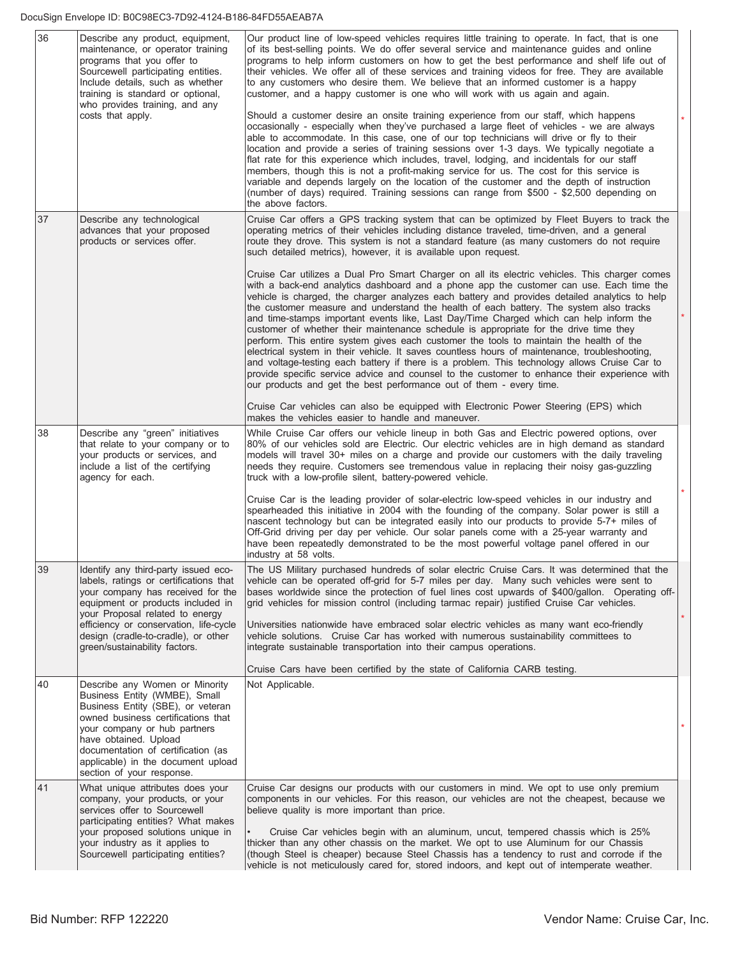| 36 | Describe any product, equipment,<br>maintenance, or operator training<br>programs that you offer to<br>Sourcewell participating entities.<br>Include details, such as whether<br>training is standard or optional,<br>who provides training, and any<br>costs that apply.  | Our product line of low-speed vehicles requires little training to operate. In fact, that is one<br>of its best-selling points. We do offer several service and maintenance quides and online<br>programs to help inform customers on how to get the best performance and shelf life out of<br>their vehicles. We offer all of these services and training videos for free. They are available<br>to any customers who desire them. We believe that an informed customer is a happy<br>customer, and a happy customer is one who will work with us again and again.<br>Should a customer desire an onsite training experience from our staff, which happens<br>occasionally - especially when they've purchased a large fleet of vehicles - we are always<br>able to accommodate. In this case, one of our top technicians will drive or fly to their<br>location and provide a series of training sessions over 1-3 days. We typically negotiate a<br>flat rate for this experience which includes, travel, lodging, and incidentals for our staff<br>members, though this is not a profit-making service for us. The cost for this service is<br>variable and depends largely on the location of the customer and the depth of instruction<br>(number of days) required. Training sessions can range from \$500 - \$2,500 depending on<br>the above factors. |  |
|----|----------------------------------------------------------------------------------------------------------------------------------------------------------------------------------------------------------------------------------------------------------------------------|----------------------------------------------------------------------------------------------------------------------------------------------------------------------------------------------------------------------------------------------------------------------------------------------------------------------------------------------------------------------------------------------------------------------------------------------------------------------------------------------------------------------------------------------------------------------------------------------------------------------------------------------------------------------------------------------------------------------------------------------------------------------------------------------------------------------------------------------------------------------------------------------------------------------------------------------------------------------------------------------------------------------------------------------------------------------------------------------------------------------------------------------------------------------------------------------------------------------------------------------------------------------------------------------------------------------------------------------------------------|--|
| 37 | Describe any technological<br>advances that your proposed<br>products or services offer.                                                                                                                                                                                   | Cruise Car offers a GPS tracking system that can be optimized by Fleet Buyers to track the<br>operating metrics of their vehicles including distance traveled, time-driven, and a general<br>route they drove. This system is not a standard feature (as many customers do not require<br>such detailed metrics), however, it is available upon request.<br>Cruise Car utilizes a Dual Pro Smart Charger on all its electric vehicles. This charger comes                                                                                                                                                                                                                                                                                                                                                                                                                                                                                                                                                                                                                                                                                                                                                                                                                                                                                                      |  |
|    |                                                                                                                                                                                                                                                                            | with a back-end analytics dashboard and a phone app the customer can use. Each time the<br>vehicle is charged, the charger analyzes each battery and provides detailed analytics to help<br>the customer measure and understand the health of each battery. The system also tracks<br>and time-stamps important events like, Last Day/Time Charged which can help inform the<br>customer of whether their maintenance schedule is appropriate for the drive time they<br>perform. This entire system gives each customer the tools to maintain the health of the<br>electrical system in their vehicle. It saves countless hours of maintenance, troubleshooting,<br>and voltage-testing each battery if there is a problem. This technology allows Cruise Car to<br>provide specific service advice and counsel to the customer to enhance their experience with<br>our products and get the best performance out of them - every time.                                                                                                                                                                                                                                                                                                                                                                                                                       |  |
|    |                                                                                                                                                                                                                                                                            | Cruise Car vehicles can also be equipped with Electronic Power Steering (EPS) which<br>makes the vehicles easier to handle and maneuver.                                                                                                                                                                                                                                                                                                                                                                                                                                                                                                                                                                                                                                                                                                                                                                                                                                                                                                                                                                                                                                                                                                                                                                                                                       |  |
| 38 | Describe any "green" initiatives<br>that relate to your company or to<br>your products or services, and<br>include a list of the certifying<br>agency for each.                                                                                                            | While Cruise Car offers our vehicle lineup in both Gas and Electric powered options, over<br>80% of our vehicles sold are Electric. Our electric vehicles are in high demand as standard<br>models will travel 30+ miles on a charge and provide our customers with the daily traveling<br>needs they require. Customers see tremendous value in replacing their noisy gas-guzzling<br>truck with a low-profile silent, battery-powered vehicle.<br>Cruise Car is the leading provider of solar-electric low-speed vehicles in our industry and                                                                                                                                                                                                                                                                                                                                                                                                                                                                                                                                                                                                                                                                                                                                                                                                                |  |
|    |                                                                                                                                                                                                                                                                            | spearheaded this initiative in 2004 with the founding of the company. Solar power is still a<br>nascent technology but can be integrated easily into our products to provide 5-7+ miles of<br>Off-Grid driving per day per vehicle. Our solar panels come with a 25-year warranty and<br>have been repeatedly demonstrated to be the most powerful voltage panel offered in our<br>industry at 58 volts.                                                                                                                                                                                                                                                                                                                                                                                                                                                                                                                                                                                                                                                                                                                                                                                                                                                                                                                                                       |  |
| 39 | Identify any third-party issued eco-<br>labels, ratings or certifications that<br>your company has received for the<br>equipment or products included in<br>your Proposal related to energy                                                                                | The US Military purchased hundreds of solar electric Cruise Cars. It was determined that the<br>vehicle can be operated off-grid for 5-7 miles per day. Many such vehicles were sent to<br>bases worldwide since the protection of fuel lines cost upwards of \$400/gallon. Operating off-<br>grid vehicles for mission control (including tarmac repair) justified Cruise Car vehicles.                                                                                                                                                                                                                                                                                                                                                                                                                                                                                                                                                                                                                                                                                                                                                                                                                                                                                                                                                                       |  |
|    | efficiency or conservation, life-cycle<br>design (cradle-to-cradle), or other<br>green/sustainability factors.                                                                                                                                                             | Universities nationwide have embraced solar electric vehicles as many want eco-friendly<br>vehicle solutions. Cruise Car has worked with numerous sustainability committees to<br>integrate sustainable transportation into their campus operations.<br>Cruise Cars have been certified by the state of California CARB testing.                                                                                                                                                                                                                                                                                                                                                                                                                                                                                                                                                                                                                                                                                                                                                                                                                                                                                                                                                                                                                               |  |
| 40 | Describe any Women or Minority                                                                                                                                                                                                                                             | Not Applicable.                                                                                                                                                                                                                                                                                                                                                                                                                                                                                                                                                                                                                                                                                                                                                                                                                                                                                                                                                                                                                                                                                                                                                                                                                                                                                                                                                |  |
|    | Business Entity (WMBE), Small<br>Business Entity (SBE), or veteran<br>owned business certifications that<br>your company or hub partners<br>have obtained. Upload<br>documentation of certification (as<br>applicable) in the document upload<br>section of your response. |                                                                                                                                                                                                                                                                                                                                                                                                                                                                                                                                                                                                                                                                                                                                                                                                                                                                                                                                                                                                                                                                                                                                                                                                                                                                                                                                                                |  |
| 41 | What unique attributes does your<br>company, your products, or your<br>services offer to Sourcewell<br>participating entities? What makes<br>your proposed solutions unique in<br>your industry as it applies to<br>Sourcewell participating entities?                     | Cruise Car designs our products with our customers in mind. We opt to use only premium<br>components in our vehicles. For this reason, our vehicles are not the cheapest, because we<br>believe quality is more important than price.<br>Cruise Car vehicles begin with an aluminum, uncut, tempered chassis which is 25%<br>thicker than any other chassis on the market. We opt to use Aluminum for our Chassis<br>(though Steel is cheaper) because Steel Chassis has a tendency to rust and corrode if the                                                                                                                                                                                                                                                                                                                                                                                                                                                                                                                                                                                                                                                                                                                                                                                                                                                 |  |
|    |                                                                                                                                                                                                                                                                            | vehicle is not meticulously cared for, stored indoors, and kept out of intemperate weather.                                                                                                                                                                                                                                                                                                                                                                                                                                                                                                                                                                                                                                                                                                                                                                                                                                                                                                                                                                                                                                                                                                                                                                                                                                                                    |  |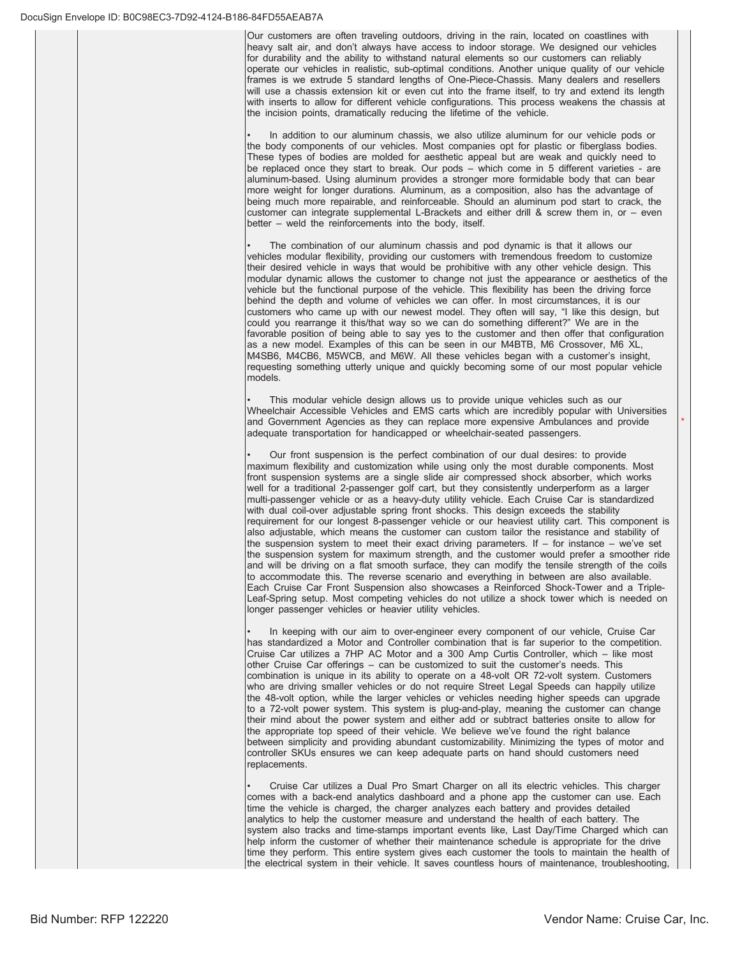$2$ I Our customers are often traveling outdoors, driving in the rain, located on coastlines with heavy salt air, and don't always have access to indoor storage. We designed our vehicles for durability and the ability to withstand natural elements so our customers can reliably operate our vehicles in realistic, sub-optimal conditions. Another unique quality of our vehicle frames is we extrude 5 standard lengths of One-Piece-Chassis. Many dealers and resellers will use a chassis extension kit or even cut into the frame itself, to try and extend its length with inserts to allow for different vehicle configurations. This process weakens the chassis at the incision points, dramatically reducing the lifetime of the vehicle.

In addition to our aluminum chassis, we also utilize aluminum for our vehicle pods or the body components of our vehicles. Most companies opt for plastic or fiberglass bodies. These types of bodies are molded for aesthetic appeal but are weak and quickly need to be replaced once they start to break. Our pods - which come in 5 different varieties - are aluminum-based. Using aluminum provides a stronger more formidable body that can bear more weight for longer durations. Aluminum, as a composition, also has the advantage of being much more repairable, and reinforceable. Should an aluminum pod start to crack, the  $\frac{5}{20}$  customer can integrate supplemental L-Brackets and either drill & screw them in, or – even better – weld the reinforcements into the body, itself.

The combination of our aluminum chassis and pod dynamic is that it allows our vehicles modular flexibility, providing our customers with tremendous freedom to customize their desired vehicle in ways that would be prohibitive with any other vehicle design. This modular dynamic allows the customer to change not just the appearance or aesthetics of the vehicle but the functional purpose of the vehicle. This flexibility has been the driving force behind the depth and volume of vehicles we can offer. In most circumstances, it is our customers who came up with our newest model. They often will say, "I like this design, but could you rearrange it this/that way so we can do something different?" We are in the favorable position of being able to say yes to the customer and then offer that configuration as a new model. Examples of this can be seen in our M4BTB, M6 Crossover, M6 XL, M4SB6, M4CB6, M5WCB, and M6W. All these vehicles began with a customer's insight, requesting something utterly unique and quickly becoming some of our most popular vehicle models

This modular vehicle design allows us to provide unique vehicles such as our Wheelchair Accessible Vehicles and EMS carts which are incredibly popular with Universities and Government Agencies as they can replace more expensive Ambulances and provide adequate transportation for handicapped or wheelchair-seated passengers.

Our front suspension is the perfect combination of our dual desires: to provide maximum flexibility and customization while using only the most durable components. Most front suspension systems are a single slide air compressed shock absorber, which works well for a traditional 2-passenger golf cart, but they consistently underperform as a larger multi-passenger vehicle or as a heavy-duty utility vehicle. Each Cruise Car is standardized with dual coil-over adjustable spring front shocks. This design exceeds the stability requirement for our longest 8-passenger vehicle or our heaviest utility cart. This component is also adjustable, which means the customer can custom tailor the resistance and stability of the suspension system to meet their exact driving parameters. If - for instance - we've set the suspension system for maximum strength, and the customer would prefer a smoother ride and will be driving on a flat smooth surface, they can modify the tensile strength of the coils to accommodate this. The reverse scenario and everything in between are also available. Each Cruise Car Front Suspension also showcases a Reinforced Shock-Tower and a Triple-Leaf-Spring setup. Most competing vehicles do not utilize a shock tower which is needed on longer passenger vehicles or heavier utility vehicles.

In keeping with our aim to over-engineer every component of our vehicle, Cruise Car has standardized a Motor and Controller combination that is far superior to the competition. Cruise Car utilizes a 7HP AC Motor and a 300 Amp Curtis Controller, which – like most other Cruise Car offerings - can be customized to suit the customer's needs. This combination is unique in its ability to operate on a 48-volt OR 72-volt system. Customers who are driving smaller vehicles or do not require Street Legal Speeds can happily utilize the 48-volt option, while the larger vehicles or vehicles needing higher speeds can upgrade to a 72-volt power system. This system is plug-and-play, meaning the customer can change their mind about the power system and either add or subtract batteries onsite to allow for the appropriate top speed of their vehicle. We believe we've found the right balance between simplicity and providing abundant customizability. Minimizing the types of motor and controller SKUs ensures we can keep adequate parts on hand should customers need replacements.

Cruise Car utilizes a Dual Pro Smart Charger on all its electric vehicles. This charger comes with a back-end analytics dashboard and a phone app the customer can use. Each time the vehicle is charged, the charger analyzes each battery and provides detailed analytics to help the customer measure and understand the health of each battery. The system also tracks and time-stamps important events like, Last Day/Time Charged which can help inform the customer of whether their maintenance schedule is appropriate for the drive time they perform. This entire system gives each customer the tools to maintain the health of the electrical system in their vehicle. It saves countless hours of maintenance, troubleshooting,

 $\overline{\phantom{a}}$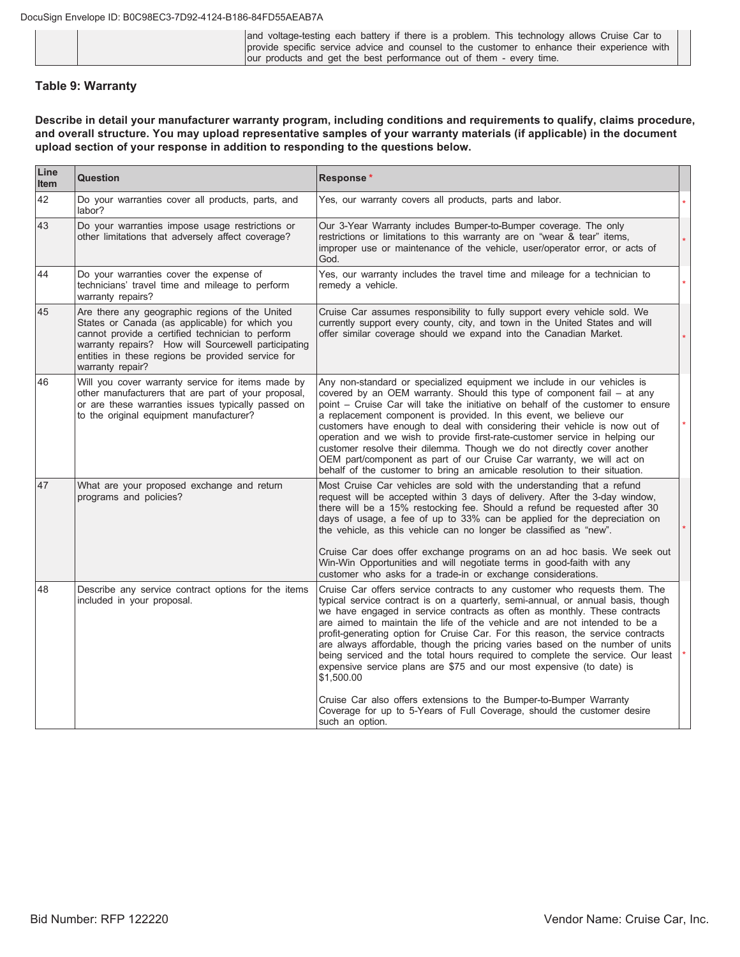|  | and voltage-testing each battery if there is a problem. This technology allows Cruise Car to |
|--|----------------------------------------------------------------------------------------------|
|  | provide specific service advice and counsel to the customer to enhance their experience with |
|  | our products and get the best performance out of them - every time.                          |

#### **Table 9: Warranty**

Describe in detail your manufacturer warranty program, including conditions and requirements to qualify, claims procedure, and overall structure. You may upload representative samples of your warranty materials (if applicable) in the document upload section of your response in addition to responding to the questions below.

| Line<br>Item | Question                                                                                                                                                                                                                                                                             | Response*                                                                                                                                                                                                                                                                                                                                                                                                                                                                                                                                                                                                                                                                                                                                                                                                                                 |         |
|--------------|--------------------------------------------------------------------------------------------------------------------------------------------------------------------------------------------------------------------------------------------------------------------------------------|-------------------------------------------------------------------------------------------------------------------------------------------------------------------------------------------------------------------------------------------------------------------------------------------------------------------------------------------------------------------------------------------------------------------------------------------------------------------------------------------------------------------------------------------------------------------------------------------------------------------------------------------------------------------------------------------------------------------------------------------------------------------------------------------------------------------------------------------|---------|
| 42           | Do your warranties cover all products, parts, and<br>labor?                                                                                                                                                                                                                          | Yes, our warranty covers all products, parts and labor.                                                                                                                                                                                                                                                                                                                                                                                                                                                                                                                                                                                                                                                                                                                                                                                   |         |
| 43           | Do your warranties impose usage restrictions or<br>other limitations that adversely affect coverage?                                                                                                                                                                                 | Our 3-Year Warranty includes Bumper-to-Bumper coverage. The only<br>restrictions or limitations to this warranty are on "wear & tear" items,<br>improper use or maintenance of the vehicle, user/operator error, or acts of<br>God.                                                                                                                                                                                                                                                                                                                                                                                                                                                                                                                                                                                                       |         |
| 44           | Do your warranties cover the expense of<br>technicians' travel time and mileage to perform<br>warranty repairs?                                                                                                                                                                      | Yes, our warranty includes the travel time and mileage for a technician to<br>remedy a vehicle.                                                                                                                                                                                                                                                                                                                                                                                                                                                                                                                                                                                                                                                                                                                                           | $\star$ |
| 45           | Are there any geographic regions of the United<br>States or Canada (as applicable) for which you<br>cannot provide a certified technician to perform<br>warranty repairs? How will Sourcewell participating<br>entities in these regions be provided service for<br>warranty repair? | Cruise Car assumes responsibility to fully support every vehicle sold. We<br>currently support every county, city, and town in the United States and will<br>offer similar coverage should we expand into the Canadian Market.                                                                                                                                                                                                                                                                                                                                                                                                                                                                                                                                                                                                            | $\star$ |
| 46           | Will you cover warranty service for items made by<br>other manufacturers that are part of your proposal,<br>or are these warranties issues typically passed on<br>to the original equipment manufacturer?                                                                            | Any non-standard or specialized equipment we include in our vehicles is<br>covered by an OEM warranty. Should this type of component fail - at any<br>point - Cruise Car will take the initiative on behalf of the customer to ensure<br>a replacement component is provided. In this event, we believe our<br>customers have enough to deal with considering their vehicle is now out of<br>operation and we wish to provide first-rate-customer service in helping our<br>customer resolve their dilemma. Though we do not directly cover another<br>OEM part/component as part of our Cruise Car warranty, we will act on<br>behalf of the customer to bring an amicable resolution to their situation.                                                                                                                                |         |
| 47           | What are your proposed exchange and return<br>programs and policies?                                                                                                                                                                                                                 | Most Cruise Car vehicles are sold with the understanding that a refund<br>request will be accepted within 3 days of delivery. After the 3-day window,<br>there will be a 15% restocking fee. Should a refund be requested after 30<br>days of usage, a fee of up to 33% can be applied for the depreciation on<br>the vehicle, as this vehicle can no longer be classified as "new".<br>Cruise Car does offer exchange programs on an ad hoc basis. We seek out<br>Win-Win Opportunities and will negotiate terms in good-faith with any<br>customer who asks for a trade-in or exchange considerations.                                                                                                                                                                                                                                  |         |
| 48           | Describe any service contract options for the items<br>included in your proposal.                                                                                                                                                                                                    | Cruise Car offers service contracts to any customer who requests them. The<br>typical service contract is on a quarterly, semi-annual, or annual basis, though<br>we have engaged in service contracts as often as monthly. These contracts<br>are aimed to maintain the life of the vehicle and are not intended to be a<br>profit-generating option for Cruise Car. For this reason, the service contracts<br>are always affordable, though the pricing varies based on the number of units<br>being serviced and the total hours required to complete the service. Our least<br>expensive service plans are \$75 and our most expensive (to date) is<br>\$1,500.00<br>Cruise Car also offers extensions to the Bumper-to-Bumper Warranty<br>Coverage for up to 5-Years of Full Coverage, should the customer desire<br>such an option. |         |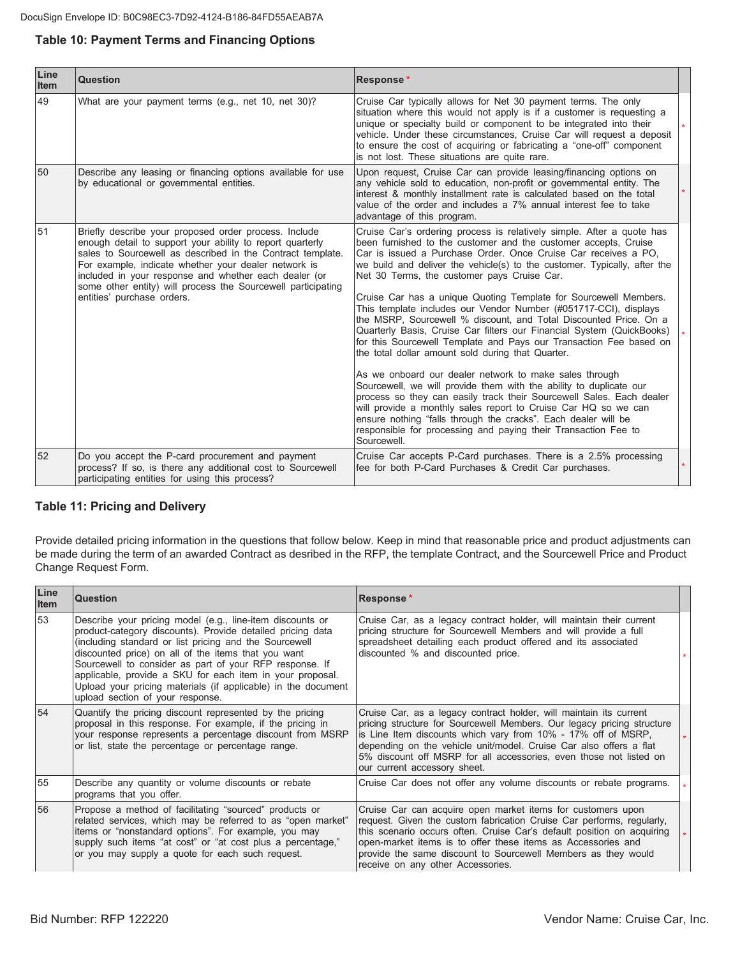### Table 10: Payment Terms and Financing Options

| Line<br><b>Item</b> | Question                                                                                                                                                                                                                                                                                                                                                                                        | Response*                                                                                                                                                                                                                                                                                                                                                                                                                                                                                                                                                                                                                                                                                                                                                                                                                                                                                                                                                                                                                                                                                                                                                                            |  |
|---------------------|-------------------------------------------------------------------------------------------------------------------------------------------------------------------------------------------------------------------------------------------------------------------------------------------------------------------------------------------------------------------------------------------------|--------------------------------------------------------------------------------------------------------------------------------------------------------------------------------------------------------------------------------------------------------------------------------------------------------------------------------------------------------------------------------------------------------------------------------------------------------------------------------------------------------------------------------------------------------------------------------------------------------------------------------------------------------------------------------------------------------------------------------------------------------------------------------------------------------------------------------------------------------------------------------------------------------------------------------------------------------------------------------------------------------------------------------------------------------------------------------------------------------------------------------------------------------------------------------------|--|
| 49                  | What are your payment terms (e.g., net 10, net 30)?                                                                                                                                                                                                                                                                                                                                             | Cruise Car typically allows for Net 30 payment terms. The only<br>situation where this would not apply is if a customer is requesting a<br>unique or specialty build or component to be integrated into their<br>vehicle. Under these circumstances, Cruise Car will request a deposit<br>to ensure the cost of acquiring or fabricating a "one-off" component<br>is not lost. These situations are quite rare.                                                                                                                                                                                                                                                                                                                                                                                                                                                                                                                                                                                                                                                                                                                                                                      |  |
| 50                  | Describe any leasing or financing options available for use<br>by educational or governmental entities.                                                                                                                                                                                                                                                                                         | Upon request, Cruise Car can provide leasing/financing options on<br>any vehicle sold to education, non-profit or governmental entity. The<br>interest & monthly installment rate is calculated based on the total<br>value of the order and includes a 7% annual interest fee to take<br>advantage of this program.                                                                                                                                                                                                                                                                                                                                                                                                                                                                                                                                                                                                                                                                                                                                                                                                                                                                 |  |
| 51                  | Briefly describe your proposed order process. Include<br>enough detail to support your ability to report quarterly<br>sales to Sourcewell as described in the Contract template.<br>For example, indicate whether your dealer network is<br>included in your response and whether each dealer (or<br>some other entity) will process the Sourcewell participating<br>entities' purchase orders. | Cruise Car's ordering process is relatively simple. After a quote has<br>been furnished to the customer and the customer accepts. Cruise<br>Car is issued a Purchase Order. Once Cruise Car receives a PO.<br>we build and deliver the vehicle(s) to the customer. Typically, after the<br>Net 30 Terms, the customer pays Cruise Car.<br>Cruise Car has a unique Quoting Template for Sourcewell Members.<br>This template includes our Vendor Number (#051717-CCI), displays<br>the MSRP, Sourcewell % discount, and Total Discounted Price. On a<br>Quarterly Basis, Cruise Car filters our Financial System (QuickBooks)<br>for this Sourcewell Template and Pays our Transaction Fee based on<br>the total dollar amount sold during that Quarter.<br>As we onboard our dealer network to make sales through<br>Sourcewell, we will provide them with the ability to duplicate our<br>process so they can easily track their Sourcewell Sales. Each dealer<br>will provide a monthly sales report to Cruise Car HQ so we can<br>ensure nothing "falls through the cracks". Each dealer will be<br>responsible for processing and paying their Transaction Fee to<br>Sourcewell. |  |
| 52                  | Do you accept the P-card procurement and payment<br>process? If so, is there any additional cost to Sourcewell<br>participating entities for using this process?                                                                                                                                                                                                                                | Cruise Car accepts P-Card purchases. There is a 2.5% processing<br>fee for both P-Card Purchases & Credit Car purchases.                                                                                                                                                                                                                                                                                                                                                                                                                                                                                                                                                                                                                                                                                                                                                                                                                                                                                                                                                                                                                                                             |  |

#### **Table 11: Pricing and Delivery**

Provide detailed pricing information in the questions that follow below. Keep in mind that reasonable price and product adjustments can be made during the term of an awarded Contract as desribed in the RFP, the template Contract, and the Sourcewell Price and Product Change Request Form.

| Line<br><b>Item</b> | <b>Question</b>                                                                                                                                                                                                                                                                                                                                                                                                                                                       | Response*                                                                                                                                                                                                                                                                                                                                                                                 |  |
|---------------------|-----------------------------------------------------------------------------------------------------------------------------------------------------------------------------------------------------------------------------------------------------------------------------------------------------------------------------------------------------------------------------------------------------------------------------------------------------------------------|-------------------------------------------------------------------------------------------------------------------------------------------------------------------------------------------------------------------------------------------------------------------------------------------------------------------------------------------------------------------------------------------|--|
| 53                  | Describe your pricing model (e.g., line-item discounts or<br>product-category discounts). Provide detailed pricing data<br>(including standard or list pricing and the Sourcewell<br>discounted price) on all of the items that you want<br>Sourcewell to consider as part of your RFP response. If<br>applicable, provide a SKU for each item in your proposal.<br>Upload your pricing materials (if applicable) in the document<br>upload section of your response. | Cruise Car, as a legacy contract holder, will maintain their current<br>pricing structure for Sourcewell Members and will provide a full<br>spreadsheet detailing each product offered and its associated<br>discounted % and discounted price.                                                                                                                                           |  |
| 54                  | Quantify the pricing discount represented by the pricing<br>proposal in this response. For example, if the pricing in<br>your response represents a percentage discount from MSRP<br>or list, state the percentage or percentage range.                                                                                                                                                                                                                               | Cruise Car, as a legacy contract holder, will maintain its current<br>pricing structure for Sourcewell Members. Our legacy pricing structure<br>is Line Item discounts which vary from 10% - 17% off of MSRP,<br>depending on the vehicle unit/model. Cruise Car also offers a flat<br>5% discount off MSRP for all accessories, even those not listed on<br>our current accessory sheet. |  |
| 55                  | Describe any quantity or volume discounts or rebate<br>programs that you offer.                                                                                                                                                                                                                                                                                                                                                                                       | Cruise Car does not offer any volume discounts or rebate programs.                                                                                                                                                                                                                                                                                                                        |  |
| 56                  | Propose a method of facilitating "sourced" products or<br>related services, which may be referred to as "open market"<br>items or "nonstandard options". For example, you may<br>supply such items "at cost" or "at cost plus a percentage,"<br>or you may supply a quote for each such request.                                                                                                                                                                      | Cruise Car can acquire open market items for customers upon<br>request. Given the custom fabrication Cruise Car performs, regularly,<br>this scenario occurs often. Cruise Car's default position on acquiring<br>open-market items is to offer these items as Accessories and<br>provide the same discount to Sourcewell Members as they would<br>receive on any other Accessories.      |  |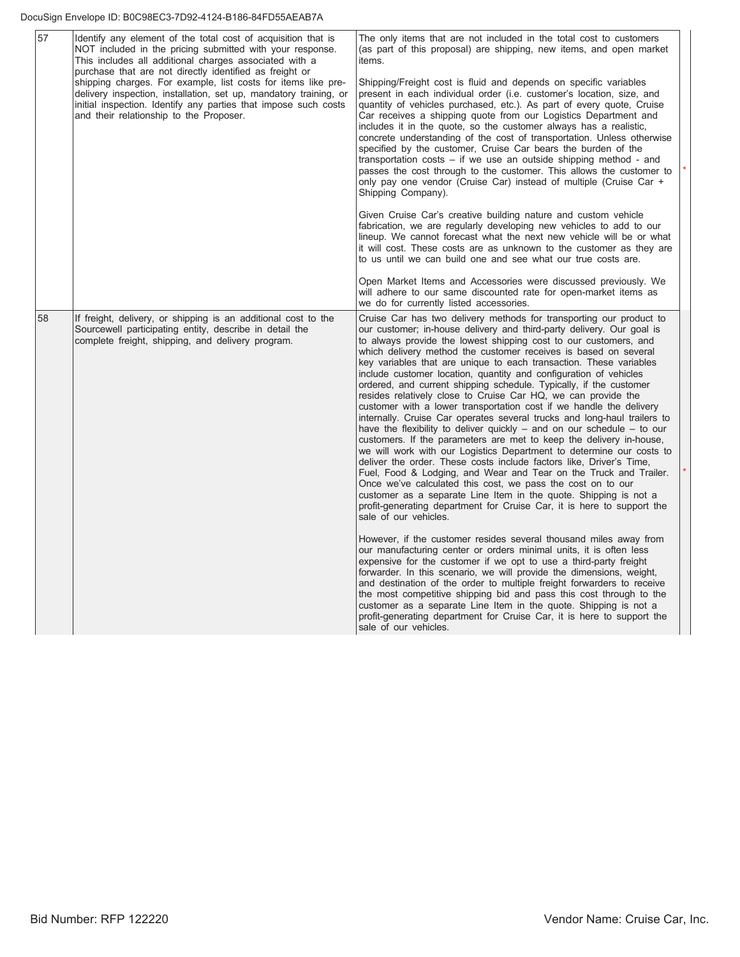#### DocuSign Envelope ID: B0C98EC3-7D92-4124-B186-84FD55AEAB7A

| 57 | Identify any element of the total cost of acquisition that is<br>NOT included in the pricing submitted with your response.<br>This includes all additional charges associated with a<br>purchase that are not directly identified as freight or<br>shipping charges. For example, list costs for items like pre-<br>delivery inspection, installation, set up, mandatory training, or<br>initial inspection. Identify any parties that impose such costs<br>and their relationship to the Proposer. | The only items that are not included in the total cost to customers<br>(as part of this proposal) are shipping, new items, and open market<br>items.<br>Shipping/Freight cost is fluid and depends on specific variables<br>present in each individual order (i.e. customer's location, size, and<br>quantity of vehicles purchased, etc.). As part of every quote, Cruise<br>Car receives a shipping quote from our Logistics Department and<br>includes it in the quote, so the customer always has a realistic,<br>concrete understanding of the cost of transportation. Unless otherwise<br>specified by the customer, Cruise Car bears the burden of the<br>transportation $costs - if we use an outside shipping method - and$<br>passes the cost through to the customer. This allows the customer to<br>only pay one vendor (Cruise Car) instead of multiple (Cruise Car +<br>Shipping Company).                                                                                                                                                                                                                                                                                                                                                                                                                                |  |
|----|-----------------------------------------------------------------------------------------------------------------------------------------------------------------------------------------------------------------------------------------------------------------------------------------------------------------------------------------------------------------------------------------------------------------------------------------------------------------------------------------------------|-----------------------------------------------------------------------------------------------------------------------------------------------------------------------------------------------------------------------------------------------------------------------------------------------------------------------------------------------------------------------------------------------------------------------------------------------------------------------------------------------------------------------------------------------------------------------------------------------------------------------------------------------------------------------------------------------------------------------------------------------------------------------------------------------------------------------------------------------------------------------------------------------------------------------------------------------------------------------------------------------------------------------------------------------------------------------------------------------------------------------------------------------------------------------------------------------------------------------------------------------------------------------------------------------------------------------------------------|--|
|    |                                                                                                                                                                                                                                                                                                                                                                                                                                                                                                     | Given Cruise Car's creative building nature and custom vehicle<br>fabrication, we are regularly developing new vehicles to add to our<br>lineup. We cannot forecast what the next new vehicle will be or what<br>it will cost. These costs are as unknown to the customer as they are<br>to us until we can build one and see what our true costs are.                                                                                                                                                                                                                                                                                                                                                                                                                                                                                                                                                                                                                                                                                                                                                                                                                                                                                                                                                                                  |  |
|    |                                                                                                                                                                                                                                                                                                                                                                                                                                                                                                     | Open Market Items and Accessories were discussed previously. We<br>will adhere to our same discounted rate for open-market items as<br>we do for currently listed accessories.                                                                                                                                                                                                                                                                                                                                                                                                                                                                                                                                                                                                                                                                                                                                                                                                                                                                                                                                                                                                                                                                                                                                                          |  |
| 58 | If freight, delivery, or shipping is an additional cost to the<br>Sourcewell participating entity, describe in detail the<br>complete freight, shipping, and delivery program.                                                                                                                                                                                                                                                                                                                      | Cruise Car has two delivery methods for transporting our product to<br>our customer; in-house delivery and third-party delivery. Our goal is<br>to always provide the lowest shipping cost to our customers, and<br>which delivery method the customer receives is based on several<br>key variables that are unique to each transaction. These variables<br>include customer location, quantity and configuration of vehicles<br>ordered, and current shipping schedule. Typically, if the customer<br>resides relatively close to Cruise Car HQ, we can provide the<br>customer with a lower transportation cost if we handle the delivery<br>internally. Cruise Car operates several trucks and long-haul trailers to<br>have the flexibility to deliver quickly $-$ and on our schedule $-$ to our<br>customers. If the parameters are met to keep the delivery in-house,<br>we will work with our Logistics Department to determine our costs to<br>deliver the order. These costs include factors like. Driver's Time.<br>Fuel, Food & Lodging, and Wear and Tear on the Truck and Trailer.<br>Once we've calculated this cost, we pass the cost on to our<br>customer as a separate Line Item in the quote. Shipping is not a<br>profit-generating department for Cruise Car, it is here to support the<br>sale of our vehicles. |  |
|    |                                                                                                                                                                                                                                                                                                                                                                                                                                                                                                     | However, if the customer resides several thousand miles away from<br>our manufacturing center or orders minimal units, it is often less<br>expensive for the customer if we opt to use a third-party freight<br>forwarder. In this scenario, we will provide the dimensions, weight,<br>and destination of the order to multiple freight forwarders to receive<br>the most competitive shipping bid and pass this cost through to the<br>customer as a separate Line Item in the quote. Shipping is not a<br>profit-generating department for Cruise Car, it is here to support the<br>sale of our vehicles.                                                                                                                                                                                                                                                                                                                                                                                                                                                                                                                                                                                                                                                                                                                            |  |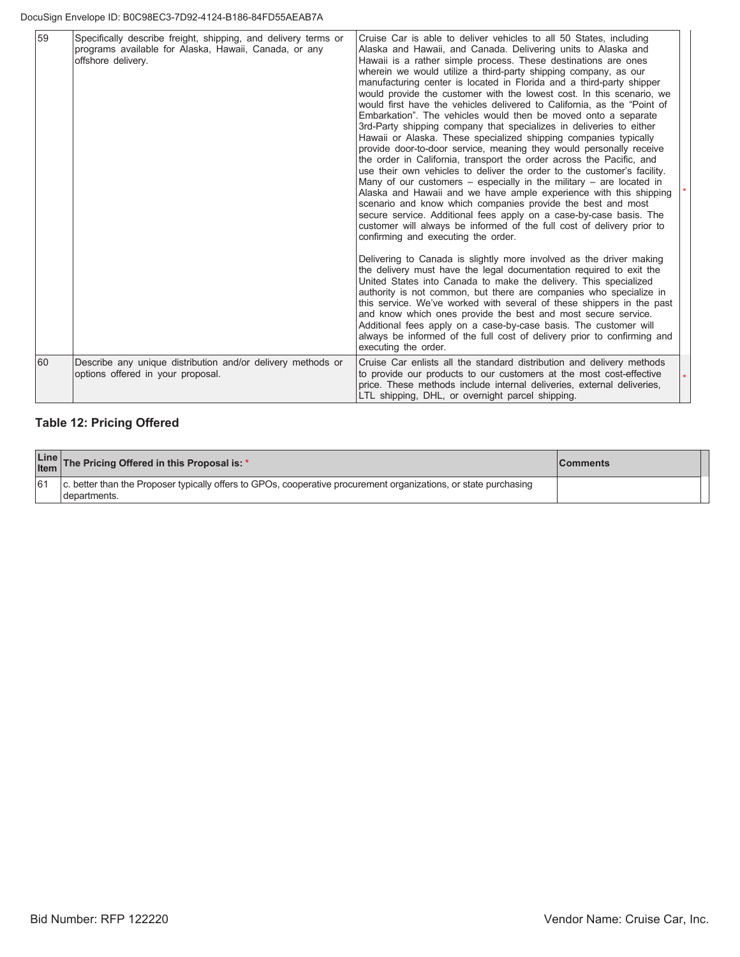| 59 | Specifically describe freight, shipping, and delivery terms or<br>programs available for Alaska, Hawaii, Canada, or any<br>offshore delivery. | Cruise Car is able to deliver vehicles to all 50 States, including<br>Alaska and Hawaii, and Canada. Delivering units to Alaska and<br>Hawaii is a rather simple process. These destinations are ones<br>wherein we would utilize a third-party shipping company, as our<br>manufacturing center is located in Florida and a third-party shipper<br>would provide the customer with the lowest cost. In this scenario, we<br>would first have the vehicles delivered to California, as the "Point of<br>Embarkation". The vehicles would then be moved onto a separate<br>3rd-Party shipping company that specializes in deliveries to either<br>Hawaii or Alaska. These specialized shipping companies typically<br>provide door-to-door service, meaning they would personally receive<br>the order in California, transport the order across the Pacific, and<br>use their own vehicles to deliver the order to the customer's facility.<br>Many of our customers $-$ especially in the military $-$ are located in<br>Alaska and Hawaii and we have ample experience with this shipping<br>scenario and know which companies provide the best and most<br>secure service. Additional fees apply on a case-by-case basis. The<br>customer will always be informed of the full cost of delivery prior to<br>confirming and executing the order. |  |
|----|-----------------------------------------------------------------------------------------------------------------------------------------------|---------------------------------------------------------------------------------------------------------------------------------------------------------------------------------------------------------------------------------------------------------------------------------------------------------------------------------------------------------------------------------------------------------------------------------------------------------------------------------------------------------------------------------------------------------------------------------------------------------------------------------------------------------------------------------------------------------------------------------------------------------------------------------------------------------------------------------------------------------------------------------------------------------------------------------------------------------------------------------------------------------------------------------------------------------------------------------------------------------------------------------------------------------------------------------------------------------------------------------------------------------------------------------------------------------------------------------------------------|--|
|    |                                                                                                                                               | Delivering to Canada is slightly more involved as the driver making<br>the delivery must have the legal documentation required to exit the<br>United States into Canada to make the delivery. This specialized<br>authority is not common, but there are companies who specialize in<br>this service. We've worked with several of these shippers in the past<br>and know which ones provide the best and most secure service.<br>Additional fees apply on a case-by-case basis. The customer will<br>always be informed of the full cost of delivery prior to confirming and<br>executing the order.                                                                                                                                                                                                                                                                                                                                                                                                                                                                                                                                                                                                                                                                                                                                             |  |
| 60 | Describe any unique distribution and/or delivery methods or<br>options offered in your proposal.                                              | Cruise Car enlists all the standard distribution and delivery methods<br>to provide our products to our customers at the most cost-effective<br>price. These methods include internal deliveries, external deliveries,<br>LTL shipping, DHL, or overnight parcel shipping.                                                                                                                                                                                                                                                                                                                                                                                                                                                                                                                                                                                                                                                                                                                                                                                                                                                                                                                                                                                                                                                                        |  |

# **Table 12: Pricing Offered**

|    | Line The Pricing Offered in this Proposal is: *                                                                                  | <b>Comments</b> |  |
|----|----------------------------------------------------------------------------------------------------------------------------------|-----------------|--|
| 61 | c. better than the Proposer typically offers to GPOs, cooperative procurement organizations, or state purchasing<br>departments. |                 |  |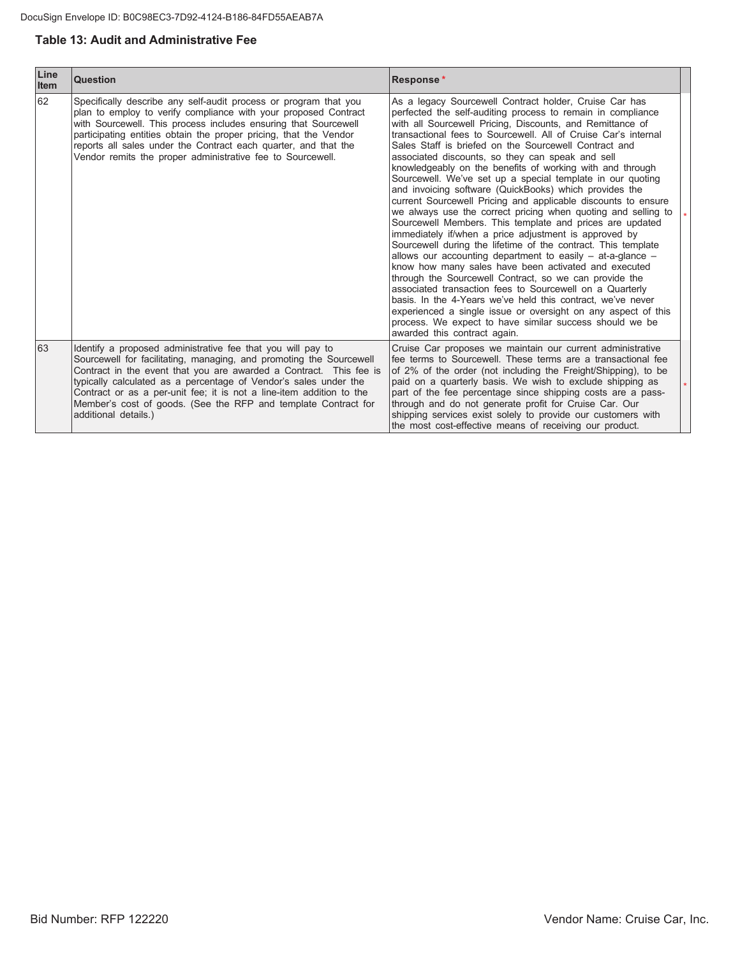## **Table 13: Audit and Administrative Fee**

| Line<br><b>Item</b> | <b>Question</b>                                                                                                                                                                                                                                                                                                                                                                                                                                | <b>Response*</b>                                                                                                                                                                                                                                                                                                                                                                                                                                                                                                                                                                                                                                                                                                                                                                                                                                                                                                                                                                                                                                                                                                                                                                                                                                                                                                                                          |  |
|---------------------|------------------------------------------------------------------------------------------------------------------------------------------------------------------------------------------------------------------------------------------------------------------------------------------------------------------------------------------------------------------------------------------------------------------------------------------------|-----------------------------------------------------------------------------------------------------------------------------------------------------------------------------------------------------------------------------------------------------------------------------------------------------------------------------------------------------------------------------------------------------------------------------------------------------------------------------------------------------------------------------------------------------------------------------------------------------------------------------------------------------------------------------------------------------------------------------------------------------------------------------------------------------------------------------------------------------------------------------------------------------------------------------------------------------------------------------------------------------------------------------------------------------------------------------------------------------------------------------------------------------------------------------------------------------------------------------------------------------------------------------------------------------------------------------------------------------------|--|
| 62                  | Specifically describe any self-audit process or program that you<br>plan to employ to verify compliance with your proposed Contract<br>with Sourcewell. This process includes ensuring that Sourcewell<br>participating entities obtain the proper pricing, that the Vendor<br>reports all sales under the Contract each quarter, and that the<br>Vendor remits the proper administrative fee to Sourcewell.                                   | As a legacy Sourcewell Contract holder, Cruise Car has<br>perfected the self-auditing process to remain in compliance<br>with all Sourcewell Pricing, Discounts, and Remittance of<br>transactional fees to Sourcewell. All of Cruise Car's internal<br>Sales Staff is briefed on the Sourcewell Contract and<br>associated discounts, so they can speak and sell<br>knowledgeably on the benefits of working with and through<br>Sourcewell. We've set up a special template in our quoting<br>and invoicing software (QuickBooks) which provides the<br>current Sourcewell Pricing and applicable discounts to ensure<br>we always use the correct pricing when quoting and selling to<br>Sourcewell Members. This template and prices are updated<br>immediately if/when a price adjustment is approved by<br>Sourcewell during the lifetime of the contract. This template<br>allows our accounting department to easily $-$ at-a-glance $-$<br>know how many sales have been activated and executed<br>through the Sourcewell Contract, so we can provide the<br>associated transaction fees to Sourcewell on a Quarterly<br>basis. In the 4-Years we've held this contract, we've never<br>experienced a single issue or oversight on any aspect of this<br>process. We expect to have similar success should we be<br>awarded this contract again. |  |
| 63                  | Identify a proposed administrative fee that you will pay to<br>Sourcewell for facilitating, managing, and promoting the Sourcewell<br>Contract in the event that you are awarded a Contract. This fee is<br>typically calculated as a percentage of Vendor's sales under the<br>Contract or as a per-unit fee; it is not a line-item addition to the<br>Member's cost of goods. (See the RFP and template Contract for<br>additional details.) | Cruise Car proposes we maintain our current administrative<br>fee terms to Sourcewell. These terms are a transactional fee<br>of 2% of the order (not including the Freight/Shipping), to be<br>paid on a quarterly basis. We wish to exclude shipping as<br>part of the fee percentage since shipping costs are a pass-<br>through and do not generate profit for Cruise Car. Our<br>shipping services exist solely to provide our customers with<br>the most cost-effective means of receiving our product.                                                                                                                                                                                                                                                                                                                                                                                                                                                                                                                                                                                                                                                                                                                                                                                                                                             |  |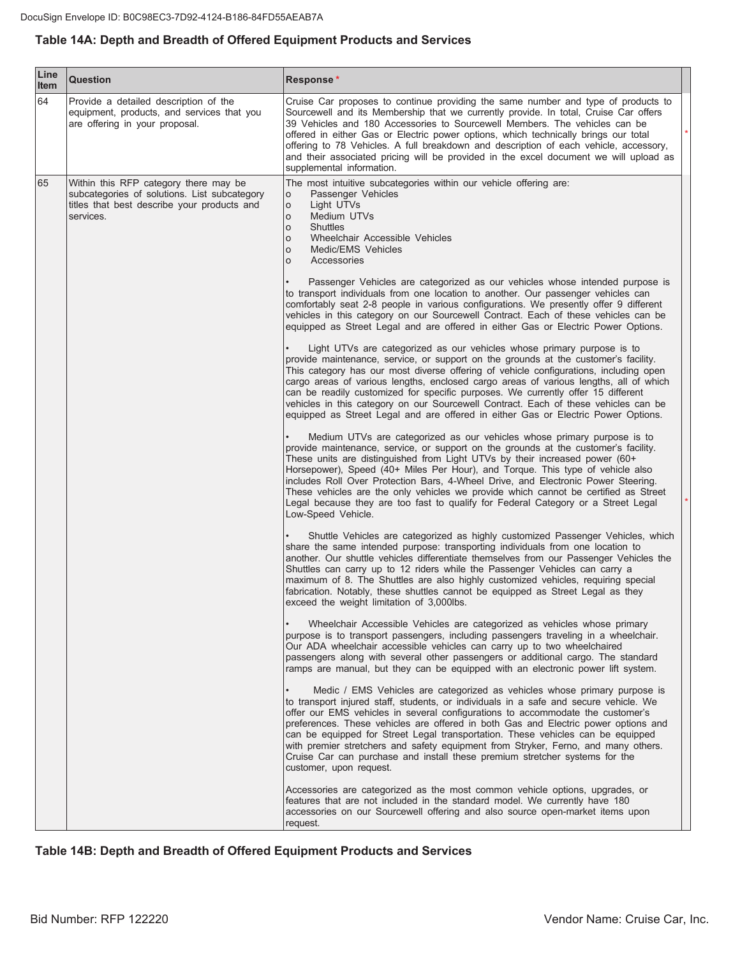## Table 14A: Depth and Breadth of Offered Equipment Products and Services

| Line<br><b>Item</b> | Question                                                                                                                                          | Response*                                                                                                                                                                                                                                                                                                                                                                                                                                                                                                                                                                                                                                                                                                                                                                                                                                                                                                                                                                                                                                                                                                                                                                                                                                                                                                                                                                                                                                                                                                                                                                                                                                                                                                                                                                                                                                                                                                                                                                                                                                                                                                                                                                                                                                                                                                                                                                                                                                                                                                                                                                                                                                                                                                                                                                                                                                                                                                                                                                                                                                                                                                                                                                                                                                                                                                                                                                                                                                                                                                                                                                    |  |
|---------------------|---------------------------------------------------------------------------------------------------------------------------------------------------|------------------------------------------------------------------------------------------------------------------------------------------------------------------------------------------------------------------------------------------------------------------------------------------------------------------------------------------------------------------------------------------------------------------------------------------------------------------------------------------------------------------------------------------------------------------------------------------------------------------------------------------------------------------------------------------------------------------------------------------------------------------------------------------------------------------------------------------------------------------------------------------------------------------------------------------------------------------------------------------------------------------------------------------------------------------------------------------------------------------------------------------------------------------------------------------------------------------------------------------------------------------------------------------------------------------------------------------------------------------------------------------------------------------------------------------------------------------------------------------------------------------------------------------------------------------------------------------------------------------------------------------------------------------------------------------------------------------------------------------------------------------------------------------------------------------------------------------------------------------------------------------------------------------------------------------------------------------------------------------------------------------------------------------------------------------------------------------------------------------------------------------------------------------------------------------------------------------------------------------------------------------------------------------------------------------------------------------------------------------------------------------------------------------------------------------------------------------------------------------------------------------------------------------------------------------------------------------------------------------------------------------------------------------------------------------------------------------------------------------------------------------------------------------------------------------------------------------------------------------------------------------------------------------------------------------------------------------------------------------------------------------------------------------------------------------------------------------------------------------------------------------------------------------------------------------------------------------------------------------------------------------------------------------------------------------------------------------------------------------------------------------------------------------------------------------------------------------------------------------------------------------------------------------------------------------------------|--|
| 64                  | Provide a detailed description of the<br>equipment, products, and services that you<br>are offering in your proposal.                             | Cruise Car proposes to continue providing the same number and type of products to<br>Sourcewell and its Membership that we currently provide. In total, Cruise Car offers<br>39 Vehicles and 180 Accessories to Sourcewell Members. The vehicles can be<br>offered in either Gas or Electric power options, which technically brings our total<br>offering to 78 Vehicles. A full breakdown and description of each vehicle, accessory,<br>and their associated pricing will be provided in the excel document we will upload as<br>supplemental information.                                                                                                                                                                                                                                                                                                                                                                                                                                                                                                                                                                                                                                                                                                                                                                                                                                                                                                                                                                                                                                                                                                                                                                                                                                                                                                                                                                                                                                                                                                                                                                                                                                                                                                                                                                                                                                                                                                                                                                                                                                                                                                                                                                                                                                                                                                                                                                                                                                                                                                                                                                                                                                                                                                                                                                                                                                                                                                                                                                                                                |  |
| 65                  | Within this RFP category there may be<br>subcategories of solutions. List subcategory<br>titles that best describe your products and<br>services. | The most intuitive subcategories within our vehicle offering are:<br>Passenger Vehicles<br>O<br>Light UTVs<br>$\circ$<br>Medium UTVs<br>$\circ$<br><b>Shuttles</b><br>$\circ$<br>Wheelchair Accessible Vehicles<br>$\circ$<br>Medic/EMS Vehicles<br>$\circ$<br>Accessories<br>$\Omega$<br>Passenger Vehicles are categorized as our vehicles whose intended purpose is<br>to transport individuals from one location to another. Our passenger vehicles can<br>comfortably seat 2-8 people in various configurations. We presently offer 9 different<br>vehicles in this category on our Sourcewell Contract. Each of these vehicles can be<br>equipped as Street Legal and are offered in either Gas or Electric Power Options.<br>Light UTVs are categorized as our vehicles whose primary purpose is to<br>provide maintenance, service, or support on the grounds at the customer's facility.<br>This category has our most diverse offering of vehicle configurations, including open<br>cargo areas of various lengths, enclosed cargo areas of various lengths, all of which<br>can be readily customized for specific purposes. We currently offer 15 different<br>vehicles in this category on our Sourcewell Contract. Each of these vehicles can be<br>equipped as Street Legal and are offered in either Gas or Electric Power Options.<br>Medium UTVs are categorized as our vehicles whose primary purpose is to<br>provide maintenance, service, or support on the grounds at the customer's facility.<br>These units are distinguished from Light UTVs by their increased power (60+<br>Horsepower), Speed (40+ Miles Per Hour), and Torque. This type of vehicle also<br>includes Roll Over Protection Bars, 4-Wheel Drive, and Electronic Power Steering.<br>These vehicles are the only vehicles we provide which cannot be certified as Street<br>Legal because they are too fast to qualify for Federal Category or a Street Legal<br>Low-Speed Vehicle.<br>Shuttle Vehicles are categorized as highly customized Passenger Vehicles, which<br>share the same intended purpose: transporting individuals from one location to<br>another. Our shuttle vehicles differentiate themselves from our Passenger Vehicles the<br>Shuttles can carry up to 12 riders while the Passenger Vehicles can carry a<br>maximum of 8. The Shuttles are also highly customized vehicles, requiring special<br>fabrication. Notably, these shuttles cannot be equipped as Street Legal as they<br>exceed the weight limitation of 3,000lbs.<br>Wheelchair Accessible Vehicles are categorized as vehicles whose primary<br>purpose is to transport passengers, including passengers traveling in a wheelchair.<br>Our ADA wheelchair accessible vehicles can carry up to two wheelchaired<br>passengers along with several other passengers or additional cargo. The standard<br>ramps are manual, but they can be equipped with an electronic power lift system.<br>Medic / EMS Vehicles are categorized as vehicles whose primary purpose is<br>to transport injured staff, students, or individuals in a safe and secure vehicle. We<br>offer our EMS vehicles in several configurations to accommodate the customer's<br>preferences. These vehicles are offered in both Gas and Electric power options and<br>can be equipped for Street Legal transportation. These vehicles can be equipped<br>with premier stretchers and safety equipment from Stryker, Ferno, and many others.<br>Cruise Car can purchase and install these premium stretcher systems for the |  |
|                     |                                                                                                                                                   | customer, upon request.<br>Accessories are categorized as the most common vehicle options, upgrades, or<br>features that are not included in the standard model. We currently have 180<br>accessories on our Sourcewell offering and also source open-market items upon<br>request.                                                                                                                                                                                                                                                                                                                                                                                                                                                                                                                                                                                                                                                                                                                                                                                                                                                                                                                                                                                                                                                                                                                                                                                                                                                                                                                                                                                                                                                                                                                                                                                                                                                                                                                                                                                                                                                                                                                                                                                                                                                                                                                                                                                                                                                                                                                                                                                                                                                                                                                                                                                                                                                                                                                                                                                                                                                                                                                                                                                                                                                                                                                                                                                                                                                                                          |  |

Table 14B: Depth and Breadth of Offered Equipment Products and Services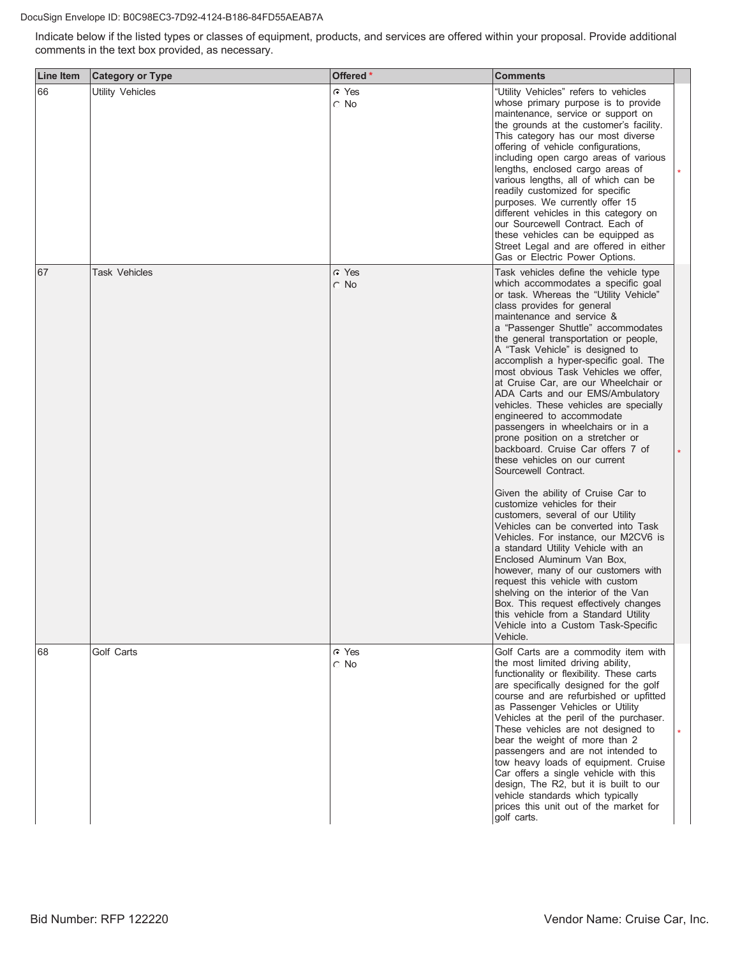#### DocuSign Envelope ID: B0C98EC3-7D92-4124-B186-84FD55AEAB7A

Indicate below if the listed types or classes of equipment, products, and services are offered within your proposal. Provide additional comments in the text box provided, as necessary.

| <b>Line Item</b> | <b>Category or Type</b> | Offered *               | Comments                                                                                                                                                                                                                                                                                                                                                                                                                                                                                                                                                                                                                                                                                                                                                                                                                                                                                                                                                                                                                                                                                                                                                                                                                          |  |
|------------------|-------------------------|-------------------------|-----------------------------------------------------------------------------------------------------------------------------------------------------------------------------------------------------------------------------------------------------------------------------------------------------------------------------------------------------------------------------------------------------------------------------------------------------------------------------------------------------------------------------------------------------------------------------------------------------------------------------------------------------------------------------------------------------------------------------------------------------------------------------------------------------------------------------------------------------------------------------------------------------------------------------------------------------------------------------------------------------------------------------------------------------------------------------------------------------------------------------------------------------------------------------------------------------------------------------------|--|
| 66               | <b>Utility Vehicles</b> | C Yes<br>$\circ$ No     | "Utility Vehicles" refers to vehicles<br>whose primary purpose is to provide<br>maintenance, service or support on<br>the grounds at the customer's facility.<br>This category has our most diverse<br>offering of vehicle configurations,<br>including open cargo areas of various<br>lengths, enclosed cargo areas of<br>various lengths, all of which can be<br>readily customized for specific<br>purposes. We currently offer 15<br>different vehicles in this category on<br>our Sourcewell Contract. Each of<br>these vehicles can be equipped as<br>Street Legal and are offered in either<br>Gas or Electric Power Options.                                                                                                                                                                                                                                                                                                                                                                                                                                                                                                                                                                                              |  |
| 67               | <b>Task Vehicles</b>    | $\cap$ Yes<br>$\cap$ No | Task vehicles define the vehicle type<br>which accommodates a specific goal<br>or task. Whereas the "Utility Vehicle"<br>class provides for general<br>maintenance and service &<br>a "Passenger Shuttle" accommodates<br>the general transportation or people,<br>A "Task Vehicle" is designed to<br>accomplish a hyper-specific goal. The<br>most obvious Task Vehicles we offer,<br>at Cruise Car, are our Wheelchair or<br>ADA Carts and our EMS/Ambulatory<br>vehicles. These vehicles are specially<br>engineered to accommodate<br>passengers in wheelchairs or in a<br>prone position on a stretcher or<br>backboard. Cruise Car offers 7 of<br>these vehicles on our current<br>Sourcewell Contract.<br>Given the ability of Cruise Car to<br>customize vehicles for their<br>customers, several of our Utility<br>Vehicles can be converted into Task<br>Vehicles. For instance, our M2CV6 is<br>a standard Utility Vehicle with an<br>Enclosed Aluminum Van Box,<br>however, many of our customers with<br>request this vehicle with custom<br>shelving on the interior of the Van<br>Box. This request effectively changes<br>this vehicle from a Standard Utility<br>Vehicle into a Custom Task-Specific<br>Vehicle. |  |
| 68               | Golf Carts              | C Yes<br>$\circ$ No     | Golf Carts are a commodity item with<br>the most limited driving ability,<br>functionality or flexibility. These carts<br>are specifically designed for the golf<br>course and are refurbished or upfitted<br>as Passenger Vehicles or Utility<br>Vehicles at the peril of the purchaser.<br>These vehicles are not designed to<br>bear the weight of more than 2<br>passengers and are not intended to<br>tow heavy loads of equipment. Cruise<br>Car offers a single vehicle with this<br>design, The R2, but it is built to our<br>vehicle standards which typically<br>prices this unit out of the market for<br>golf carts.                                                                                                                                                                                                                                                                                                                                                                                                                                                                                                                                                                                                  |  |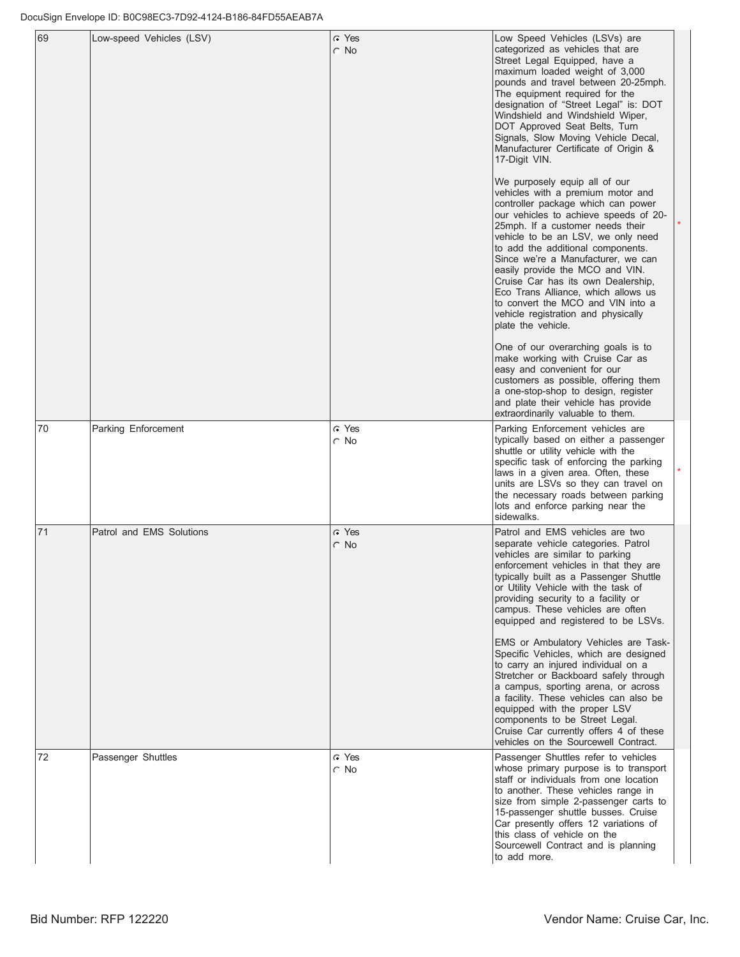| 69 | Low-speed Vehicles (LSV) | r Yes<br>$\cap$ No    | Low Speed Vehicles (LSVs) are<br>categorized as vehicles that are<br>Street Legal Equipped, have a<br>maximum loaded weight of 3,000<br>pounds and travel between 20-25mph.<br>The equipment required for the<br>designation of "Street Legal" is: DOT<br>Windshield and Windshield Wiper,<br>DOT Approved Seat Belts, Turn<br>Signals, Slow Moving Vehicle Decal,<br>Manufacturer Certificate of Origin &<br>17-Digit VIN.<br>We purposely equip all of our<br>vehicles with a premium motor and<br>controller package which can power<br>our vehicles to achieve speeds of 20-<br>25mph. If a customer needs their<br>vehicle to be an LSV, we only need<br>to add the additional components.<br>Since we're a Manufacturer, we can<br>easily provide the MCO and VIN.<br>Cruise Car has its own Dealership,<br>Eco Trans Alliance, which allows us<br>to convert the MCO and VIN into a<br>vehicle registration and physically<br>plate the vehicle.<br>One of our overarching goals is to<br>make working with Cruise Car as<br>easy and convenient for our<br>customers as possible, offering them<br>a one-stop-shop to design, register<br>and plate their vehicle has provide<br>extraordinarily valuable to them. |  |
|----|--------------------------|-----------------------|----------------------------------------------------------------------------------------------------------------------------------------------------------------------------------------------------------------------------------------------------------------------------------------------------------------------------------------------------------------------------------------------------------------------------------------------------------------------------------------------------------------------------------------------------------------------------------------------------------------------------------------------------------------------------------------------------------------------------------------------------------------------------------------------------------------------------------------------------------------------------------------------------------------------------------------------------------------------------------------------------------------------------------------------------------------------------------------------------------------------------------------------------------------------------------------------------------------------------|--|
| 70 | Parking Enforcement      | C Yes<br>$\circ$ No   | Parking Enforcement vehicles are<br>typically based on either a passenger<br>shuttle or utility vehicle with the<br>specific task of enforcing the parking<br>laws in a given area. Often, these<br>units are LSVs so they can travel on<br>the necessary roads between parking<br>lots and enforce parking near the<br>sidewalks.                                                                                                                                                                                                                                                                                                                                                                                                                                                                                                                                                                                                                                                                                                                                                                                                                                                                                         |  |
| 71 | Patrol and EMS Solutions | G Yes<br>$\subset$ No | Patrol and EMS vehicles are two<br>separate vehicle categories. Patrol<br>vehicles are similar to parking<br>enforcement vehicles in that they are<br>typically built as a Passenger Shuttle<br>or Utility Vehicle with the task of<br>providing security to a facility or<br>campus. These vehicles are often<br>equipped and registered to be LSVs.<br>EMS or Ambulatory Vehicles are Task-<br>Specific Vehicles, which are designed<br>to carry an injured individual on a<br>Stretcher or Backboard safely through<br>a campus, sporting arena, or across<br>a facility. These vehicles can also be<br>equipped with the proper LSV<br>components to be Street Legal.<br>Cruise Car currently offers 4 of these<br>vehicles on the Sourcewell Contract.                                                                                                                                                                                                                                                                                                                                                                                                                                                                |  |
| 72 | Passenger Shuttles       | െ Yes<br>$\circ$ No   | Passenger Shuttles refer to vehicles<br>whose primary purpose is to transport<br>staff or individuals from one location<br>to another. These vehicles range in<br>size from simple 2-passenger carts to<br>15-passenger shuttle busses. Cruise<br>Car presently offers 12 variations of<br>this class of vehicle on the<br>Sourcewell Contract and is planning<br>to add more.                                                                                                                                                                                                                                                                                                                                                                                                                                                                                                                                                                                                                                                                                                                                                                                                                                             |  |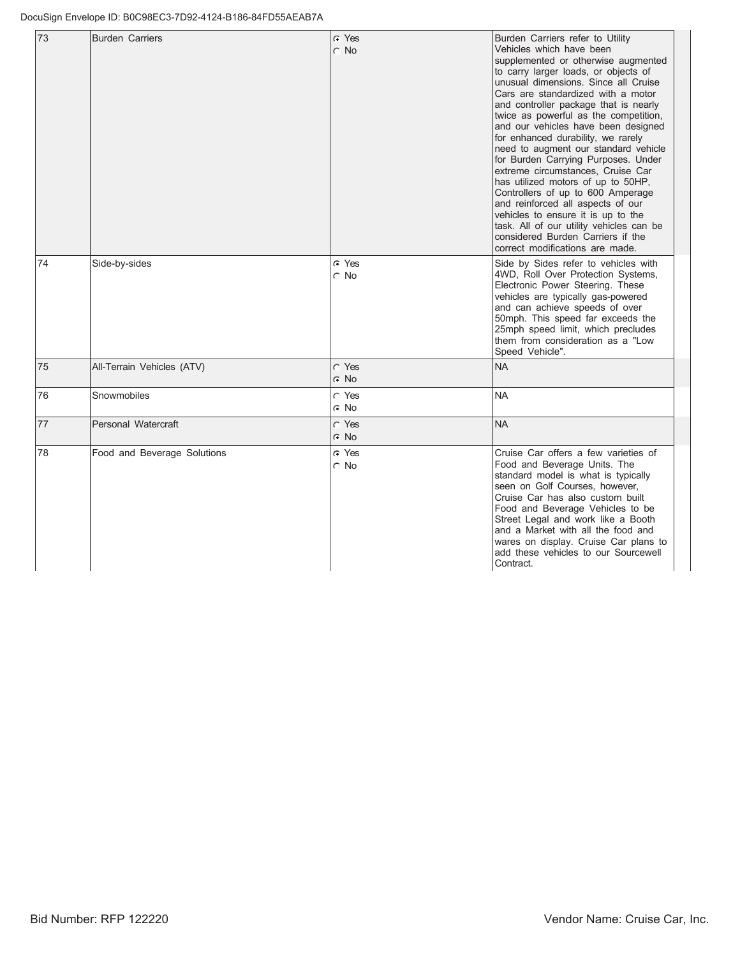| 73 | <b>Burden Carriers</b>      | G Yes<br>$\cap$ No  | Burden Carriers refer to Utility<br>Vehicles which have been<br>supplemented or otherwise augmented<br>to carry larger loads, or objects of<br>unusual dimensions. Since all Cruise<br>Cars are standardized with a motor<br>and controller package that is nearly<br>twice as powerful as the competition,<br>and our vehicles have been designed<br>for enhanced durability, we rarely<br>need to augment our standard vehicle<br>for Burden Carrying Purposes. Under<br>extreme circumstances. Cruise Car<br>has utilized motors of up to 50HP,<br>Controllers of up to 600 Amperage<br>and reinforced all aspects of our<br>vehicles to ensure it is up to the<br>task. All of our utility vehicles can be<br>considered Burden Carriers if the<br>correct modifications are made. |
|----|-----------------------------|---------------------|----------------------------------------------------------------------------------------------------------------------------------------------------------------------------------------------------------------------------------------------------------------------------------------------------------------------------------------------------------------------------------------------------------------------------------------------------------------------------------------------------------------------------------------------------------------------------------------------------------------------------------------------------------------------------------------------------------------------------------------------------------------------------------------|
| 74 | Side-by-sides               | G Yes<br>$\circ$ No | Side by Sides refer to vehicles with<br>4WD, Roll Over Protection Systems,<br>Electronic Power Steering. These<br>vehicles are typically gas-powered<br>and can achieve speeds of over<br>50mph. This speed far exceeds the<br>25mph speed limit, which precludes<br>them from consideration as a "Low<br>Speed Vehicle".                                                                                                                                                                                                                                                                                                                                                                                                                                                              |
| 75 | All-Terrain Vehicles (ATV)  | C Yes<br>$C$ No     | <b>NA</b>                                                                                                                                                                                                                                                                                                                                                                                                                                                                                                                                                                                                                                                                                                                                                                              |
| 76 | Snowmobiles                 | C Yes<br>$\cap$ No  | <b>NA</b>                                                                                                                                                                                                                                                                                                                                                                                                                                                                                                                                                                                                                                                                                                                                                                              |
| 77 | Personal Watercraft         | C Yes<br>$G$ No     | <b>NA</b>                                                                                                                                                                                                                                                                                                                                                                                                                                                                                                                                                                                                                                                                                                                                                                              |
| 78 | Food and Beverage Solutions | C Yes<br>$\cap$ No  | Cruise Car offers a few varieties of<br>Food and Beverage Units. The<br>standard model is what is typically<br>seen on Golf Courses, however,<br>Cruise Car has also custom built<br>Food and Beverage Vehicles to be<br>Street Legal and work like a Booth<br>and a Market with all the food and<br>wares on display. Cruise Car plans to<br>add these vehicles to our Sourcewell<br>Contract.                                                                                                                                                                                                                                                                                                                                                                                        |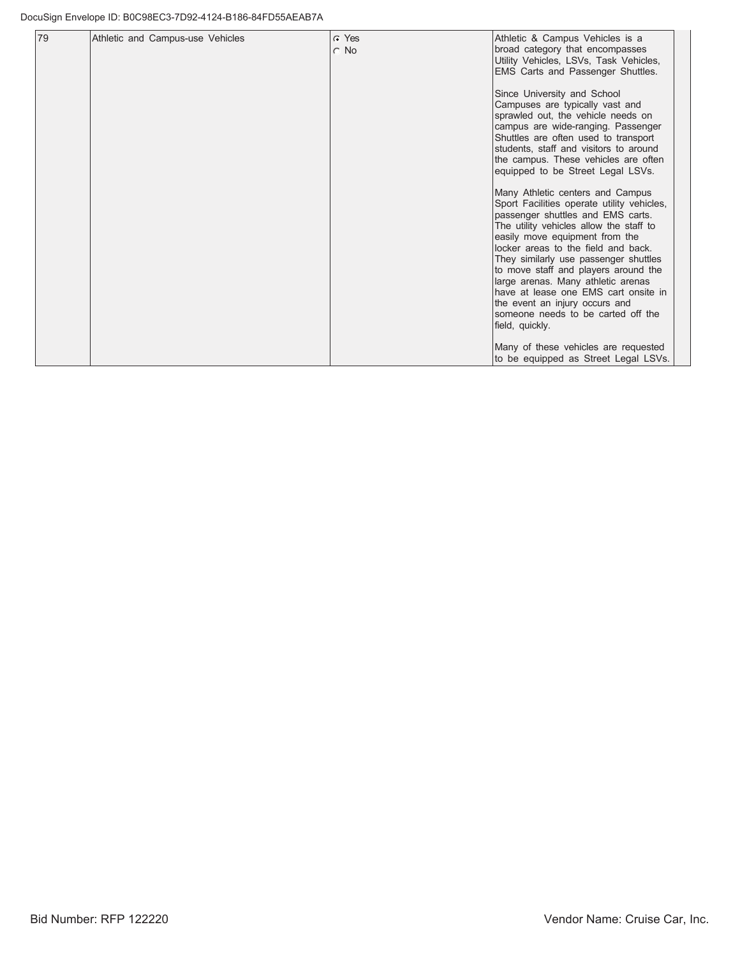| 79 | Athletic and Campus-use Vehicles | $C$ Yes   | Athletic & Campus Vehicles is a                                                |
|----|----------------------------------|-----------|--------------------------------------------------------------------------------|
|    |                                  | $\cap$ No | broad category that encompasses                                                |
|    |                                  |           | Utility Vehicles, LSVs, Task Vehicles,<br>EMS Carts and Passenger Shuttles.    |
|    |                                  |           |                                                                                |
|    |                                  |           | Since University and School                                                    |
|    |                                  |           | Campuses are typically vast and<br>sprawled out, the vehicle needs on          |
|    |                                  |           | campus are wide-ranging. Passenger                                             |
|    |                                  |           | Shuttles are often used to transport<br>students, staff and visitors to around |
|    |                                  |           | the campus. These vehicles are often                                           |
|    |                                  |           | equipped to be Street Legal LSVs.                                              |
|    |                                  |           | Many Athletic centers and Campus                                               |
|    |                                  |           | Sport Facilities operate utility vehicles,                                     |
|    |                                  |           | passenger shuttles and EMS carts.<br>The utility vehicles allow the staff to   |
|    |                                  |           | easily move equipment from the                                                 |
|    |                                  |           | locker areas to the field and back.                                            |
|    |                                  |           | They similarly use passenger shuttles<br>to move staff and players around the  |
|    |                                  |           | large arenas. Many athletic arenas                                             |
|    |                                  |           | have at lease one EMS cart onsite in                                           |
|    |                                  |           | the event an injury occurs and<br>someone needs to be carted off the           |
|    |                                  |           | field, quickly.                                                                |
|    |                                  |           | Many of these vehicles are requested                                           |
|    |                                  |           | to be equipped as Street Legal LSVs.                                           |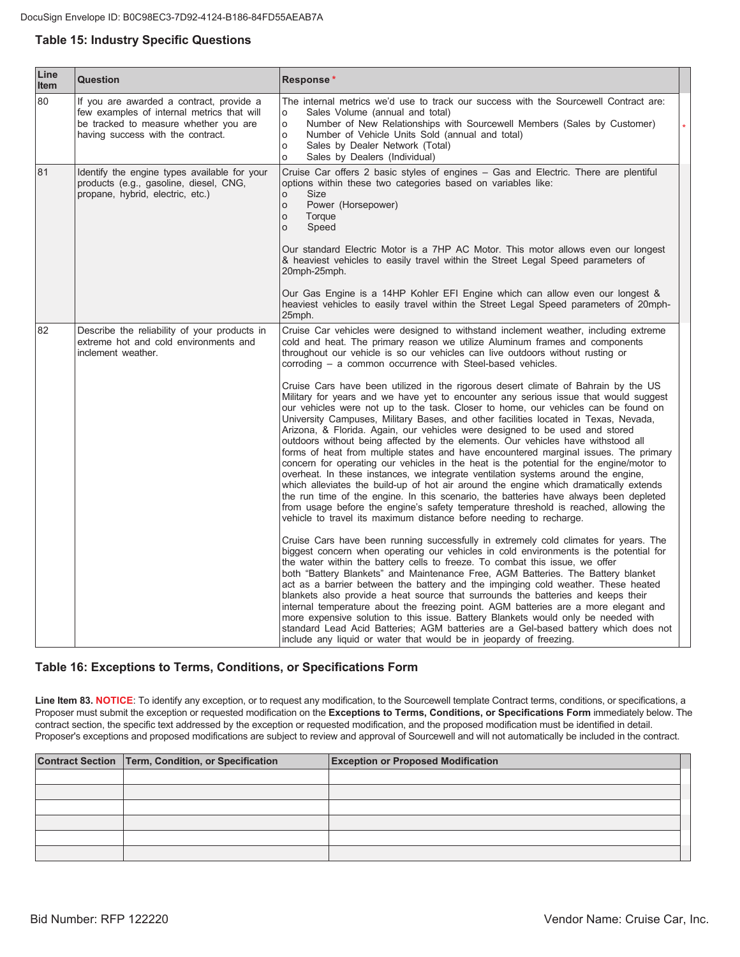## **Table 15: Industry Specific Questions**

| Line<br>Item | <b>Question</b>                                                                                                                                                      | Response*                                                                                                                                                                                                                                                                                                                                                                                                                                                                                                                                                                                                                                                                                                                                                                                                                                                                                                                                                                                                                                                                                                                                                                                                                                                                                                                                                                                                                                                                                                                                                                                                                                                                                                                                                                                                                                                                                                                                                                                                                                                                                                                                                                                                                                                                                                                                      |
|--------------|----------------------------------------------------------------------------------------------------------------------------------------------------------------------|------------------------------------------------------------------------------------------------------------------------------------------------------------------------------------------------------------------------------------------------------------------------------------------------------------------------------------------------------------------------------------------------------------------------------------------------------------------------------------------------------------------------------------------------------------------------------------------------------------------------------------------------------------------------------------------------------------------------------------------------------------------------------------------------------------------------------------------------------------------------------------------------------------------------------------------------------------------------------------------------------------------------------------------------------------------------------------------------------------------------------------------------------------------------------------------------------------------------------------------------------------------------------------------------------------------------------------------------------------------------------------------------------------------------------------------------------------------------------------------------------------------------------------------------------------------------------------------------------------------------------------------------------------------------------------------------------------------------------------------------------------------------------------------------------------------------------------------------------------------------------------------------------------------------------------------------------------------------------------------------------------------------------------------------------------------------------------------------------------------------------------------------------------------------------------------------------------------------------------------------------------------------------------------------------------------------------------------------|
| 80           | If you are awarded a contract, provide a<br>few examples of internal metrics that will<br>be tracked to measure whether you are<br>having success with the contract. | The internal metrics we'd use to track our success with the Sourcewell Contract are:<br>Sales Volume (annual and total)<br>$\circ$<br>$\circ$<br>Number of New Relationships with Sourcewell Members (Sales by Customer)<br>Number of Vehicle Units Sold (annual and total)<br>$\circ$<br>Sales by Dealer Network (Total)<br>$\circ$<br>$\circ$<br>Sales by Dealers (Individual)                                                                                                                                                                                                                                                                                                                                                                                                                                                                                                                                                                                                                                                                                                                                                                                                                                                                                                                                                                                                                                                                                                                                                                                                                                                                                                                                                                                                                                                                                                                                                                                                                                                                                                                                                                                                                                                                                                                                                               |
| 81           | Identify the engine types available for your<br>products (e.g., gasoline, diesel, CNG,<br>propane, hybrid, electric, etc.)                                           | Cruise Car offers 2 basic styles of engines - Gas and Electric. There are plentiful<br>options within these two categories based on variables like:<br>Size<br>$\circ$<br>Power (Horsepower)<br>$\circ$<br>Torque<br>$\circ$<br>$\circ$<br>Speed<br>Our standard Electric Motor is a 7HP AC Motor. This motor allows even our longest<br>& heaviest vehicles to easily travel within the Street Legal Speed parameters of<br>20mph-25mph.                                                                                                                                                                                                                                                                                                                                                                                                                                                                                                                                                                                                                                                                                                                                                                                                                                                                                                                                                                                                                                                                                                                                                                                                                                                                                                                                                                                                                                                                                                                                                                                                                                                                                                                                                                                                                                                                                                      |
|              |                                                                                                                                                                      | Our Gas Engine is a 14HP Kohler EFI Engine which can allow even our longest &<br>heaviest vehicles to easily travel within the Street Legal Speed parameters of 20mph-<br>25mph.                                                                                                                                                                                                                                                                                                                                                                                                                                                                                                                                                                                                                                                                                                                                                                                                                                                                                                                                                                                                                                                                                                                                                                                                                                                                                                                                                                                                                                                                                                                                                                                                                                                                                                                                                                                                                                                                                                                                                                                                                                                                                                                                                               |
| 82           | Describe the reliability of your products in<br>extreme hot and cold environments and<br>inclement weather.                                                          | Cruise Car vehicles were designed to withstand inclement weather, including extreme<br>cold and heat. The primary reason we utilize Aluminum frames and components<br>throughout our vehicle is so our vehicles can live outdoors without rusting or<br>corroding – a common occurrence with Steel-based vehicles.<br>Cruise Cars have been utilized in the rigorous desert climate of Bahrain by the US<br>Military for years and we have yet to encounter any serious issue that would suggest<br>our vehicles were not up to the task. Closer to home, our vehicles can be found on<br>University Campuses, Military Bases, and other facilities located in Texas, Nevada,<br>Arizona, & Florida. Again, our vehicles were designed to be used and stored<br>outdoors without being affected by the elements. Our vehicles have withstood all<br>forms of heat from multiple states and have encountered marginal issues. The primary<br>concern for operating our vehicles in the heat is the potential for the engine/motor to<br>overheat. In these instances, we integrate ventilation systems around the engine,<br>which alleviates the build-up of hot air around the engine which dramatically extends<br>the run time of the engine. In this scenario, the batteries have always been depleted<br>from usage before the engine's safety temperature threshold is reached, allowing the<br>vehicle to travel its maximum distance before needing to recharge.<br>Cruise Cars have been running successfully in extremely cold climates for years. The<br>biggest concern when operating our vehicles in cold environments is the potential for<br>the water within the battery cells to freeze. To combat this issue, we offer<br>both "Battery Blankets" and Maintenance Free, AGM Batteries. The Battery blanket<br>act as a barrier between the battery and the impinging cold weather. These heated<br>blankets also provide a heat source that surrounds the batteries and keeps their<br>internal temperature about the freezing point. AGM batteries are a more elegant and<br>more expensive solution to this issue. Battery Blankets would only be needed with<br>standard Lead Acid Batteries; AGM batteries are a Gel-based battery which does not<br>include any liquid or water that would be in jeopardy of freezing. |

#### Table 16: Exceptions to Terms, Conditions, or Specifications Form

Line Item 83. NOTICE: To identify any exception, or to request any modification, to the Sourcewell template Contract terms, conditions, or specifications, a Proposer must submit the exception or requested modification on the Exceptions to Terms, Conditions, or Specifications Form immediately below. The contract section, the specific text addressed by the exception or requested modification, and the proposed modification must be identified in detail. Proposer's exceptions and proposed modifications are subject to review and approval of Sourcewell and will not automatically be included in the contract.

| Contract Section   Term, Condition, or Specification | <b>Exception or Proposed Modification</b> |  |
|------------------------------------------------------|-------------------------------------------|--|
|                                                      |                                           |  |
|                                                      |                                           |  |
|                                                      |                                           |  |
|                                                      |                                           |  |
|                                                      |                                           |  |
|                                                      |                                           |  |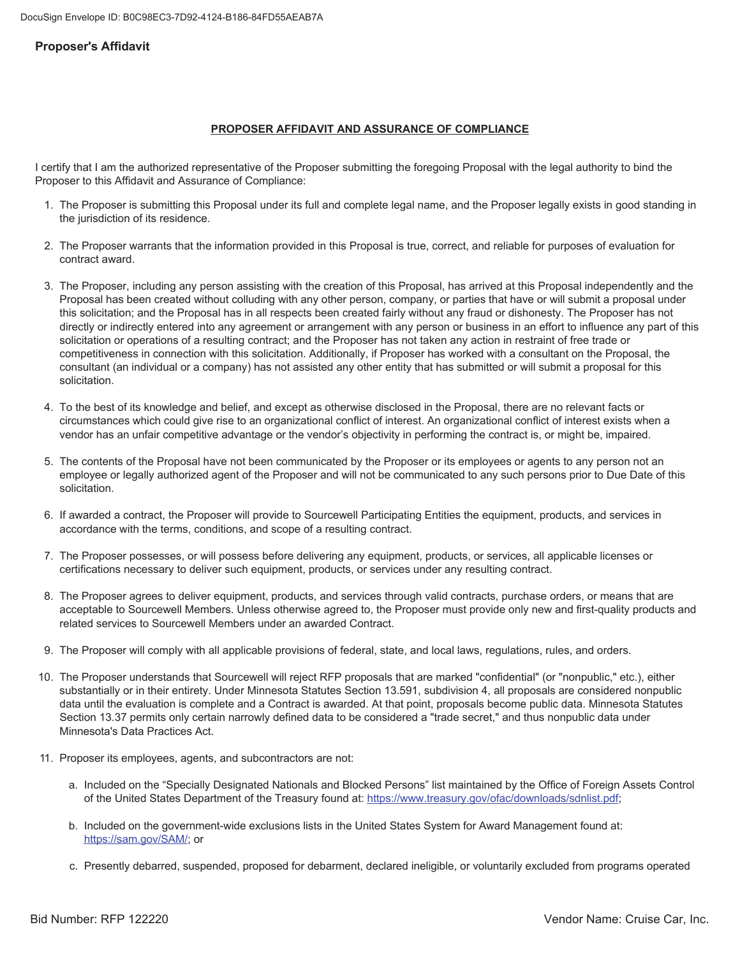#### **Proposer's Affidavit**

#### **PROPOSER AFFIDAVIT AND ASSURANCE OF COMPLIANCE**

I certify that I am the authorized representative of the Proposer submitting the foregoing Proposal with the legal authority to bind the Proposer to this Affidavit and Assurance of Compliance:

- 1. The Proposer is submitting this Proposal under its full and complete legal name, and the Proposer legally exists in good standing in the jurisdiction of its residence.
- 2. The Proposer warrants that the information provided in this Proposal is true, correct, and reliable for purposes of evaluation for contract award.
- 3. The Proposer, including any person assisting with the creation of this Proposal, has arrived at this Proposal independently and the Proposal has been created without colluding with any other person, company, or parties that have or will submit a proposal under this solicitation; and the Proposal has in all respects been created fairly without any fraud or dishonesty. The Proposer has not directly or indirectly entered into any agreement or arrangement with any person or business in an effort to influence any part of this solicitation or operations of a resulting contract; and the Proposer has not taken any action in restraint of free trade or competitiveness in connection with this solicitation. Additionally, if Proposer has worked with a consultant on the Proposal, the consultant (an individual or a company) has not assisted any other entity that has submitted or will submit a proposal for this solicitation.
- 4. To the best of its knowledge and belief, and except as otherwise disclosed in the Proposal, there are no relevant facts or circumstances which could give rise to an organizational conflict of interest. An organizational conflict of interest exists when a vendor has an unfair competitive advantage or the vendor's objectivity in performing the contract is, or might be, impaired.
- 5. The contents of the Proposal have not been communicated by the Proposer or its employees or agents to any person not an employee or legally authorized agent of the Proposer and will not be communicated to any such persons prior to Due Date of this solicitation
- 6. If awarded a contract, the Proposer will provide to Sourcewell Participating Entities the equipment, products, and services in accordance with the terms, conditions, and scope of a resulting contract.
- 7. The Proposer possesses, or will possess before delivering any equipment, products, or services, all applicable licenses or certifications necessary to deliver such equipment, products, or services under any resulting contract.
- 8. The Proposer agrees to deliver equipment, products, and services through valid contracts, purchase orders, or means that are acceptable to Sourcewell Members. Unless otherwise agreed to, the Proposer must provide only new and first-quality products and related services to Sourcewell Members under an awarded Contract.
- 9. The Proposer will comply with all applicable provisions of federal, state, and local laws, regulations, rules, and orders.
- 10. The Proposer understands that Sourcewell will reject RFP proposals that are marked "confidential" (or "nonpublic," etc.), either substantially or in their entirety. Under Minnesota Statutes Section 13.591, subdivision 4, all proposals are considered nonpublic data until the evaluation is complete and a Contract is awarded. At that point, proposals become public data. Minnesota Statutes Section 13.37 permits only certain narrowly defined data to be considered a "trade secret," and thus nonpublic data under Minnesota's Data Practices Act.
- 11. Proposer its employees, agents, and subcontractors are not:
	- a. Included on the "Specially Designated Nationals and Blocked Persons" list maintained by the Office of Foreign Assets Control of the United States Department of the Treasury found at: https://www.treasury.qov/ofac/downloads/sdnlist.pdf;
	- b. Included on the government-wide exclusions lists in the United States System for Award Management found at: https://sam.gov/SAM/; or
	- c. Presently debarred, suspended, proposed for debarment, declared ineligible, or voluntarily excluded from programs operated